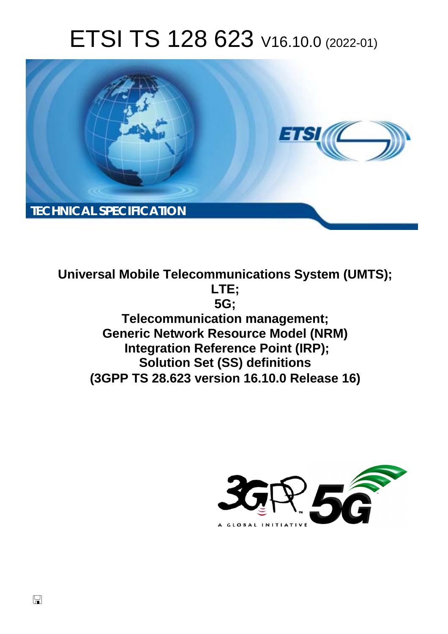# ETSI TS 128 623 V16.10.0 (2022-01)



**Universal Mobile Telecommunications System (UMTS); LTE; 5G; Telecommunication management; Generic Network Resource Model (NRM) Integration Reference Point (IRP); Solution Set (SS) definitions (3GPP TS 28.623 version 16.10.0 Release 16)** 

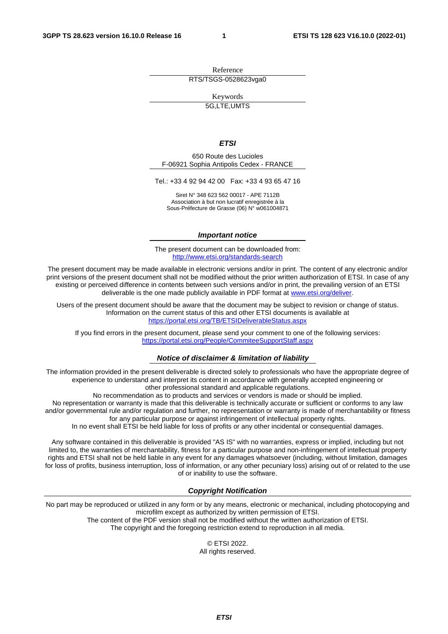Reference RTS/TSGS-0528623vga0

Keywords

5G,LTE,UMTS

#### *ETSI*

650 Route des Lucioles F-06921 Sophia Antipolis Cedex - FRANCE

Tel.: +33 4 92 94 42 00 Fax: +33 4 93 65 47 16

Siret N° 348 623 562 00017 - APE 7112B Association à but non lucratif enregistrée à la Sous-Préfecture de Grasse (06) N° w061004871

#### *Important notice*

The present document can be downloaded from: <http://www.etsi.org/standards-search>

The present document may be made available in electronic versions and/or in print. The content of any electronic and/or print versions of the present document shall not be modified without the prior written authorization of ETSI. In case of any existing or perceived difference in contents between such versions and/or in print, the prevailing version of an ETSI deliverable is the one made publicly available in PDF format at [www.etsi.org/deliver](http://www.etsi.org/deliver).

Users of the present document should be aware that the document may be subject to revision or change of status. Information on the current status of this and other ETSI documents is available at <https://portal.etsi.org/TB/ETSIDeliverableStatus.aspx>

If you find errors in the present document, please send your comment to one of the following services: <https://portal.etsi.org/People/CommiteeSupportStaff.aspx>

#### *Notice of disclaimer & limitation of liability*

The information provided in the present deliverable is directed solely to professionals who have the appropriate degree of experience to understand and interpret its content in accordance with generally accepted engineering or other professional standard and applicable regulations.

No recommendation as to products and services or vendors is made or should be implied.

No representation or warranty is made that this deliverable is technically accurate or sufficient or conforms to any law and/or governmental rule and/or regulation and further, no representation or warranty is made of merchantability or fitness for any particular purpose or against infringement of intellectual property rights.

In no event shall ETSI be held liable for loss of profits or any other incidental or consequential damages.

Any software contained in this deliverable is provided "AS IS" with no warranties, express or implied, including but not limited to, the warranties of merchantability, fitness for a particular purpose and non-infringement of intellectual property rights and ETSI shall not be held liable in any event for any damages whatsoever (including, without limitation, damages for loss of profits, business interruption, loss of information, or any other pecuniary loss) arising out of or related to the use of or inability to use the software.

#### *Copyright Notification*

No part may be reproduced or utilized in any form or by any means, electronic or mechanical, including photocopying and microfilm except as authorized by written permission of ETSI. The content of the PDF version shall not be modified without the written authorization of ETSI.

The copyright and the foregoing restriction extend to reproduction in all media.

© ETSI 2022. All rights reserved.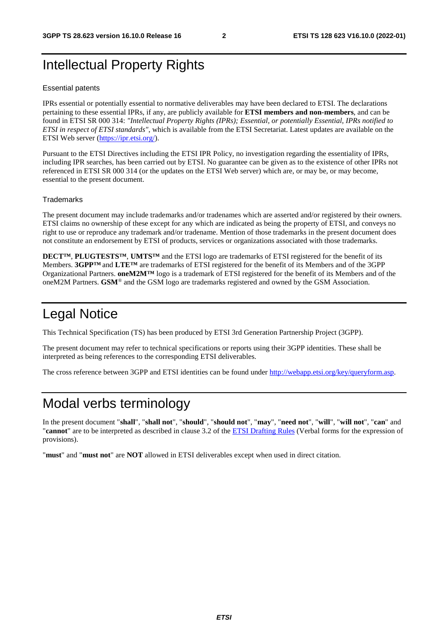# Intellectual Property Rights

#### Essential patents

IPRs essential or potentially essential to normative deliverables may have been declared to ETSI. The declarations pertaining to these essential IPRs, if any, are publicly available for **ETSI members and non-members**, and can be found in ETSI SR 000 314: *"Intellectual Property Rights (IPRs); Essential, or potentially Essential, IPRs notified to ETSI in respect of ETSI standards"*, which is available from the ETSI Secretariat. Latest updates are available on the ETSI Web server ([https://ipr.etsi.org/\)](https://ipr.etsi.org/).

Pursuant to the ETSI Directives including the ETSI IPR Policy, no investigation regarding the essentiality of IPRs, including IPR searches, has been carried out by ETSI. No guarantee can be given as to the existence of other IPRs not referenced in ETSI SR 000 314 (or the updates on the ETSI Web server) which are, or may be, or may become, essential to the present document.

#### **Trademarks**

The present document may include trademarks and/or tradenames which are asserted and/or registered by their owners. ETSI claims no ownership of these except for any which are indicated as being the property of ETSI, and conveys no right to use or reproduce any trademark and/or tradename. Mention of those trademarks in the present document does not constitute an endorsement by ETSI of products, services or organizations associated with those trademarks.

**DECT™**, **PLUGTESTS™**, **UMTS™** and the ETSI logo are trademarks of ETSI registered for the benefit of its Members. **3GPP™** and **LTE™** are trademarks of ETSI registered for the benefit of its Members and of the 3GPP Organizational Partners. **oneM2M™** logo is a trademark of ETSI registered for the benefit of its Members and of the oneM2M Partners. **GSM**® and the GSM logo are trademarks registered and owned by the GSM Association.

# Legal Notice

This Technical Specification (TS) has been produced by ETSI 3rd Generation Partnership Project (3GPP).

The present document may refer to technical specifications or reports using their 3GPP identities. These shall be interpreted as being references to the corresponding ETSI deliverables.

The cross reference between 3GPP and ETSI identities can be found under<http://webapp.etsi.org/key/queryform.asp>.

# Modal verbs terminology

In the present document "**shall**", "**shall not**", "**should**", "**should not**", "**may**", "**need not**", "**will**", "**will not**", "**can**" and "**cannot**" are to be interpreted as described in clause 3.2 of the [ETSI Drafting Rules](https://portal.etsi.org/Services/editHelp!/Howtostart/ETSIDraftingRules.aspx) (Verbal forms for the expression of provisions).

"**must**" and "**must not**" are **NOT** allowed in ETSI deliverables except when used in direct citation.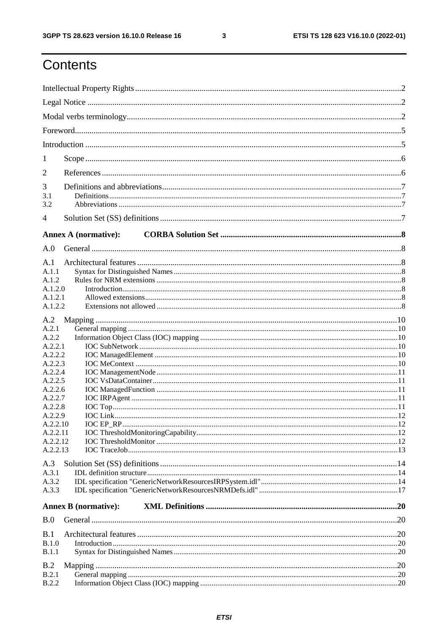$\mathbf{3}$ 

# Contents

| 1                  |                             |  |
|--------------------|-----------------------------|--|
| 2                  |                             |  |
| 3                  |                             |  |
| 3.1                |                             |  |
| 3.2                |                             |  |
| 4                  |                             |  |
|                    | <b>Annex A (normative):</b> |  |
| A.0                |                             |  |
| A.1                |                             |  |
| A.1.1              |                             |  |
| A.1.2<br>A.1.2.0   |                             |  |
| A.1.2.1            |                             |  |
| A.1.2.2            |                             |  |
| A.2                |                             |  |
| A.2.1              |                             |  |
| A.2.2              |                             |  |
| A.2.2.1<br>A.2.2.2 |                             |  |
| A.2.2.3            |                             |  |
| A.2.2.4            |                             |  |
| A.2.2.5            |                             |  |
| A.2.2.6            |                             |  |
| A.2.2.7<br>A.2.2.8 |                             |  |
| A.2.2.9            |                             |  |
| A.2.2.10           |                             |  |
| A.2.2.11           |                             |  |
| A.2.2.12           |                             |  |
| A.2.2.13           |                             |  |
| A.3                |                             |  |
| A.3.1              |                             |  |
| A.3.2              |                             |  |
| A.3.3              |                             |  |
|                    | <b>Annex B</b> (normative): |  |
| B.0                |                             |  |
| B.1                |                             |  |
| B.1.0              |                             |  |
| <b>B.1.1</b>       |                             |  |
| B.2                |                             |  |
| B.2.1              |                             |  |
| <b>B.2.2</b>       |                             |  |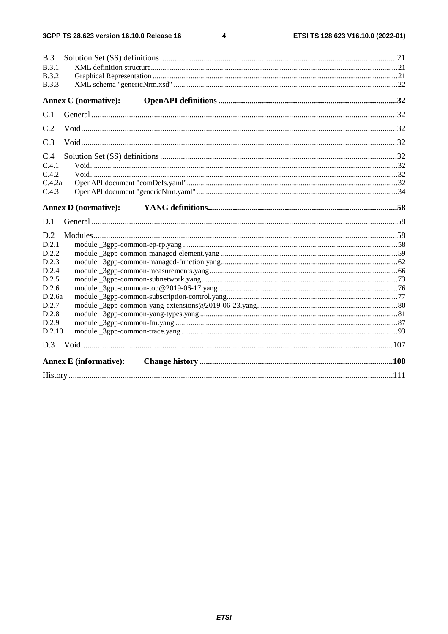$\overline{\mathbf{4}}$ 

| B.3                           |  |
|-------------------------------|--|
| <b>B.3.1</b>                  |  |
| <b>B.3.2</b>                  |  |
| <b>B.3.3</b>                  |  |
| <b>Annex C</b> (normative):   |  |
| C.1                           |  |
| C.2                           |  |
| C.3                           |  |
| C.4                           |  |
| C.4.1                         |  |
| C.4.2                         |  |
| C.4.2a                        |  |
| C.4.3                         |  |
| <b>Annex D</b> (normative):   |  |
| D.1                           |  |
| D.2                           |  |
| D.2.1                         |  |
| D.2.2                         |  |
| D.2.3                         |  |
| D.2.4                         |  |
| D.2.5                         |  |
| D.2.6                         |  |
| D.2.6a                        |  |
| D.2.7                         |  |
| D.2.8<br>D.2.9                |  |
| D.2.10                        |  |
|                               |  |
|                               |  |
| <b>Annex E</b> (informative): |  |
|                               |  |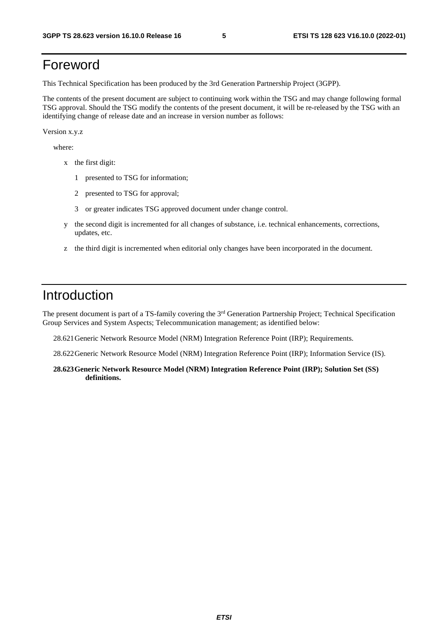# Foreword

This Technical Specification has been produced by the 3rd Generation Partnership Project (3GPP).

The contents of the present document are subject to continuing work within the TSG and may change following formal TSG approval. Should the TSG modify the contents of the present document, it will be re-released by the TSG with an identifying change of release date and an increase in version number as follows:

Version x.y.z

where:

- x the first digit:
	- 1 presented to TSG for information;
	- 2 presented to TSG for approval;
	- 3 or greater indicates TSG approved document under change control.
- y the second digit is incremented for all changes of substance, i.e. technical enhancements, corrections, updates, etc.
- z the third digit is incremented when editorial only changes have been incorporated in the document.

## Introduction

The present document is part of a TS-family covering the 3<sup>rd</sup> Generation Partnership Project; Technical Specification Group Services and System Aspects; Telecommunication management; as identified below:

28.621 Generic Network Resource Model (NRM) Integration Reference Point (IRP); Requirements.

28.622 Generic Network Resource Model (NRM) Integration Reference Point (IRP); Information Service (IS).

**28.623 Generic Network Resource Model (NRM) Integration Reference Point (IRP); Solution Set (SS) definitions.**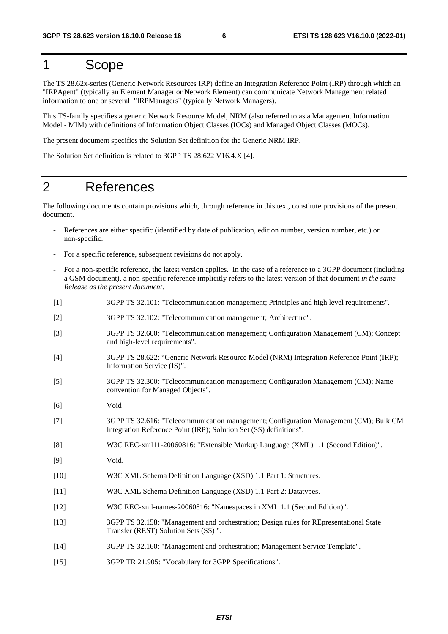### 1 Scope

The TS 28.62x-series (Generic Network Resources IRP) define an Integration Reference Point (IRP) through which an "IRPAgent" (typically an Element Manager or Network Element) can communicate Network Management related information to one or several "IRPManagers" (typically Network Managers).

This TS-family specifies a generic Network Resource Model, NRM (also referred to as a Management Information Model - MIM) with definitions of Information Object Classes (IOCs) and Managed Object Classes (MOCs).

The present document specifies the Solution Set definition for the Generic NRM IRP.

The Solution Set definition is related to 3GPP TS 28.622 V16.4.X [4].

### 2 References

The following documents contain provisions which, through reference in this text, constitute provisions of the present document.

- References are either specific (identified by date of publication, edition number, version number, etc.) or non-specific.
- For a specific reference, subsequent revisions do not apply.
- For a non-specific reference, the latest version applies. In the case of a reference to a 3GPP document (including a GSM document), a non-specific reference implicitly refers to the latest version of that document *in the same Release as the present document*.
- [1] 3GPP TS 32.101: "Telecommunication management; Principles and high level requirements".
- [2] 3GPP TS 32.102: "Telecommunication management; Architecture".
- [3] 3GPP TS 32.600: "Telecommunication management; Configuration Management (CM); Concept and high-level requirements".
- [4] 3GPP TS 28.622: "Generic Network Resource Model (NRM) Integration Reference Point (IRP); Information Service (IS)".
- [5] 3GPP TS 32.300: "Telecommunication management; Configuration Management (CM); Name convention for Managed Objects".
- [6] Void
- [7] 3GPP TS 32.616: "Telecommunication management; Configuration Management (CM); Bulk CM Integration Reference Point (IRP); Solution Set (SS) definitions".
- [8] W3C REC-xml11-20060816: "Extensible Markup Language (XML) 1.1 (Second Edition)".
- [9] Void.
- [10] W3C XML Schema Definition Language (XSD) 1.1 Part 1: Structures.
- [11] W3C XML Schema Definition Language (XSD) 1.1 Part 2: Datatypes.
- [12] W3C REC-xml-names-20060816: "Namespaces in XML 1.1 (Second Edition)".
- [13] 3GPP TS 32.158: "Management and orchestration; Design rules for REpresentational State Transfer (REST) Solution Sets (SS) ".
- [14] 3GPP TS 32.160: "Management and orchestration; Management Service Template".
- [15] 3GPP TR 21.905: "Vocabulary for 3GPP Specifications".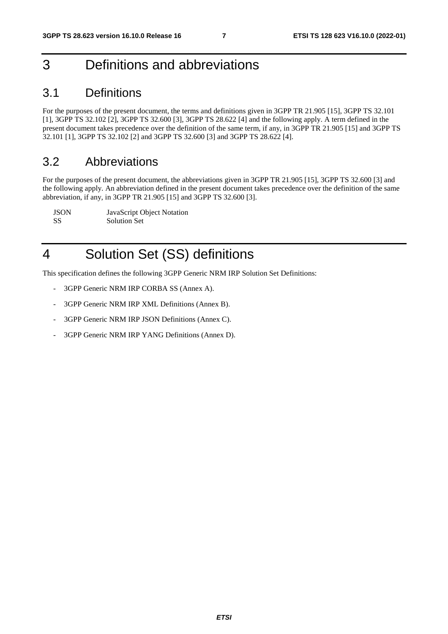# 3 Definitions and abbreviations

#### 3.1 Definitions

For the purposes of the present document, the terms and definitions given in 3GPP TR 21.905 [15], 3GPP TS 32.101 [1], 3GPP TS 32.102 [2], 3GPP TS 32.600 [3], 3GPP TS 28.622 [4] and the following apply. A term defined in the present document takes precedence over the definition of the same term, if any, in 3GPP TR 21.905 [15] and 3GPP TS 32.101 [1], 3GPP TS 32.102 [2] and 3GPP TS 32.600 [3] and 3GPP TS 28.622 [4].

### 3.2 Abbreviations

For the purposes of the present document, the abbreviations given in 3GPP TR 21.905 [15], 3GPP TS 32.600 [3] and the following apply. An abbreviation defined in the present document takes precedence over the definition of the same abbreviation, if any, in 3GPP TR 21.905 [15] and 3GPP TS 32.600 [3].

| <b>JSON</b> | JavaScript Object Notation |
|-------------|----------------------------|
| -SS         | <b>Solution Set</b>        |

# 4 Solution Set (SS) definitions

This specification defines the following 3GPP Generic NRM IRP Solution Set Definitions:

- 3GPP Generic NRM IRP CORBA SS (Annex A).
- 3GPP Generic NRM IRP XML Definitions (Annex B).
- 3GPP Generic NRM IRP JSON Definitions (Annex C).
- 3GPP Generic NRM IRP YANG Definitions (Annex D).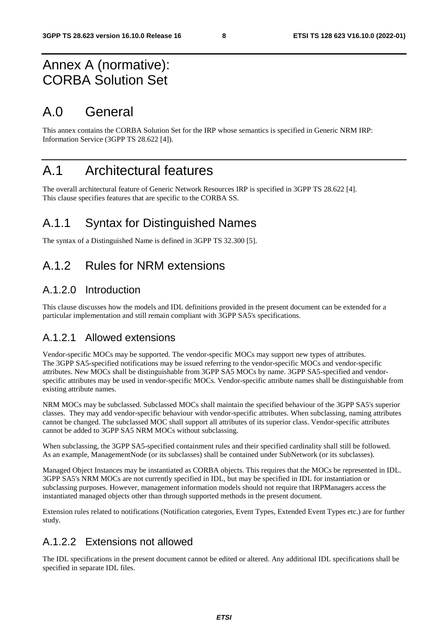# Annex A (normative): CORBA Solution Set

# A.0 General

This annex contains the CORBA Solution Set for the IRP whose semantics is specified in Generic NRM IRP: Information Service (3GPP TS 28.622 [4]).

# A.1 Architectural features

The overall architectural feature of Generic Network Resources IRP is specified in 3GPP TS 28.622 [4]. This clause specifies features that are specific to the CORBA SS.

### A.1.1 Syntax for Distinguished Names

The syntax of a Distinguished Name is defined in 3GPP TS 32.300 [5].

### A.1.2 Rules for NRM extensions

#### A.1.2.0 Introduction

This clause discusses how the models and IDL definitions provided in the present document can be extended for a particular implementation and still remain compliant with 3GPP SA5's specifications.

#### A.1.2.1 Allowed extensions

Vendor-specific MOCs may be supported. The vendor-specific MOCs may support new types of attributes. The 3GPP SA5-specified notifications may be issued referring to the vendor-specific MOCs and vendor-specific attributes. New MOCs shall be distinguishable from 3GPP SA5 MOCs by name. 3GPP SA5-specified and vendorspecific attributes may be used in vendor-specific MOCs. Vendor-specific attribute names shall be distinguishable from existing attribute names.

NRM MOCs may be subclassed. Subclassed MOCs shall maintain the specified behaviour of the 3GPP SA5's superior classes. They may add vendor-specific behaviour with vendor-specific attributes. When subclassing, naming attributes cannot be changed. The subclassed MOC shall support all attributes of its superior class. Vendor-specific attributes cannot be added to 3GPP SA5 NRM MOCs without subclassing.

When subclassing, the 3GPP SA5-specified containment rules and their specified cardinality shall still be followed. As an example, ManagementNode (or its subclasses) shall be contained under SubNetwork (or its subclasses).

Managed Object Instances may be instantiated as CORBA objects. This requires that the MOCs be represented in IDL. 3GPP SA5's NRM MOCs are not currently specified in IDL, but may be specified in IDL for instantiation or subclassing purposes. However, management information models should not require that IRPManagers access the instantiated managed objects other than through supported methods in the present document.

Extension rules related to notifications (Notification categories, Event Types, Extended Event Types etc.) are for further study.

#### A.1.2.2 Extensions not allowed

The IDL specifications in the present document cannot be edited or altered. Any additional IDL specifications shall be specified in separate IDL files.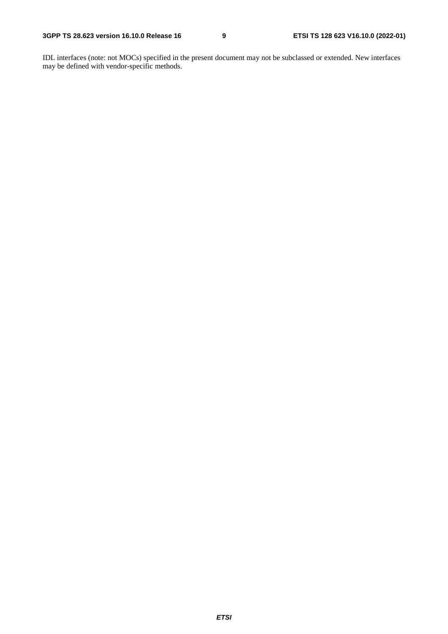IDL interfaces (note: not MOCs) specified in the present document may not be subclassed or extended. New interfaces may be defined with vendor-specific methods.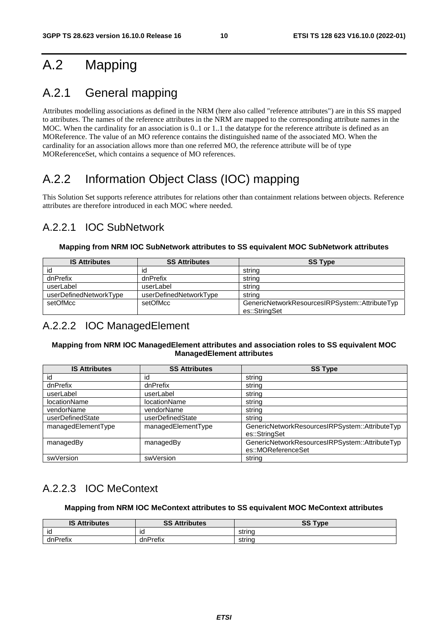# A.2 Mapping

### A.2.1 General mapping

Attributes modelling associations as defined in the NRM (here also called "reference attributes") are in this SS mapped to attributes. The names of the reference attributes in the NRM are mapped to the corresponding attribute names in the MOC. When the cardinality for an association is 0..1 or 1..1 the datatype for the reference attribute is defined as an MOReference. The value of an MO reference contains the distinguished name of the associated MO. When the cardinality for an association allows more than one referred MO, the reference attribute will be of type MOReferenceSet, which contains a sequence of MO references.

# A.2.2 Information Object Class (IOC) mapping

This Solution Set supports reference attributes for relations other than containment relations between objects. Reference attributes are therefore introduced in each MOC where needed.

#### A.2.2.1 IOC SubNetwork

#### **Mapping from NRM IOC SubNetwork attributes to SS equivalent MOC SubNetwork attributes**

| <b>IS Attributes</b>   | <b>SS Attributes</b>   | <b>SS Type</b>                                 |
|------------------------|------------------------|------------------------------------------------|
| id                     | ıd                     | string                                         |
| dnPrefix               | dnPrefix               | string                                         |
| userLabel              | userLabel              | string                                         |
| userDefinedNetworkType | userDefinedNetworkType | string                                         |
| setOfMcc               | setOfMcc               | GenericNetworkResourcesIRPSystem::AttributeTyp |
|                        |                        | es::StringSet                                  |

#### A.2.2.2 IOC ManagedElement

#### **Mapping from NRM IOC ManagedElement attributes and association roles to SS equivalent MOC ManagedElement attributes**

| <b>IS Attributes</b> | <b>SS Attributes</b> | <b>SS Type</b>                                                       |
|----------------------|----------------------|----------------------------------------------------------------------|
| id                   | id                   | string                                                               |
| dnPrefix             | dnPrefix             | string                                                               |
| userLabel            | userLabel            | string                                                               |
| <b>locationName</b>  | <b>locationName</b>  | string                                                               |
| vendorName           | vendorName           | string                                                               |
| userDefinedState     | userDefinedState     | string                                                               |
| managedElementType   | managedElementType   | GenericNetworkResourcesIRPSystem::AttributeTyp<br>es::StringSet      |
| managedBy            | managedBy            | GenericNetworkResourcesIRPSystem::AttributeTyp<br>es::MOReferenceSet |
| swVersion            | swVersion            | string                                                               |

### A.2.2.3 IOC MeContext

#### **Mapping from NRM IOC MeContext attributes to SS equivalent MOC MeContext attributes**

| <b>IS Attributes</b> | <b>SS Attributes</b> | <b>SS Type</b><br>ಀಀ |
|----------------------|----------------------|----------------------|
| ΙO                   | ıd                   | string               |
| dnPrefix             | dnPrefix             | string               |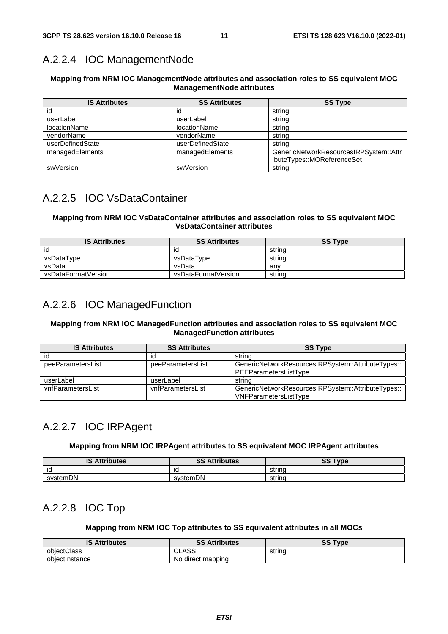### A.2.2.4 IOC ManagementNode

#### **Mapping from NRM IOC ManagementNode attributes and association roles to SS equivalent MOC ManagementNode attributes**

| <b>IS Attributes</b> | <b>SS Attributes</b> | <b>SS Type</b>                         |
|----------------------|----------------------|----------------------------------------|
| id                   | id                   | string                                 |
| userLabel            | userLabel            | string                                 |
| <b>locationName</b>  | <b>locationName</b>  | string                                 |
| vendorName           | vendorName           | string                                 |
| userDefinedState     | userDefinedState     | string                                 |
| managedElements      | managedElements      | GenericNetworkResourcesIRPSystem::Attr |
|                      |                      | ibuteTypes::MOReferenceSet             |
| swVersion            | swVersion            | string                                 |

### A.2.2.5 IOC VsDataContainer

#### **Mapping from NRM IOC VsDataContainer attributes and association roles to SS equivalent MOC VsDataContainer attributes**

| <b>IS Attributes</b> | <b>SS Attributes</b> | <b>SS Type</b> |
|----------------------|----------------------|----------------|
| id                   |                      | string         |
| vsDataType           | vsDataTvpe           | strina         |
| vsData               | vsData               | anv            |
| vsDataFormatVersion  | vsDataFormatVersion  | string         |

### A.2.2.6 IOC ManagedFunction

#### **Mapping from NRM IOC ManagedFunction attributes and association roles to SS equivalent MOC ManagedFunction attributes**

| <b>IS Attributes</b> | <b>SS Attributes</b> | <b>SS Type</b>                                                              |
|----------------------|----------------------|-----------------------------------------------------------------------------|
| id                   | ıd                   | string                                                                      |
| peeParametersList    | peeParametersList    | GenericNetworkResourcesIRPSystem::AttributeTypes::<br>PEEParametersListType |
| userLabel            | userLabel            | string                                                                      |
| vnfParametersList    | vnfParametersList    | GenericNetworkResourcesIRPSystem::AttributeTypes::<br>VNFParametersListType |

### A.2.2.7 IOC IRPAgent

#### **Mapping from NRM IOC IRPAgent attributes to SS equivalent MOC IRPAgent attributes**

| <b>IS Attributes</b> | <b>SS Attributes</b> | <b>SS Type</b><br>ວວ |
|----------------------|----------------------|----------------------|
| ıd                   | ıd                   | string               |
| systemDN             | systemDN             | string               |

#### A.2.2.8 IOC Top

#### **Mapping from NRM IOC Top attributes to SS equivalent attributes in all MOCs**

| <b>IS Attributes</b> | SS<br><b>Attributes</b> | SS<br>$T$ vpe |
|----------------------|-------------------------|---------------|
| obiectClass          | CLASS                   | string        |
| obiectInstance       | direct mapping<br>No.   |               |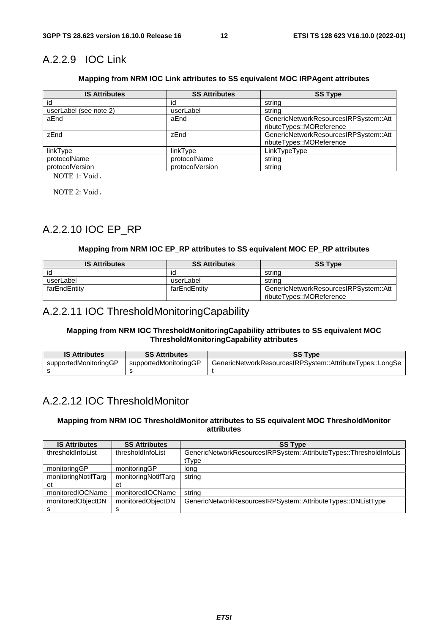### A.2.2.9 IOC Link

#### **Mapping from NRM IOC Link attributes to SS equivalent MOC IRPAgent attributes**

| <b>IS Attributes</b>   | <b>SS Attributes</b> | <b>SS Type</b>                        |
|------------------------|----------------------|---------------------------------------|
| id                     | id                   | string                                |
| userLabel (see note 2) | userLabel            | string                                |
| aEnd                   | aEnd                 | GenericNetworkResourcesIRPSystem::Att |
|                        |                      | ributeTypes::MOReference              |
| zEnd                   | zEnd                 | GenericNetworkResourcesIRPSystem::Att |
|                        |                      | ributeTypes::MOReference              |
| linkType               | linkType             | LinkTypeType                          |
| protocolName           | protocolName         | string                                |
| protocolVersion        | protocolVersion      | string                                |

NOTE 1: Void.

NOTE 2: Void.

### A.2.2.10 IOC EP\_RP

#### **Mapping from NRM IOC EP\_RP attributes to SS equivalent MOC EP\_RP attributes**

| <b>IS Attributes</b> | <b>SS Attributes</b> | <b>SS Type</b>                                                    |
|----------------------|----------------------|-------------------------------------------------------------------|
| id                   | ıd                   | string                                                            |
| userLabel            | userLabel            | string                                                            |
| farEndEntity         | farEndEntity         | GenericNetworkResourcesIRPSystem::Att<br>ributeTypes::MOReference |

#### A.2.2.11 IOC ThresholdMonitoringCapability

#### **Mapping from NRM IOC ThresholdMonitoringCapability attributes to SS equivalent MOC ThresholdMonitoringCapability attributes**

| <b>IS Attributes</b>  | <b>SS Attributes</b>  | <b>SS Type</b>                                           |
|-----------------------|-----------------------|----------------------------------------------------------|
| supportedMonitoringGP | supportedMonitoringGP | GenericNetworkResourcesIRPSystem::AttributeTypes::LongSe |
|                       |                       |                                                          |

#### A.2.2.12 IOC ThresholdMonitor

#### **Mapping from NRM IOC ThresholdMonitor attributes to SS equivalent MOC ThresholdMonitor attributes**

| <b>IS Attributes</b> | <b>SS Attributes</b> | <b>SS Type</b>                                                     |
|----------------------|----------------------|--------------------------------------------------------------------|
| thresholdInfoList    | thresholdInfoList    | GenericNetworkResourcesIRPSystem::AttributeTypes::ThresholdInfoLis |
|                      |                      | tType                                                              |
| monitoringGP         | monitoringGP         | long                                                               |
| monitoringNotifTarg  | monitoringNotifTarg  | string                                                             |
| et                   | et                   |                                                                    |
| monitoredIOCName     | monitoredIOCName     | string                                                             |
| monitoredObjectDN    | monitoredObjectDN    | GenericNetworkResourcesIRPSystem::AttributeTypes::DNListType       |
|                      | s                    |                                                                    |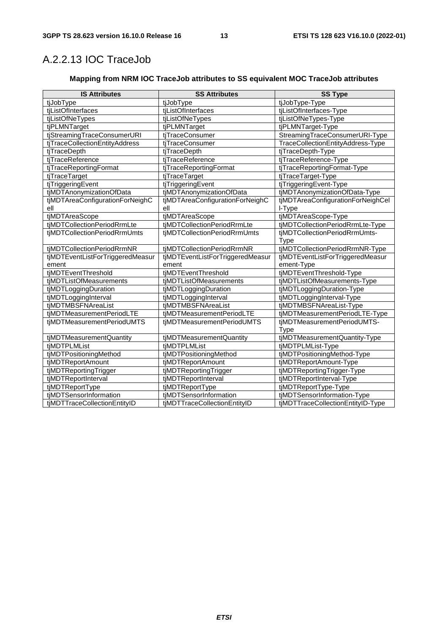### A.2.2.13 IOC TraceJob

#### **Mapping from NRM IOC TraceJob attributes to SS equivalent MOC TraceJob attributes**

| <b>IS Attributes</b>             | <b>SS Attributes</b>             | <b>SS Type</b>                    |
|----------------------------------|----------------------------------|-----------------------------------|
| tjJobType                        | tjJobType                        | tjJobType-Type                    |
| tjListOfInterfaces               | tiListOfInterfaces               | tjListOfInterfaces-Type           |
| tjListOfNeTypes                  | tjListOfNeTypes                  | tjListOfNeTypes-Type              |
| tjPLMNTarget                     | tjPLMNTarget                     | tjPLMNTarget-Type                 |
| tjStreamingTraceConsumerURI      | tjTraceConsumer                  | StreamingTraceConsumerURI-Type    |
| tjTraceCollectionEntityAddress   | tjTraceConsumer                  | TraceCollectionEntityAddress-Type |
| tjTraceDepth                     | tjTraceDepth                     | tjTraceDepth-Type                 |
| tjTraceReference                 | tjTraceReference                 | tjTraceReference-Type             |
| tjTraceReportingFormat           | tjTraceReportingFormat           | tjTraceReportingFormat-Type       |
| tjTraceTarget                    | tjTraceTarget                    | tjTraceTarget-Type                |
| tjTriggeringEvent                | tjTriggeringEvent                | tjTriggeringEvent-Type            |
| tjMDTAnonymizationOfData         | tjMDTAnonymizationOfData         | tjMDTAnonymizationOfData-Type     |
| tjMDTAreaConfigurationForNeighC  | tjMDTAreaConfigurationForNeighC  | tjMDTAreaConfigurationForNeighCel |
| ell                              | ell                              | I-Type                            |
| tjMDTAreaScope                   | tjMDTAreaScope                   | tjMDTAreaScope-Type               |
| tiMDTCollectionPeriodRrmLte      | tjMDTCollectionPeriodRrmLte      | tjMDTCollectionPeriodRrmLte-Type  |
| tjMDTCollectionPeriodRrmUmts     | tjMDTCollectionPeriodRrmUmts     | tjMDTCollectionPeriodRrmUmts-     |
|                                  |                                  | Type                              |
| tjMDTCollectionPeriodRrmNR       | tjMDTCollectionPeriodRrmNR       | tjMDTCollectionPeriodRrmNR-Type   |
| tjMDTEventListForTriggeredMeasur | tjMDTEventListForTriggeredMeasur | tjMDTEventListForTriggeredMeasur  |
| ement                            | ement                            | ement-Type                        |
| tjMDTEventThreshold              | tjMDTEventThreshold              | tjMDTEventThreshold-Type          |
| tjMDTListOfMeasurements          | tjMDTListOfMeasurements          | tjMDTListOfMeasurements-Type      |
| tjMDTLoggingDuration             | tjMDTLoggingDuration             | tjMDTLoggingDuration-Type         |
| tjMDTLoggingInterval             | tjMDTLoggingInterval             | tjMDTLoggingInterval-Type         |
| tjMDTMBSFNAreaList               | tjMDTMBSFNAreaList               | tjMDTMBSFNAreaList-Type           |
| tjMDTMeasurementPeriodLTE        | tjMDTMeasurementPeriodLTE        | tjMDTMeasurementPeriodLTE-Type    |
| tjMDTMeasurementPeriodUMTS       | tjMDTMeasurementPeriodUMTS       | tjMDTMeasurementPeriodUMTS-       |
|                                  |                                  | Type                              |
| tjMDTMeasurementQuantity         | tjMDTMeasurementQuantity         | tjMDTMeasurementQuantity-Type     |
| tjMDTPLMList                     | tjMDTPLMList                     | tjMDTPLMList-Type                 |
| tiMDTPositioningMethod           | tiMDTPositioningMethod           | tjMDTPositioningMethod-Type       |
| tjMDTReportAmount                | tjMDTReportAmount                | tjMDTReportAmount-Type            |
| tjMDTReportingTrigger            | tjMDTReportingTrigger            | tjMDTReportingTrigger-Type        |
| tjMDTReportInterval              | tjMDTReportInterval              | tjMDTReportInterval-Type          |
| tjMDTReportType                  | tjMDTReportType                  | tjMDTReportType-Type              |
| tjMDTSensorInformation           | tjMDTSensorInformation           | tjMDTSensorInformation-Type       |
| tjMDTTraceCollectionEntityID     | tjMDTTraceCollectionEntityID     | tjMDTTraceCollectionEntityID-Type |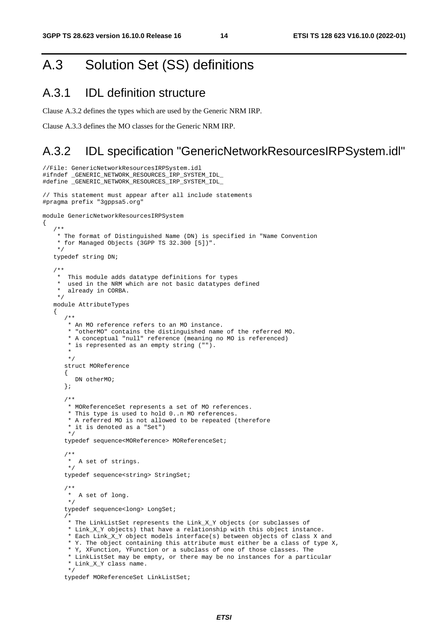# A.3 Solution Set (SS) definitions

#### A.3.1 IDL definition structure

//File: GenericNetworkResourcesIRPSystem.idl

{

Clause A.3.2 defines the types which are used by the Generic NRM IRP.

Clause A.3.3 defines the MO classes for the Generic NRM IRP.

#### A.3.2 IDL specification "GenericNetworkResourcesIRPSystem.idl"

```
#ifndef _GENERIC_NETWORK_RESOURCES_IRP_SYSTEM_IDL_ 
#define _GENERIC_NETWORK_RESOURCES_IRP_SYSTEM_IDL_ 
// This statement must appear after all include statements 
#pragma prefix "3gppsa5.org" 
module GenericNetworkResourcesIRPSystem 
    /** 
     * The format of Distinguished Name (DN) is specified in "Name Convention 
     * for Managed Objects (3GPP TS 32.300 [5])". 
     */ 
    typedef string DN; 
    /** 
     * This module adds datatype definitions for types 
     * used in the NRM which are not basic datatypes defined 
       already in CORBA.
     */ 
    module AttributeTypes 
    { 
       /** 
        * An MO reference refers to an MO instance. 
        * "otherMO" contains the distinguished name of the referred MO. 
        * A conceptual "null" reference (meaning no MO is referenced) 
        * is represented as an empty string (""). 
\star */ 
       struct MOReference 
       { 
         DN otherMO;
       }; 
       /** 
        * MOReferenceSet represents a set of MO references. 
        * This type is used to hold 0..n MO references. 
        * A referred MO is not allowed to be repeated (therefore 
        * it is denoted as a "Set") 
        */ 
       typedef sequence<MOReference> MOReferenceSet; 
       /** 
        * A set of strings. 
        */ 
       typedef sequence<string> StringSet; 
 /** 
        * A set of long. 
        */ 
       typedef sequence<long> LongSet; 
 /* 
        * The LinkListSet represents the Link_X_Y objects (or subclasses of 
        * Link_X_Y objects) that have a relationship with this object instance. 
        * Each Link_X_Y object models interface(s) between objects of class X and 
        * Y. The object containing this attribute must either be a class of type X, 
        * Y, XFunction, YFunction or a subclass of one of those classes. The 
        * LinkListSet may be empty, or there may be no instances for a particular 
        * Link_X_Y class name. 
        */ 
       typedef MOReferenceSet LinkListSet;
```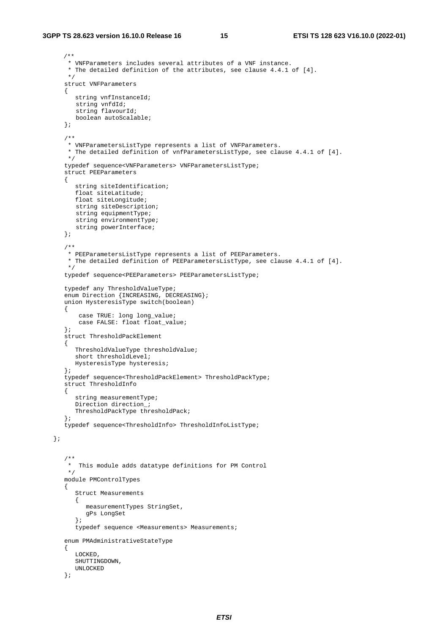};

```
/** 
        * VNFParameters includes several attributes of a VNF instance. 
        * The detailed definition of the attributes, see clause 4.4.1 of [4]. 
        */ 
       struct VNFParameters 
      \left\{ \right. string vnfInstanceId; 
         string vnfdId; 
         string flavourId; 
         boolean autoScalable; 
       }; 
       /** 
        * VNFParametersListType represents a list of VNFParameters. 
        * The detailed definition of vnfParametersListType, see clause 4.4.1 of [4]. 
        */ 
       typedef sequence<VNFParameters> VNFParametersListType; 
       struct PEEParameters 
       { 
          string siteIdentification; 
          float siteLatitude; 
          float siteLongitude; 
         string siteDescription; 
         string equipmentType; 
         string environmentType;
         string powerInterface; 
       }; 
       /** 
        * PEEParametersListType represents a list of PEEParameters. 
        * The detailed definition of PEEParametersListType, see clause 4.4.1 of [4]. 
       */ 
       typedef sequence<PEEParameters> PEEParametersListType; 
       typedef any ThresholdValueType; 
       enum Direction {INCREASING, DECREASING}; 
       union HysteresisType switch(boolean) 
       { 
           case TRUE: long long_value; 
           case FALSE: float float_value; 
       }; 
       struct ThresholdPackElement 
       { 
          ThresholdValueType thresholdValue; 
          short thresholdLevel; 
          HysteresisType hysteresis; 
       }; 
       typedef sequence<ThresholdPackElement> ThresholdPackType; 
       struct ThresholdInfo 
       { 
          string measurementType; 
          Direction direction_; 
          ThresholdPackType thresholdPack; 
       }; 
       typedef sequence<ThresholdInfo> ThresholdInfoListType; 
 /** 
        * This module adds datatype definitions for PM Control 
       * module PMControlTypes 
       { 
          Struct Measurements 
          { 
             measurementTypes StringSet, 
            gPs LongSet 
          }; 
          typedef sequence <Measurements> Measurements; 
       enum PMAdministrativeStateType 
       { 
          LOCKED, 
          SHUTTINGDOWN, 
          UNLOCKED 
       };
```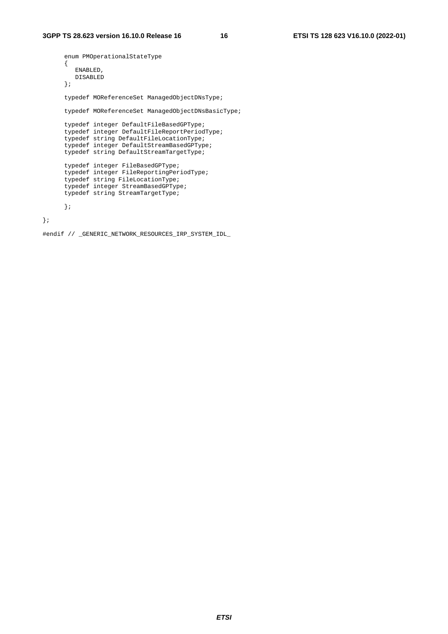```
 enum PMOperationalStateType 
       { 
         ENABLED, 
         DISABLED 
       }; 
      typedef MOReferenceSet ManagedObjectDNsType; 
      typedef MOReferenceSet ManagedObjectDNsBasicType; 
      typedef integer DefaultFileBasedGPType; 
      typedef integer DefaultFileReportPeriodType; 
       typedef string DefaultFileLocationType; 
       typedef integer DefaultStreamBasedGPType; 
      typedef string DefaultStreamTargetType; 
 typedef integer FileBasedGPType; 
 typedef integer FileReportingPeriodType; 
      typedef string FileLocationType; 
      typedef integer StreamBasedGPType; 
      typedef string StreamTargetType; 
      };
```
};

#endif // \_GENERIC\_NETWORK\_RESOURCES\_IRP\_SYSTEM\_IDL\_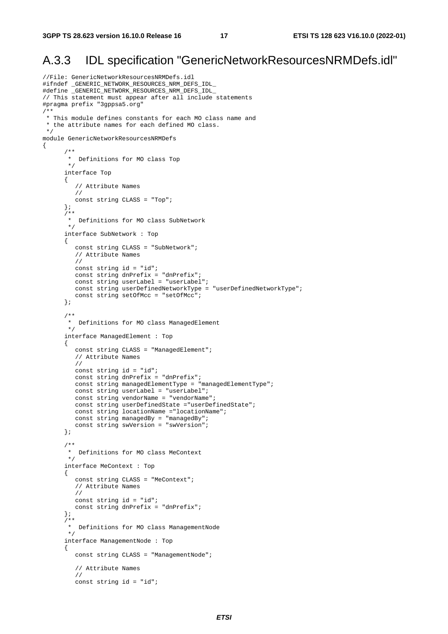{

### A.3.3 IDL specification "GenericNetworkResourcesNRMDefs.idl"

```
//File: GenericNetworkResourcesNRMDefs.idl 
#ifndef _GENERIC_NETWORK_RESOURCES_NRM_DEFS_IDL_ 
#define _GENERIC_NETWORK_RESOURCES_NRM_DEFS_IDL_ 
// This statement must appear after all include statements 
#pragma prefix "3gppsa5.org" 
/** 
 * This module defines constants for each MO class name and 
  * the attribute names for each defined MO class. 
  */ 
module GenericNetworkResourcesNRMDefs 
 /** 
        * Definitions for MO class Top 
        */ 
       interface Top 
       { 
          // Attribute Names 
          // 
          const string CLASS = "Top"; 
       }; 
      7** * Definitions for MO class SubNetwork 
        */ 
       interface SubNetwork : Top 
       { 
          const string CLASS = "SubNetwork"; 
          // Attribute Names 
          // 
          const string id = "id"; 
          const string dnPrefix = "dnPrefix"; 
          const string userLabel = "userLabel"; 
          const string userDefinedNetworkType = "userDefinedNetworkType"; 
         const string setOfMcc = "setOfMcc";
       }; 
 /** 
        * Definitions for MO class ManagedElement 
 */ 
       interface ManagedElement : Top 
       { 
          const string CLASS = "ManagedElement"; 
          // Attribute Names 
          // 
          const string id = "id"; 
          const string dnPrefix = "dnPrefix"; 
          const string managedElementType = "managedElementType"; 
          const string userLabel = "userLabel"; 
          const string vendorName = "vendorName"; 
          const string userDefinedState ="userDefinedState"; 
          const string locationName ="locationName"; 
          const string managedBy = "managedBy"; 
          const string swVersion = "swVersion"; 
       }; 
       /** 
        * Definitions for MO class MeContext 
        */ 
       interface MeContext : Top 
       { 
          const string CLASS = "MeContext"; 
          // Attribute Names 
          // 
          const string id = "id"; 
          const string dnPrefix = "dnPrefix"; 
       }; 
       /** 
        * Definitions for MO class ManagementNode 
        */ 
       interface ManagementNode : Top 
       { 
          const string CLASS = "ManagementNode"; 
          // Attribute Names 
          // 
          const string id = "id";
```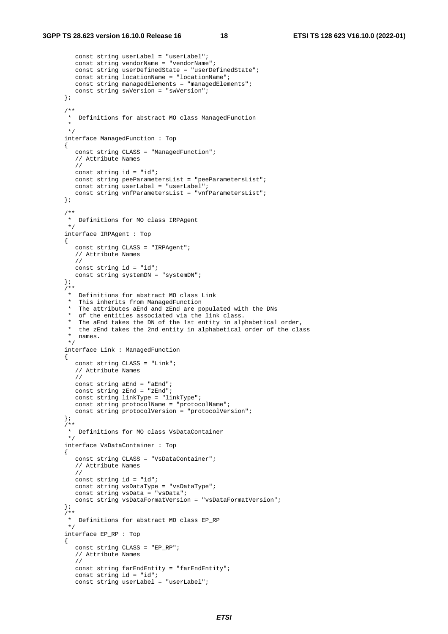```
 const string userLabel = "userLabel"; 
          const string vendorName = "vendorName"; 
          const string userDefinedState = "userDefinedState"; 
          const string locationName = "locationName"; 
          const string managedElements = "managedElements"; 
          const string swVersion = "swVersion"; 
       }; 
       /** 
        * Definitions for abstract MO class ManagedFunction 
\star */ 
       interface ManagedFunction : Top 
       { 
          const string CLASS = "ManagedFunction"; 
          // Attribute Names 
          // 
          const string id = "id"; 
          const string peeParametersList = "peeParametersList"; 
          const string userLabel = "userLabel"; 
          const string vnfParametersList = "vnfParametersList"; 
       }; 
 /** 
        * Definitions for MO class IRPAgent 
        */ 
       interface IRPAgent : Top 
       { 
          const string CLASS = "IRPAgent"; 
          // Attribute Names 
          // 
          const string id = "id"; 
          const string systemDN = "systemDN"; 
       }; 
       /** 
        * Definitions for abstract MO class Link 
        * This inherits from ManagedFunction 
        * The attributes aEnd and zEnd are populated with the DNs 
         of the entities associated via the link class.
       * The aEnd takes the DN of the 1st entity in alphabetical order,<br>* the aEnd takes the 2nd ontity in alphabetical order of the algo
          the zEnd takes the 2nd entity in alphabetical order of the class
        * names. 
        */ 
       interface Link : ManagedFunction 
       { 
          const string CLASS = "Link"; 
          // Attribute Names 
          // 
          const string aEnd = "aEnd"; 
         const string zEnd = "zEnd";
          const string linkType = "linkType"; 
          const string protocolName = "protocolName"; 
          const string protocolVersion = "protocolVersion"; 
       }; 
       /** 
        * Definitions for MO class VsDataContainer 
        */ 
       interface VsDataContainer : Top 
       { 
          const string CLASS = "VsDataContainer"; 
          // Attribute Names 
          // 
          const string id = "id"; 
          const string vsDataType = "vsDataType"; 
          const string vsData = "vsData"; 
          const string vsDataFormatVersion = "vsDataFormatVersion"; 
       }; 
      7** * Definitions for abstract MO class EP_RP 
        */ 
       interface EP_RP : Top 
       { 
          const string CLASS = "EP_RP"; 
          // Attribute Names 
          // 
          const string farEndEntity = "farEndEntity"; 
         const string id = "id"; const string userLabel = "userLabel";
```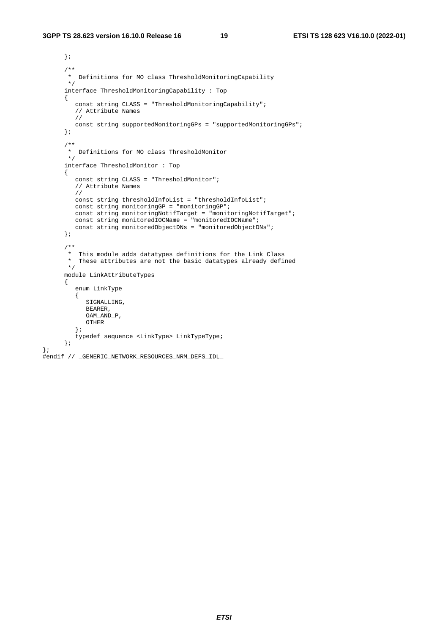```
 }; 
 /** 
        * Definitions for MO class ThresholdMonitoringCapability 
        */ 
       interface ThresholdMonitoringCapability : Top 
       { 
          const string CLASS = "ThresholdMonitoringCapability"; 
          // Attribute Names 
          // 
         const string supportedMonitoringGPs = "supportedMonitoringGPs"; 
       }; 
       /** 
        * Definitions for MO class ThresholdMonitor 
        */ 
       interface ThresholdMonitor : Top 
       { 
          const string CLASS = "ThresholdMonitor"; 
          // Attribute Names 
          // 
          const string thresholdInfoList = "thresholdInfoList"; 
          const string monitoringGP = "monitoringGP"; 
          const string monitoringNotifTarget = "monitoringNotifTarget"; 
          const string monitoredIOCName = "monitoredIOCName"; 
          const string monitoredObjectDNs = "monitoredObjectDNs"; 
       }; 
       /** 
        * This module adds datatypes definitions for the Link Class 
        * These attributes are not the basic datatypes already defined 
        */ 
       module LinkAttributeTypes 
       { 
          enum LinkType 
          { 
             SIGNALLING, 
            BEARER, 
            OAM_AND_P, 
            OTHER 
          }; 
          typedef sequence <LinkType> LinkTypeType; 
       };
```

```
#endif // _GENERIC_NETWORK_RESOURCES_NRM_DEFS_IDL_
```
};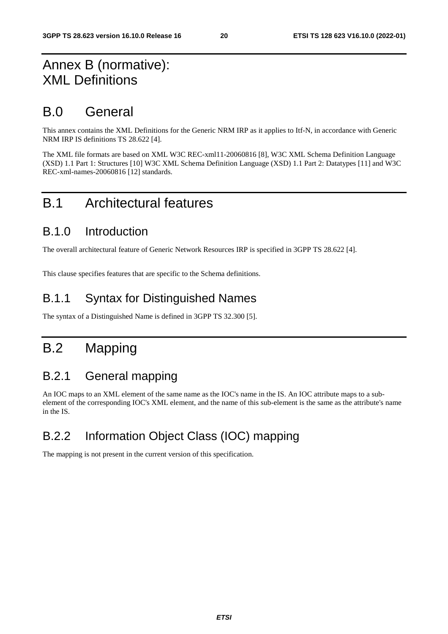# Annex B (normative): XML Definitions

## B.0 General

This annex contains the XML Definitions for the Generic NRM IRP as it applies to Itf-N, in accordance with Generic NRM IRP IS definitions TS 28.622 [4].

The XML file formats are based on XML W3C REC-xml11-20060816 [8], W3C XML Schema Definition Language (XSD) 1.1 Part 1: Structures [10] W3C XML Schema Definition Language (XSD) 1.1 Part 2: Datatypes [11] and W3C REC-xml-names-20060816 [12] standards.

# B.1 Architectural features

#### B.1.0 Introduction

The overall architectural feature of Generic Network Resources IRP is specified in 3GPP TS 28.622 [4].

This clause specifies features that are specific to the Schema definitions.

### B.1.1 Syntax for Distinguished Names

The syntax of a Distinguished Name is defined in 3GPP TS 32.300 [5].

# B.2 Mapping

### B.2.1 General mapping

An IOC maps to an XML element of the same name as the IOC's name in the IS. An IOC attribute maps to a subelement of the corresponding IOC's XML element, and the name of this sub-element is the same as the attribute's name in the IS.

# B.2.2 Information Object Class (IOC) mapping

The mapping is not present in the current version of this specification.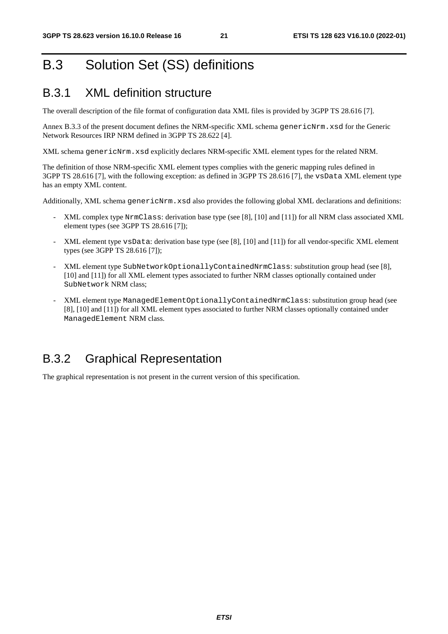# B.3 Solution Set (SS) definitions

### B.3.1 XML definition structure

The overall description of the file format of configuration data XML files is provided by 3GPP TS 28.616 [7].

Annex B.3.3 of the present document defines the NRM-specific XML schema genericNrm. xsd for the Generic Network Resources IRP NRM defined in 3GPP TS 28.622 [4].

XML schema genericNrm.xsd explicitly declares NRM-specific XML element types for the related NRM.

The definition of those NRM-specific XML element types complies with the generic mapping rules defined in 3GPP TS 28.616 [7], with the following exception: as defined in 3GPP TS 28.616 [7], the vsData XML element type has an empty XML content.

Additionally, XML schema genericNrm.xsd also provides the following global XML declarations and definitions:

- XML complex type NrmClass: derivation base type (see [8], [10] and [11]) for all NRM class associated XML element types (see 3GPP TS 28.616 [7]);
- XML element type vsData: derivation base type (see [8], [10] and [11]) for all vendor-specific XML element types (see 3GPP TS 28.616 [7]);
- XML element type SubNetworkOptionallyContainedNrmClass: substitution group head (see [8], [10] and [11]) for all XML element types associated to further NRM classes optionally contained under SubNetwork NRM class;
- XML element type ManagedElementOptionallyContainedNrmClass: substitution group head (see [8], [10] and [11]) for all XML element types associated to further NRM classes optionally contained under ManagedElement NRM class.

### B.3.2 Graphical Representation

The graphical representation is not present in the current version of this specification.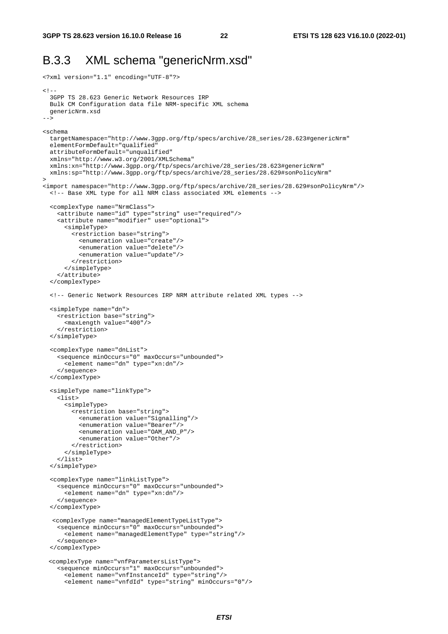### B.3.3 XML schema "genericNrm.xsd"

```
<?xml version="1.1" encoding="UTF-8"?> 
< ! - - 3GPP TS 28.623 Generic Network Resources IRP 
  Bulk CM Configuration data file NRM-specific XML schema 
  genericNrm.xsd 
--> 
<schema 
   targetNamespace="http://www.3gpp.org/ftp/specs/archive/28_series/28.623#genericNrm" 
   elementFormDefault="qualified" 
   attributeFormDefault="unqualified" 
  xmlns="http://www.w3.org/2001/XMLSchema" 
   xmlns:xn="http://www.3gpp.org/ftp/specs/archive/28_series/28.623#genericNrm" 
  xmlns:sp="http://www.3gpp.org/ftp/specs/archive/28_series/28.629#sonPolicyNrm" 
> 
<import namespace="http://www.3gpp.org/ftp/specs/archive/28_series/28.629#sonPolicyNrm"/> 
   <!-- Base XML type for all NRM class associated XML elements --> 
   <complexType name="NrmClass"> 
     <attribute name="id" type="string" use="required"/> 
     <attribute name="modifier" use="optional"> 
       <simpleType> 
         <restriction base="string"> 
           <enumeration value="create"/> 
           <enumeration value="delete"/> 
           <enumeration value="update"/> 
         </restriction> 
       </simpleType> 
     </attribute> 
   </complexType> 
   <!-- Generic Network Resources IRP NRM attribute related XML types --> 
   <simpleType name="dn"> 
     <restriction base="string"> 
       <maxLength value="400"/> 
     </restriction> 
   </simpleType> 
   <complexType name="dnList"> 
     <sequence minOccurs="0" maxOccurs="unbounded"> 
       <element name="dn" type="xn:dn"/> 
     </sequence> 
   </complexType> 
   <simpleType name="linkType"> 
     <list> 
       <simpleType> 
         <restriction base="string"> 
           <enumeration value="Signalling"/> 
           <enumeration value="Bearer"/> 
           <enumeration value="OAM_AND_P"/> 
           <enumeration value="Other"/> 
         </restriction> 
       </simpleType> 
     </list> 
   </simpleType> 
   <complexType name="linkListType"> 
     <sequence minOccurs="0" maxOccurs="unbounded"> 
      equence minocours = c min ...<br><element name="dn" type="xn:dn"/>
     </sequence> 
   </complexType> 
   <complexType name="managedElementTypeListType"> 
     <sequence minOccurs="0" maxOccurs="unbounded"> 
       <element name="managedElementType" type="string"/> 
     </sequence> 
   </complexType> 
  <complexType name="vnfParametersListType"> 
     <sequence minOccurs="1" maxOccurs="unbounded"> 
       <element name="vnfInstanceId" type="string"/> 
       <element name="vnfdId" type="string" minOccurs="0"/>
```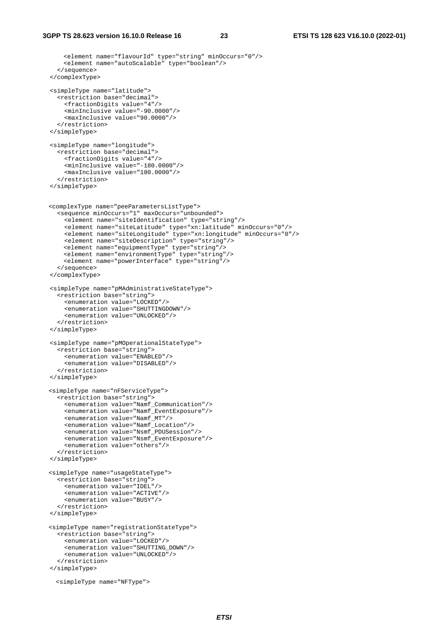```
<element name="flavourId" type="string" minOccurs="0"/> 
      <element name="autoScalable" type="boolean"/> 
     </sequence> 
  </complexType> 
  <simpleType name="latitude"> 
    <restriction base="decimal"> 
       <fractionDigits value="4"/> 
       <minInclusive value="-90.0000"/> 
       <maxInclusive value="90.0000"/> 
     </restriction> 
  </simpleType> 
  <simpleType name="longitude"> 
    <restriction base="decimal"> 
      <fractionDigits value="4"/> 
       <minInclusive value="-180.0000"/> 
      <maxInclusive value="180.0000"/> 
     </restriction> 
  </simpleType> 
 <complexType name="peeParametersListType"> 
    <sequence minOccurs="1" maxOccurs="unbounded"> 
 <element name="siteIdentification" type="string"/> 
 <element name="siteLatitude" type="xn:latitude" minOccurs="0"/> 
 <element name="siteLongitude" type="xn:longitude" minOccurs="0"/> 
       <element name="siteDescription" type="string"/> 
     <element name="equipmentType" type="string"/> 
      <element name="environmentType" type="string"/> 
      <element name="powerInterface" type="string"/> 
     </sequence> 
  </complexType> 
  <simpleType name="pMAdministrativeStateType"> 
    <restriction base="string"> 
      <enumeration value="LOCKED"/> 
       <enumeration value="SHUTTINGDOWN"/> 
       <enumeration value="UNLOCKED"/> 
    </restriction> 
  </simpleType> 
  <simpleType name="pMOperationalStateType"> 
    <restriction base="string"> 
       <enumeration value="ENABLED"/> 
       <enumeration value="DISABLED"/> 
    </restriction> 
  </simpleType> 
 <simpleType name="nFServiceType"> 
    <restriction base="string"> 
      <enumeration value="Namf_Communication"/> 
       <enumeration value="Namf_EventExposure"/> 
       <enumeration value="Namf_MT"/> 
       <enumeration value="Namf_Location"/> 
       <enumeration value="Nsmf_PDUSession"/> 
       <enumeration value="Nsmf_EventExposure"/> 
       <enumeration value="others"/> 
     </restriction> 
  </simpleType> 
 <simpleType name="usageStateType"> 
    <restriction base="string"> 
       <enumeration value="IDEL"/> 
       <enumeration value="ACTIVE"/> 
       <enumeration value="BUSY"/> 
     </restriction> 
  </simpleType> 
 <simpleType name="registrationStateType"> 
    <restriction base="string"> 
      <enumeration value="LOCKED"/> 
       <enumeration value="SHUTTING_DOWN"/> 
       <enumeration value="UNLOCKED"/> 
     </restriction> 
  </simpleType> 
    <simpleType name="NFType">
```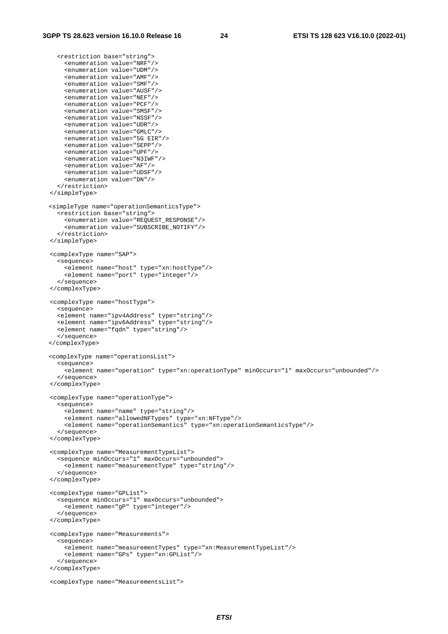<restriction base="string">

```
 <enumeration value="NRF"/> 
     <enumeration value="UDM"/> 
     <enumeration value="AMF"/> 
     <enumeration value="SMF"/> 
     <enumeration value="AUSF"/> 
     <enumeration value="NEF"/> 
     <enumeration value="PCF"/> 
     <enumeration value="SMSF"/> 
     <enumeration value="NSSF"/> 
     <enumeration value="UDR"/> 
     <enumeration value="GMLC"/> 
     <enumeration value="5G EIR"/> 
     <enumeration value="SEPP"/> 
     <enumeration value="UPF"/> 
     <enumeration value="N3IWF"/> 
     <enumeration value="AF"/> 
     <enumeration value="UDSF"/> 
     <enumeration value="DN"/> 
   </restriction> 
 </simpleType> 
<simpleType name="operationSemanticsType"> 
   <restriction base="string"> 
     <enumeration value="REQUEST_RESPONSE"/> 
     <enumeration value="SUBSCRIBE_NOTIFY"/> 
   </restriction> 
 </simpleType> 
 <complexType name="SAP"> 
   <sequence> 
     <element name="host" type="xn:hostType"/> 
     <element name="port" type="integer"/> 
   </sequence> 
 </complexType> 
 <complexType name="hostType"> 
   <sequence> 
   <element name="ipv4Address" type="string"/> 
   <element name="ipv6Address" type="string"/> 
   <element name="fqdn" type="string"/> 
   </sequence> 
</complexType> 
<complexType name="operationsList"> 
   <sequence> 
     <element name="operation" type="xn:operationType" minOccurs="1" maxOccurs="unbounded"/> 
   </sequence> 
 </complexType> 
 <complexType name="operationType"> 
   <sequence> 
     <element name="name" type="string"/> 
     <element name="allowedNFTypes" type="xn:NFType"/> 
     <element name="operationSemantics" type="xn:operationSemanticsType"/> 
   </sequence> 
 </complexType> 
 <complexType name="MeasurementTypeList"> 
   <sequence minOccurs="1" maxOccurs="unbounded"> 
     <element name="measurementType" type="string"/> 
   </sequence> 
 </complexType> 
 <complexType name="GPList"> 
   <sequence minOccurs="1" maxOccurs="unbounded"> 
     <element name="gP" type="integer"/> 
   </sequence> 
 </complexType> 
 <complexType name="Measurements"> 
   <sequence> 
     <element name="measurementTypes" type="xn:MeasurementTypeList"/> 
     <element name="GPs" type="xn:GPList"/> 
   </sequence> 
 </complexType> 
 <complexType name="MeasurementsList">
```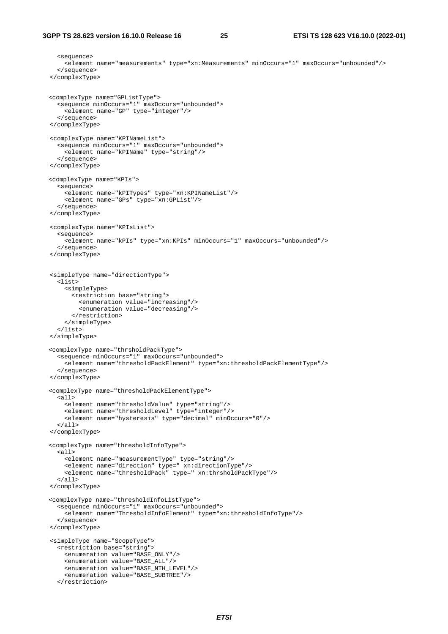```
 <sequence> 
     <element name="measurements" type="xn:Measurements" minOccurs="1" maxOccurs="unbounded"/> 
   </sequence> 
 </complexType> 
<complexType name="GPListType"> 
   <sequence minOccurs="1" maxOccurs="unbounded"> 
     <element name="GP" type="integer"/> 
   </sequence> 
 </complexType> 
 <complexType name="KPINameList"> 
   <sequence minOccurs="1" maxOccurs="unbounded"> 
     <element name="kPIName" type="string"/> 
   </sequence> 
 </complexType> 
<complexType name="KPIs"> 
   <sequence> 
     <element name="kPITypes" type="xn:KPINameList"/> 
     <element name="GPs" type="xn:GPList"/> 
   </sequence> 
 </complexType> 
 <complexType name="KPIsList"> 
   <sequence> 
     <element name="kPIs" type="xn:KPIs" minOccurs="1" maxOccurs="unbounded"/> 
   </sequence> 
 </complexType> 
 <simpleType name="directionType"> 
   <list> 
     <simpleType> 
       <restriction base="string"> 
         <enumeration value="increasing"/> 
          <enumeration value="decreasing"/> 
       </restriction> 
     </simpleType> 
   </list> 
 </simpleType> 
<complexType name="thrsholdPackType"> 
   <sequence minOccurs="1" maxOccurs="unbounded"> 
     <element name="thresholdPackElement" type="xn:thresholdPackElementType"/> 
   </sequence> 
 </complexType> 
<complexType name="thresholdPackElementType"> 
   <all> 
     <element name="thresholdValue" type="string"/> 
     <element name="thresholdLevel" type="integer"/> 
     <element name="hysteresis" type="decimal" minOccurs="0"/> 
   </all> 
 </complexType> 
<complexType name="thresholdInfoType"> 
   <all> 
     <element name="measurementType" type="string"/> 
     <element name="direction" type=" xn:directionType"/> 
     <element name="thresholdPack" type=" xn:thrsholdPackType"/> 
  \langleall\rangle </complexType> 
<complexType name="thresholdInfoListType"> 
   <sequence minOccurs="1" maxOccurs="unbounded"> 
     <element name="ThresholdInfoElement" type="xn:thresholdInfoType"/> 
   </sequence> 
 </complexType> 
 <simpleType name="ScopeType"> 
   <restriction base="string"> 
     <enumeration value="BASE_ONLY"/> 
     <enumeration value="BASE_ALL"/> 
     <enumeration value="BASE_NTH_LEVEL"/> 
     <enumeration value="BASE_SUBTREE"/> 
   </restriction>
```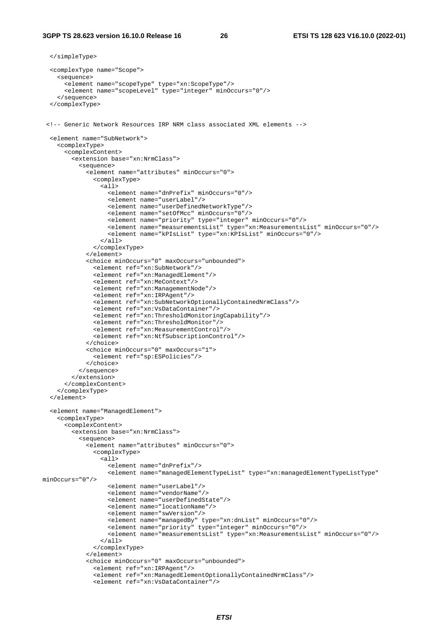```
 </simpleType> 
   <complexType name="Scope"> 
     <sequence> 
       <element name="scopeType" type="xn:ScopeType"/> 
       <element name="scopeLevel" type="integer" minOccurs="0"/> 
     </sequence> 
   </complexType> 
  <!-- Generic Network Resources IRP NRM class associated XML elements --> 
   <element name="SubNetwork"> 
     <complexType> 
       <complexContent> 
         <extension base="xn:NrmClass"> 
            <sequence> 
              <element name="attributes" minOccurs="0"> 
                <complexType> 
                 \overline{all} <element name="dnPrefix" minOccurs="0"/> 
                    <element name="userLabel"/> 
                    <element name="userDefinedNetworkType"/> 
                    <element name="setOfMcc" minOccurs="0"/> 
                    <element name="priority" type="integer" minOccurs="0"/> 
                    <element name="measurementsList" type="xn:MeasurementsList" minOccurs="0"/> 
                    <element name="kPIsList" type="xn:KPIsList" minOccurs="0"/> 
                 \langleall\rangle </complexType> 
              </element> 
              <choice minOccurs="0" maxOccurs="unbounded"> 
                <element ref="xn:SubNetwork"/> 
                <element ref="xn:ManagedElement"/> 
                <element ref="xn:MeContext"/> 
                <element ref="xn:ManagementNode"/> 
                <element ref="xn:IRPAgent"/> 
                <element ref="xn:SubNetworkOptionallyContainedNrmClass"/> 
                <element ref="xn:VsDataContainer"/> 
                <element ref="xn:ThresholdMonitoringCapability"/> 
                <element ref="xn:ThresholdMonitor"/> 
                <element ref="xn:MeasurementControl"/> 
                <element ref="xn:NtfSubscriptionControl"/> 
              </choice> 
              <choice minOccurs="0" maxOccurs="1"> 
                <element ref="sp:ESPolicies"/> 
              </choice> 
           </sequence> 
         </extension> 
       </complexContent> 
     </complexType> 
   </element> 
   <element name="ManagedElement"> 
     <complexType> 
       <complexContent> 
         <extension base="xn:NrmClass"> 
            <sequence> 
              <element name="attributes" minOccurs="0"> 
                <complexType> 
                  <all> 
                    <element name="dnPrefix"/> 
                    <element name="managedElementTypeList" type="xn:managedElementTypeListType" 
minOccurs="0"/> 
                    <element name="userLabel"/> 
                    <element name="vendorName"/> 
                    <element name="userDefinedState"/> 
                    <element name="locationName"/> 
                    <element name="swVersion"/> 
                    <element name="managedBy" type="xn:dnList" minOccurs="0"/> 
                    <element name="priority" type="integer" minOccurs="0"/> 
                    <element name="measurementsList" type="xn:MeasurementsList" minOccurs="0"/> 
                  </all> 
                </complexType> 
              </element> 
              <choice minOccurs="0" maxOccurs="unbounded"> 
                <element ref="xn:IRPAgent"/> 
                <element ref="xn:ManagedElementOptionallyContainedNrmClass"/> 
                <element ref="xn:VsDataContainer"/>
```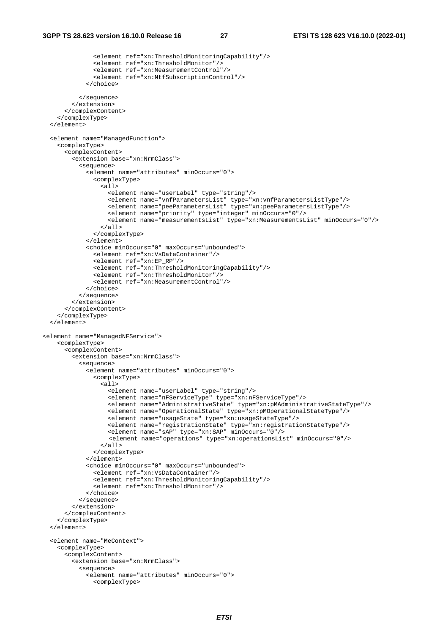```
 <element ref="xn:ThresholdMonitoringCapability"/> 
                <element ref="xn:ThresholdMonitor"/> 
                <element ref="xn:MeasurementControl"/> 
                <element ref="xn:NtfSubscriptionControl"/> 
              </choice> 
           </sequence> 
         </extension> 
       </complexContent> 
     </complexType> 
   </element> 
   <element name="ManagedFunction"> 
     <complexType> 
       <complexContent> 
         <extension base="xn:NrmClass"> 
            <sequence> 
              <element name="attributes" minOccurs="0"> 
                <complexType> 
                 \overline{311} <element name="userLabel" type="string"/> 
                    <element name="vnfParametersList" type="xn:vnfParametersListType"/> 
                    <element name="peeParametersList" type="xn:peeParametersListType"/> 
                    <element name="priority" type="integer" minOccurs="0"/> 
                    <element name="measurementsList" type="xn:MeasurementsList" minOccurs="0"/> 
                 \epsilon/all\epsilon </complexType> 
              </element> 
              <choice minOccurs="0" maxOccurs="unbounded"> 
                <element ref="xn:VsDataContainer"/> 
                <element ref="xn:EP_RP"/> 
                <element ref="xn:ThresholdMonitoringCapability"/> 
                <element ref="xn:ThresholdMonitor"/> 
                <element ref="xn:MeasurementControl"/> 
              </choice> 
            </sequence> 
         </extension> 
       </complexContent> 
     </complexType> 
   </element> 
<element name="ManagedNFService"> 
     <complexType> 
       <complexContent> 
         <extension base="xn:NrmClass"> 
            <sequence> 
              <element name="attributes" minOccurs="0"> 
                <complexType> 
                  <all> 
                    <element name="userLabel" type="string"/> 
                    <element name="nFServiceType" type="xn:nFServiceType"/> 
                    <element name="AdministrativeState" type="xn:pMAdministrativeStateType"/> 
                    <element name="OperationalState" type="xn:pMOperationalStateType"/> 
                    <element name="usageState" type="xn:usageStateType"/> 
                    <element name="registrationState" type="xn:registrationStateType"/> 
                    <element name="sAP" type="xn:SAP" minOccurs="0"/> 
                    <element name="operations" type="xn:operationsList" minOccurs="0"/> 
                  </all> 
                </complexType> 
              </element> 
              <choice minOccurs="0" maxOccurs="unbounded"> 
                <element ref="xn:VsDataContainer"/> 
                <element ref="xn:ThresholdMonitoringCapability"/> 
                <element ref="xn:ThresholdMonitor"/> 
              </choice> 
            </sequence> 
          </extension> 
       </complexContent> 
     </complexType> 
   </element> 
   <element name="MeContext"> 
     <complexType> 
       <complexContent> 
         <extension base="xn:NrmClass"> 
            <sequence> 
              <element name="attributes" minOccurs="0"> 
                <complexType>
```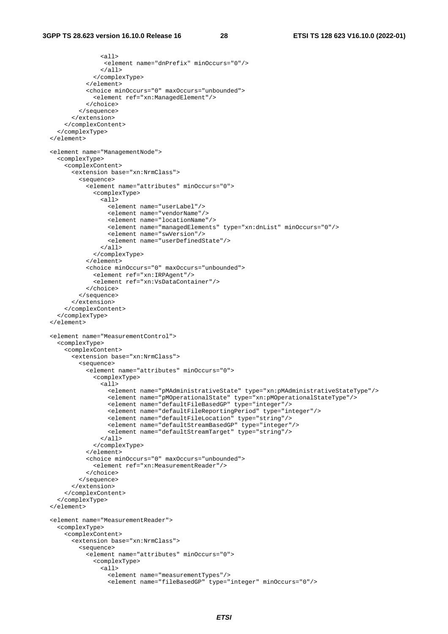```
 <all> 
                   <element name="dnPrefix" minOccurs="0"/> 
                 \langleall\rangle </complexType> 
              </element> 
              <choice minOccurs="0" maxOccurs="unbounded"> 
                <element ref="xn:ManagedElement"/> 
             </choice> 
           </sequence> 
         </extension> 
       </complexContent> 
     </complexType> 
  </element> 
  <element name="ManagementNode"> 
     <complexType> 
       <complexContent> 
         <extension base="xn:NrmClass"> 
           <sequence> 
             <element name="attributes" minOccurs="0"> 
                <complexType> 
                  <all> 
                    <element name="userLabel"/> 
                    <element name="vendorName"/> 
                    <element name="locationName"/> 
                    <element name="managedElements" type="xn:dnList" minOccurs="0"/> 
                    <element name="swVersion"/> 
                    <element name="userDefinedState"/> 
                 \langleall\rangle </complexType> 
              </element> 
              <choice minOccurs="0" maxOccurs="unbounded"> 
                <element ref="xn:IRPAgent"/> 
                <element ref="xn:VsDataContainer"/> 
             </choice> 
           </sequence> 
         </extension> 
       </complexContent> 
     </complexType> 
  </element> 
  <element name="MeasurementControl"> 
     <complexType> 
       <complexContent> 
         <extension base="xn:NrmClass"> 
           <sequence> 
             <element name="attributes" minOccurs="0"> 
                <complexType> 
                  <all> 
                    <element name="pMAdministrativeState" type="xn:pMAdministrativeStateType"/> 
 <element name="pMOperationalState" type="xn:pMOperationalStateType"/> 
 <element name="defaultFileBasedGP" type="integer"/> 
                    <element name="defaultFileReportingPeriod" type="integer"/> 
                    <element name="defaultFileLocation" type="string"/> 
                    <element name="defaultStreamBasedGP" type="integer"/> 
                    <element name="defaultStreamTarget" type="string"/> 
                 \epsilon/all\epsilon </complexType> 
              </element> 
              <choice minOccurs="0" maxOccurs="unbounded"> 
                <element ref="xn:MeasurementReader"/> 
              </choice> 
           </sequence> 
         </extension> 
       </complexContent> 
     </complexType> 
   </element> 
  <element name="MeasurementReader"> 
     <complexType> 
       <complexContent> 
         <extension base="xn:NrmClass"> 
           <sequence> 
              <element name="attributes" minOccurs="0"> 
                <complexType> 
                 \langleall\rangle <element name="measurementTypes"/> 
                    <element name="fileBasedGP" type="integer" minOccurs="0"/>
```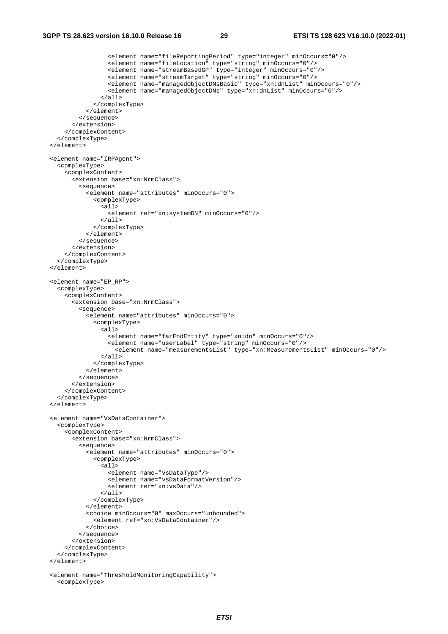```
 <element name="fileReportingPeriod" type="integer" minOccurs="0"/> 
 <element name="fileLocation" type="string" minOccurs="0"/> 
 <element name="streamBasedGP" type="integer" minOccurs="0"/> 
                    <element name="streamTarget" type="string" minOccurs="0"/> 
                    <element name="managedObjectDNsBasic" type="xn:dnList" minOccurs="0"/> 
                    <element name="managedObjectDNs" type="xn:dnList" minOccurs="0"/> 
                  </all> 
                </complexType> 
             </element> 
           </sequence> 
         </extension> 
       </complexContent> 
     </complexType> 
  </element> 
  <element name="IRPAgent"> 
     <complexType> 
       <complexContent> 
         <extension base="xn:NrmClass"> 
           <sequence> 
             <element name="attributes" minOccurs="0"> 
                <complexType> 
                  <all> 
                    <element ref="xn:systemDN" minOccurs="0"/> 
                 \langleall\rangle </complexType> 
              </element> 
           </sequence> 
         </extension> 
       </complexContent> 
     </complexType> 
  </element> 
  <element name="EP_RP"> 
     <complexType> 
       <complexContent> 
         <extension base="xn:NrmClass"> 
           <sequence> 
              <element name="attributes" minOccurs="0"> 
                <complexType> 
                 \overline{\text{call}} <element name="farEndEntity" type="xn:dn" minOccurs="0"/> 
                    <element name="userLabel" type="string" minOccurs="0"/> 
                      <element name="measurementsList" type="xn:MeasurementsList" minOccurs="0"/> 
                 \langleall\rangle </complexType> 
             </element> 
           </sequence> 
         </extension> 
       </complexContent> 
     </complexType> 
 \epsilon/element>
  <element name="VsDataContainer"> 
     <complexType> 
       <complexContent> 
         <extension base="xn:NrmClass"> 
           <sequence> 
              <element name="attributes" minOccurs="0"> 
                <complexType> 
                  <all> 
                    <element name="vsDataType"/> 
                    <element name="vsDataFormatVersion"/> 
                    <element ref="xn:vsData"/> 
                 \langleall\rangle </complexType> 
              </element> 
              <choice minOccurs="0" maxOccurs="unbounded"> 
                <element ref="xn:VsDataContainer"/> 
             </choice> 
           </sequence> 
         </extension> 
       </complexContent> 
     </complexType> 
  </element> 
  <element name="ThresholdMonitoringCapability"> 
     <complexType>
```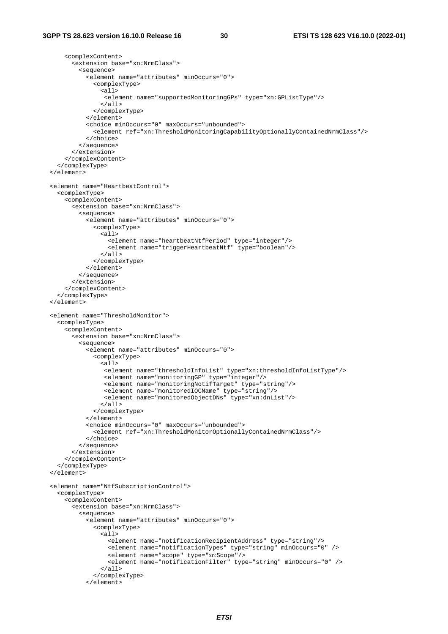```
 <complexContent> 
       <extension base="xn:NrmClass"> 
         <sequence> 
            <element name="attributes" minOccurs="0"> 
              <complexType> 
               <sub>all</sub></sub>
                 <element name="supportedMonitoringGPs" type="xn:GPListType"/> 
               \langleall\rangle </complexType> 
            </element> 
            <choice minOccurs="0" maxOccurs="unbounded"> 
              <element ref="xn:ThresholdMonitoringCapabilityOptionallyContainedNrmClass"/> 
            </choice> 
          </sequence> 
       </extension> 
     </complexContent> 
   </complexType> 
 </element> 
 <element name="HeartbeatControl"> 
   <complexType> 
     <complexContent> 
       <extension base="xn:NrmClass"> 
         <sequence> 
            <element name="attributes" minOccurs="0"> 
              <complexType> 
               \overline{a11} <element name="heartbeatNtfPeriod" type="integer"/> 
                   <element name="triggerHeartbeatNtf" type="boolean"/> 
               \epsilon/all\epsilon </complexType> 
            </element> 
          </sequence> 
       </extension> 
     </complexContent> 
   </complexType> 
 </element> 
 <element name="ThresholdMonitor"> 
   <complexType> 
     <complexContent> 
       <extension base="xn:NrmClass"> 
          <sequence> 
            <element name="attributes" minOccurs="0"> 
              <complexType> 
                <all> 
                 <element name="thresholdInfoList" type="xn:thresholdInfoListType"/> 
                 <element name="monitoringGP" type="integer"/> 
                  <element name="monitoringNotifTarget" type="string"/> 
                 <element name="monitoredIOCName" type="string"/> 
                 <element name="monitoredObjectDNs" type="xn:dnList"/> 
               \epsilon/all\epsilon </complexType> 
            </element> 
            <choice minOccurs="0" maxOccurs="unbounded"> 
              <element ref="xn:ThresholdMonitorOptionallyContainedNrmClass"/> 
            </choice> 
         </sequence> 
       </extension> 
     </complexContent> 
   </complexType> 
 </element> 
 <element name="NtfSubscriptionControl"> 
   <complexType> 
     <complexContent> 
       <extension base="xn:NrmClass"> 
         <sequence> 
            <element name="attributes" minOccurs="0"> 
              <complexType> 
                <all> 
                   <element name="notificationRecipientAddress" type="string"/> 
                   <element name="notificationTypes" type="string" minOccurs="0" /> 
                   <element name="scope" type="xn:Scope"/> 
                   <element name="notificationFilter" type="string" minOccurs="0" /> 
                </all> 
              </complexType> 
            </element>
```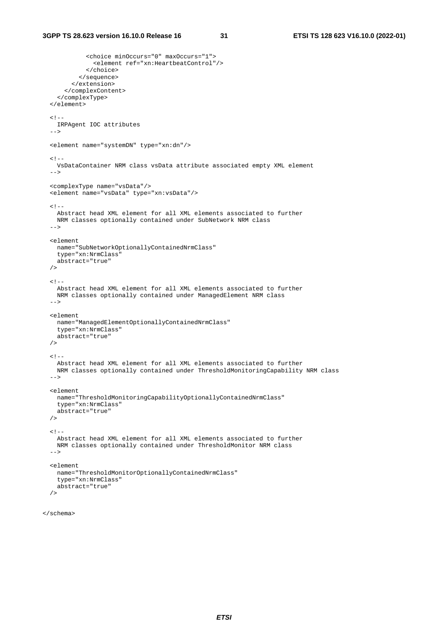```
 <choice minOccurs="0" maxOccurs="1"> 
              <element ref="xn:HeartbeatControl"/> 
           </choice> 
         </sequence> 
       </extension> 
     </complexContent> 
   </complexType> 
 </element> 
< ! - - IRPAgent IOC attributes 
 --> 
 <element name="systemDN" type="xn:dn"/> 
<! - VsDataContainer NRM class vsData attribute associated empty XML element 
-- <complexType name="vsData"/> 
 <element name="vsData" type="xn:vsData"/> 
<! --
  Abstract head XML element for all XML elements associated to further 
  NRM classes optionally contained under SubNetwork NRM class 
-- <element 
  name="SubNetworkOptionallyContainedNrmClass" 
  type="xn:NrmClass" 
  abstract="true" 
/< ! - - Abstract head XML element for all XML elements associated to further 
  NRM classes optionally contained under ManagedElement NRM class 
 --> 
 <element 
  name="ManagedElementOptionallyContainedNrmClass" 
   type="xn:NrmClass" 
  abstract="true" 
 /> 
\leq ! - Abstract head XML element for all XML elements associated to further 
  NRM classes optionally contained under ThresholdMonitoringCapability NRM class 
 --> 
 <element 
  name="ThresholdMonitoringCapabilityOptionallyContainedNrmClass" 
   type="xn:NrmClass" 
  abstract="true" 
 /> 
< 1 - - Abstract head XML element for all XML elements associated to further 
  NRM classes optionally contained under ThresholdMonitor NRM class 
--& <element 
  name="ThresholdMonitorOptionallyContainedNrmClass" 
   type="xn:NrmClass" 
  abstract="true" 
/
```

```
</schema>
```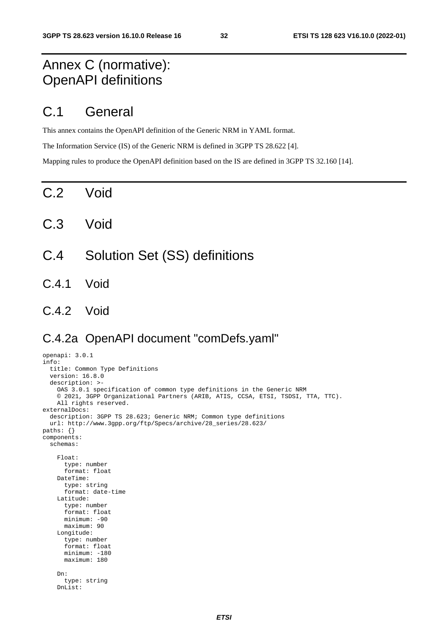# Annex C (normative): OpenAPI definitions

# C.1 General

This annex contains the OpenAPI definition of the Generic NRM in YAML format.

The Information Service (IS) of the Generic NRM is defined in 3GPP TS 28.622 [4].

Mapping rules to produce the OpenAPI definition based on the IS are defined in 3GPP TS 32.160 [14].

C.2 Void

- C.3 Void
- C.4 Solution Set (SS) definitions
- C.4.1 Void
- C.4.2 Void

### C.4.2a OpenAPI document "comDefs.yaml"

```
openapi: 3.0.1 
info: 
   title: Common Type Definitions 
   version: 16.8.0 
   description: >- 
     OAS 3.0.1 specification of common type definitions in the Generic NRM 
     © 2021, 3GPP Organizational Partners (ARIB, ATIS, CCSA, ETSI, TSDSI, TTA, TTC). 
     All rights reserved. 
externalDocs: 
   description: 3GPP TS 28.623; Generic NRM; Common type definitions 
   url: http://www.3gpp.org/ftp/Specs/archive/28_series/28.623/ 
paths: {} 
components: 
   schemas: 
     Float: 
       type: number 
       format: float 
     DateTime: 
       type: string 
       format: date-time 
     Latitude: 
       type: number 
       format: float 
       minimum: -90 
       maximum: 90 
     Longitude: 
       type: number 
       format: float 
       minimum: -180 
       maximum: 180 
     Dn: 
       type: string 
     DnList:
```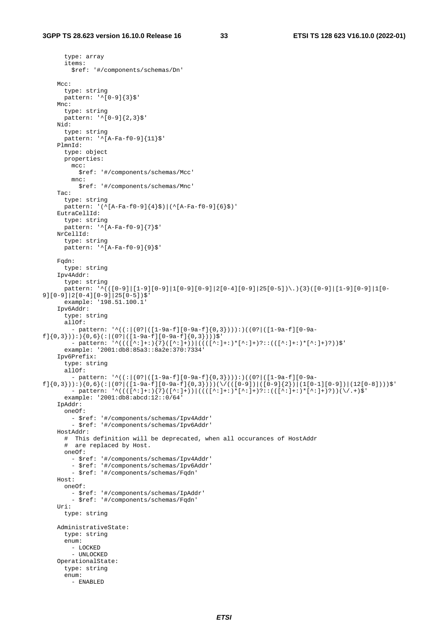```
 type: array 
       items: 
         $ref: '#/components/schemas/Dn' 
    Mcc:
       type: string 
      pattern: '^[0-9]{3} Mnc: 
       type: string 
       pattern: '^[0-9]{2,3}$' 
     Nid: 
       type: string 
       pattern: '^[A-Fa-f0-9]{11}$' 
     PlmnId: 
       type: object 
       properties: 
        m \sim:
           $ref: '#/components/schemas/Mcc' 
         mnc: 
           $ref: '#/components/schemas/Mnc' 
     Tac: 
       type: string 
       pattern: '(^[A-Fa-f0-9]{4}$)|(^[A-Fa-f0-9]{6}$)' 
     EutraCellId: 
       type: string 
      pattern: '^[A-Fa-f0-9]{7}$'
     NrCellId: 
       type: string 
      pattern: \sqrt{\text{A-Fa-f0-9}} 9}$'
     Fqdn: 
       type: string 
     Ipv4Addr: 
       type: string 
      pattern: '^(([0-9]|[1-9][0-9]|1[0-9]|2[0-4][0-9]|25[0-5])\.){3}([0-9]|[1-9][0-9]|1[0-
9][0-9]|2[0-4][0-9]|25[0-5])$' 
       example: '198.51.100.1' 
     Ipv6Addr: 
       type: string 
      a110f:
          - pattern: '^((:|(0?|([1-9a-f][0-9a-f]{0,3}))):)((0?|([1-9a-f][0-9a-
f]{0,3})):){0,6}(:|(0?|([1-9a-f][0-9a-f]{0,3})))$' 
 - pattern: '^((([^:]+:){7}([^:]+))|((([^:]+:)*[^:]+)?::(([^:]+:)*[^:]+)?))$' 
       example: '2001:db8:85a3::8a2e:370:7334' 
     Ipv6Prefix: 
       type: string 
       allOf: 
         - pattern: '^((:|(0?|([1-9a-f][0-9a-f]{0,3}))):)((0?|([1-9a-f][0-9a-
f]{0,3})):){0,6}(:|(0?|([1-9a-f][0-9a-f]{0,3})))(\/(([0-9])|([0-9]{2})|(1[0-1][0-9])|(12[0-8])))$'
        - pattern: \langle(([^*:]+;)^{7}(([^*:]+))|(([^*:]+;)^{*}[^*:]+)^{2}:(([^*:]+;)^{*}(*;]+)^{7}](\sqrt{1+}+5) example: '2001:db8:abcd:12::0/64' 
     IpAddr: 
       oneOf: 
         - $ref: '#/components/schemas/Ipv4Addr' 
         - $ref: '#/components/schemas/Ipv6Addr' 
     HostAddr: 
       # This definition will be deprecated, when all occurances of HostAddr 
       # are replaced by Host. 
       oneOf: 
         - $ref: '#/components/schemas/Ipv4Addr' 
         - $ref: '#/components/schemas/Ipv6Addr' 
         - $ref: '#/components/schemas/Fqdn' 
     Host: 
       oneOf: 
         - $ref: '#/components/schemas/IpAddr' 
         - $ref: '#/components/schemas/Fqdn' 
     Uri: 
       type: string 
     AdministrativeState: 
       type: string 
       enum: 
         - LOCKED 
        - INLOCKED
     OperationalState: 
       type: string 
       enum: 
         - ENABLED
```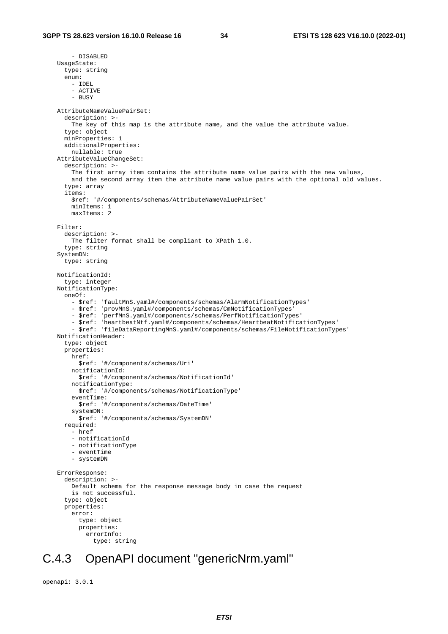- DISABLED UsageState: type: string enum: - IDEL - ACTIVE  $-$  BUSY AttributeNameValuePairSet: description: >- The key of this map is the attribute name, and the value the attribute value. type: object minProperties: 1 additionalProperties: nullable: true AttributeValueChangeSet: description: >- The first array item contains the attribute name value pairs with the new values, and the second array item the attribute name value pairs with the optional old values. type: array items: \$ref: '#/components/schemas/AttributeNameValuePairSet' minItems: 1 maxItems: 2 Filter: description: >- The filter format shall be compliant to XPath 1.0. type: string SystemDN: type: string NotificationId: type: integer NotificationType: oneOf: - \$ref: 'faultMnS.yaml#/components/schemas/AlarmNotificationTypes' - \$ref: 'provMnS.yaml#/components/schemas/CmNotificationTypes' - \$ref: 'perfMnS.yaml#/components/schemas/PerfNotificationTypes' - \$ref: 'heartbeatNtf.yaml#/components/schemas/HeartbeatNotificationTypes' - \$ref: 'fileDataReportingMnS.yaml#/components/schemas/FileNotificationTypes' NotificationHeader: type: object properties: href: \$ref: '#/components/schemas/Uri' notificationId: \$ref: '#/components/schemas/NotificationId' notificationType: \$ref: '#/components/schemas/NotificationType' eventTime: \$ref: '#/components/schemas/DateTime' systemDN: \$ref: '#/components/schemas/SystemDN' required: - href - notificationId - notificationType - eventTime - systemDN ErrorResponse: description: >- Default schema for the response message body in case the request is not successful. type: object properties: error: type: object properties: errorInfo: type: string

### C.4.3 OpenAPI document "genericNrm.yaml"

```
openapi: 3.0.1
```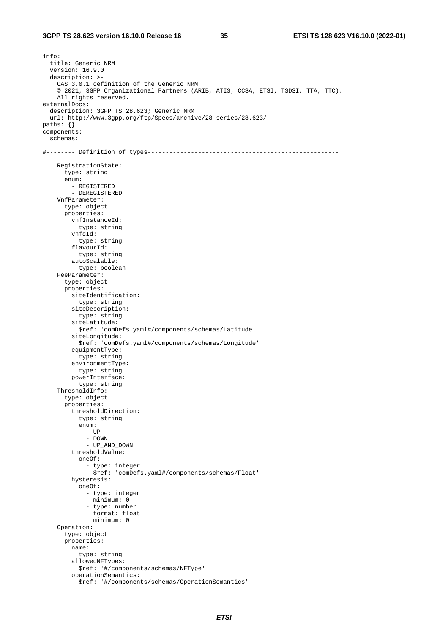info: title: Generic NRM version: 16.9.0 description: >- OAS 3.0.1 definition of the Generic NRM © 2021, 3GPP Organizational Partners (ARIB, ATIS, CCSA, ETSI, TSDSI, TTA, TTC). All rights reserved. externalDocs: description: 3GPP TS 28.623; Generic NRM url: http://www.3gpp.org/ftp/Specs/archive/28\_series/28.623/ paths: {} components: schemas: #-------- Definition of types----------------------------------------------------- RegistrationState: type: string enum: - REGISTERED - DEREGISTERED VnfParameter: type: object properties: vnfInstanceId: type: string vnfdId: type: string flavourId: type: string autoScalable: type: boolean PeeParameter: type: object properties: siteIdentification: type: string siteDescription: type: string siteLatitude: \$ref: 'comDefs.yaml#/components/schemas/Latitude' siteLongitude: \$ref: 'comDefs.yaml#/components/schemas/Longitude' equipmentType: type: string environmentType: type: string powerInterface: type: string ThresholdInfo: type: object properties: thresholdDirection: type: string enum: - UP - DOWN - UP\_AND\_DOWN thresholdValue: oneOf: - type: integer - \$ref: 'comDefs.yaml#/components/schemas/Float' hysteresis: oneOf: - type: integer minimum: 0 - type: number format: float minimum: 0 Operation: type: object properties: name: type: string allowedNFTypes: \$ref: '#/components/schemas/NFType' operationSemantics: \$ref: '#/components/schemas/OperationSemantics'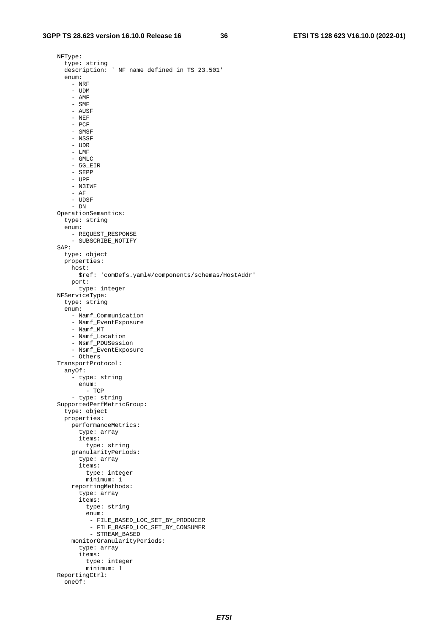NFType: type: string description: ' NF name defined in TS 23.501' enum: - NRF - UDM - AMF - SMF - AUSF - NEF - PCF - SMSF - NSSF - UDR - LMF - GMLC - 5G\_EIR - SEPP - UPF - N3IWF - AF - UDSF - DN OperationSemantics: type: string enum: - REQUEST\_RESPONSE - SUBSCRIBE\_NOTIFY SAP: type: object properties: host: \$ref: 'comDefs.yaml#/components/schemas/HostAddr' port: type: integer NFServiceType: type: string enum: - Namf\_Communication - Namf\_EventExposure - Namf\_MT - Namf Location - Nsmf\_PDUSession - Nsmf\_EventExposure - Others TransportProtocol: anyOf: - type: string enum: - TCP - type: string SupportedPerfMetricGroup: type: object properties: performanceMetrics: type: array items: type: string granularityPeriods: type: array items: type: integer minimum: 1 reportingMethods: type: array items: type: string enum: - FILE\_BASED\_LOC\_SET\_BY\_PRODUCER - FILE\_BASED\_LOC\_SET\_BY\_CONSUMER - STREAM\_BASED monitorGranularityPeriods: type: array items: type: integer minimum: 1 ReportingCtrl: oneOf: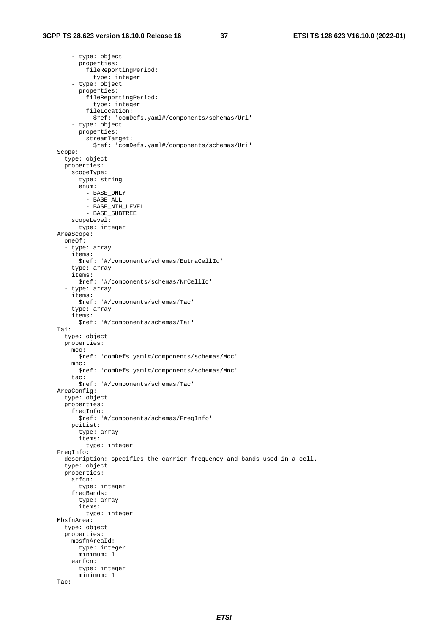- type: object properties: fileReportingPeriod: type: integer - type: object properties: fileReportingPeriod: type: integer fileLocation: \$ref: 'comDefs.yaml#/components/schemas/Uri' - type: object properties: streamTarget: \$ref: 'comDefs.yaml#/components/schemas/Uri' Scope: type: object properties: scopeType: type: string enum: - BASE\_ONLY - BASE\_ALL - BASE\_NTH\_LEVEL - BASE\_SUBTREE scopeLevel: type: integer AreaScope: oneOf: - type: array items: \$ref: '#/components/schemas/EutraCellId' - type: array items: \$ref: '#/components/schemas/NrCellId' - type: array items: \$ref: '#/components/schemas/Tac' - type: array items: \$ref: '#/components/schemas/Tai' Tai: type: object properties: mcc: \$ref: 'comDefs.yaml#/components/schemas/Mcc' mnc: \$ref: 'comDefs.yaml#/components/schemas/Mnc' tac: \$ref: '#/components/schemas/Tac' AreaConfig: type: object properties: freqInfo: \$ref: '#/components/schemas/FreqInfo' pciList: type: array items: type: integer FreqInfo: description: specifies the carrier frequency and bands used in a cell. type: object properties: arfcn: type: integer freqBands: type: array items: type: integer MbsfnArea: type: object properties: mbsfnAreaId: type: integer minimum: 1 earfcn: type: integer minimum: 1 Tac: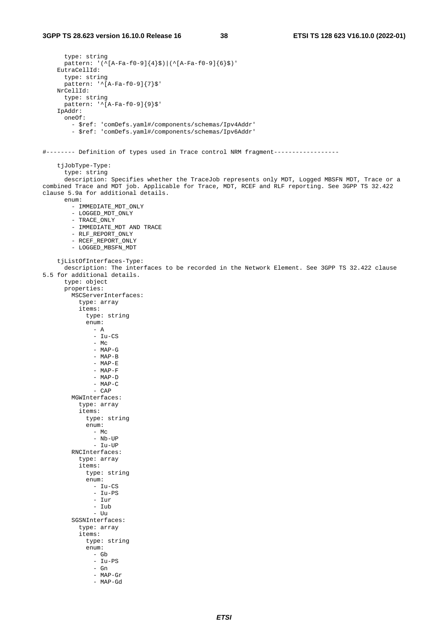```
 type: string 
       pattern: '(^[A-Fa-f0-9]{4}$)|(^[A-Fa-f0-9]{6}$)'
     EutraCellId: 
        type: string 
        pattern: '^[A-Fa-f0-9]{7}$' 
     NrCellId: 
        type: string 
       p_{T} = = = \frac{1}{2} p_{T} = p_{T} = p_{T} = p_{T} = p_{T} = p_{T} = p_{T} = p_{T} = p_{T} = p_{T} = p_{T} = p_{T} = p_{T} = p_{T} = p_{T} = p_{T} = p_{T} = p_{T} = p_{T} = p_{T} = p_{T} = p_{T} IpAddr: 
        oneOf: 
          - $ref: 'comDefs.yaml#/components/schemas/Ipv4Addr' 
          - $ref: 'comDefs.yaml#/components/schemas/Ipv6Addr' 
#-------- Definition of types used in Trace control NRM fragment------------------ 
     tjJobType-Type: 
        type: string 
        description: Specifies whether the TraceJob represents only MDT, Logged MBSFN MDT, Trace or a 
combined Trace and MDT job. Applicable for Trace, MDT, RCEF and RLF reporting. See 3GPP TS 32.422 
clause 5.9a for additional details. 
        enum: 
          - IMMEDIATE_MDT_ONLY 
          - LOGGED_MDT_ONLY 
         - TRACE_ONLY
          - IMMEDIATE_MDT AND TRACE 
          - RLF_REPORT_ONLY 
          - RCEF_REPORT_ONLY 
          - LOGGED_MBSFN_MDT 
     tjListOfInterfaces-Type: 
        description: The interfaces to be recorded in the Network Element. See 3GPP TS 32.422 clause 
5.5 for additional details. 
        type: object 
        properties: 
          MSCServerInterfaces: 
             type: array 
             items: 
               type: string 
               enum: 
                 - A 
                  - Iu-CS 
                - MC - MAP-G 
                  - MAP-B 
                  - MAP-E 
                  - MAP-F 
                  - MAP-D 
                  - MAP-C 
                  - CAP 
          MGWInterfaces: 
             type: array 
             items: 
               type: string 
               enum: 
                - Mc
                 - Nb-UP 
                  - Iu-UP 
          RNCInterfaces: 
             type: array 
             items: 
               type: string 
               enum: 
- Iu-CS
 - Iu-PS 
                  - Iur 
                  - Iub 
                  - Uu 
          SGSNInterfaces: 
             type: array 
             items: 
               type: string 
               enum: 
                 - Gb
                  - Iu-PS 
                  - Gn 
                  - MAP-Gr 
                  - MAP-Gd
```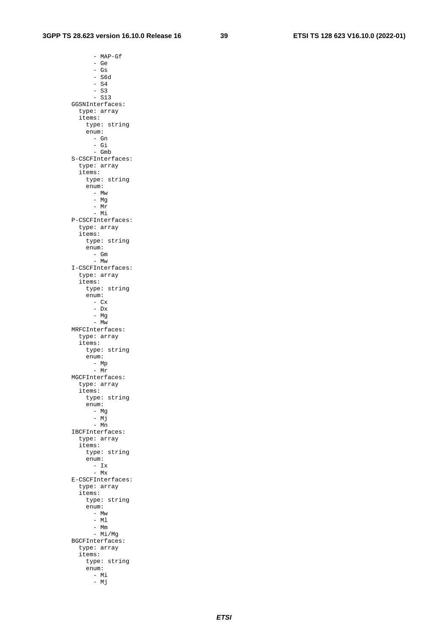- MAP-Gf - Ge - Gs - S6d  $-$  S4  $-$  S3 - S13 GGSNInterfaces: type: array items: type: string enum: - Gn - Gi - Gmb S-CSCFInterfaces: type: array items: type: string enum: - Mw - Mg - Mr - Mi P-CSCFInterfaces: type: array items: type: string enum: - Gm - Mw I-CSCFInterfaces: type: array items: type: string enum:  $-$  Cx - Dx - Mg - Mw MRFCInterfaces: type: array items: type: string enum: - Mp - Mr MGCFInterfaces: type: array items: type: string enum: - Mg - Mj - Mn IBCFInterfaces: type: array items: type: string enum:  $- Ix$  $-$  Mx E-CSCFInterfaces: type: array items: type: string enum: - Mw - Ml - Mm - Mi/Mg BGCFInterfaces: type: array items: type: string enum: - Mi

- Mj

*ETSI*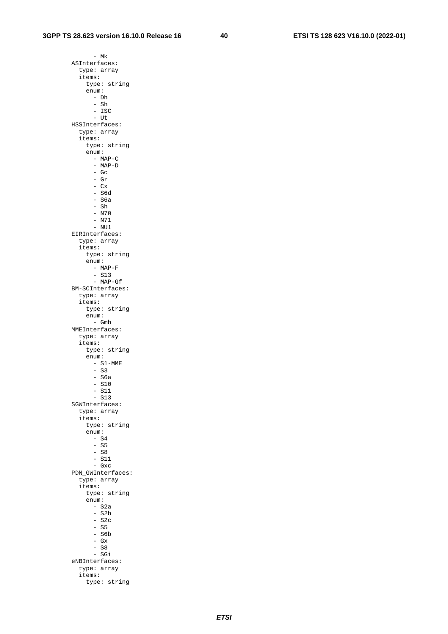- Mk ASInterfaces: type: array items: type: string enum: - Dh  $-$  Sh - ISC - Ut HSSInterfaces: type: array items: type: string enum: - MAP-C - MAP-D  $-$  Gc - Gr  $-$  Cx  $-$  S6d - S6a  $-$  Sh - N70 - N71 - NU1 EIRInterfaces: type: array items: type: string enum: - MAP-F - S13 - MAP-Gf BM-SCInterfaces: type: array items: type: string enum: - Gmb MMEInterfaces: type: array items: type: string enum: - S1-MME  $-$  S3  $-$  S6a  $-$  S10 - S11 - S13 SGWInterfaces: type: array items: type: string enum: - S4 - S5  $-$  S8  $-$  S11 - Gxc PDN\_GWInterfaces: type: array items: type: string enum:  $-$  S2a  $-$  S2b  $-$  S2c  $-$  S5  $-$  S6b - Gx  $-$  S<sub>8</sub> - SGi eNBInterfaces: type: array items:

type: string

*ETSI*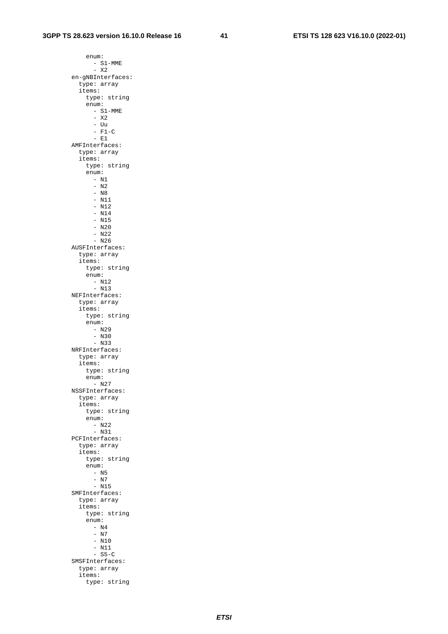enum: - S1-MME - X2 en-gNBInterfaces: type: array items: type: string enum: - S1-MME - X2 - Uu  $-$  F1-C  $-$  E1 AMFInterfaces: type: array items: type: string enum: - N1 - N2 - N8 - N11 - N12 - N14  $- N15$  $- N20$  - N22 - N26 AUSFInterfaces: type: array items: type: string enum:  $- N12$  $- N13$  NEFInterfaces: type: array items: type: string enum:  $- N29$  - N30 - N33 NRFInterfaces: type: array items: type: string enum: - N27 NSSFInterfaces: type: array items: type: string enum: - N22 - N31 PCFInterfaces: type: array items: type: string enum: - N5 - N7 - N15 SMFInterfaces: type: array items: type: string enum: - N4 - N7 - N10 - N11  $-$  S<sub>5</sub>-C SMSFInterfaces: type: array items:

type: string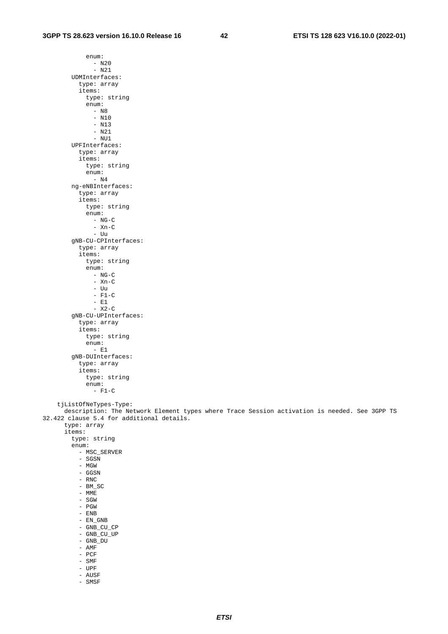*ETSI* 

 enum: - N20 - N21 UDMInterfaces: type: array items: type: string enum: - N8 - N10 - N13 - N21 - NU1 UPFInterfaces: type: array items: type: string enum: - N4 ng-eNBInterfaces: type: array items: type: string enum:  $- NG-C$  - Xn-C - Uu gNB-CU-CPInterfaces: type: array items: type: string enum:  $- NG-C$  $-$  Xn-C - Uu  $-$  F1-C - E1  $-$  X2-C gNB-CU-UPInterfaces: type: array items: type: string enum:  $-$  E1 gNB-DUInterfaces: type: array items: type: string enum:  $- F1-C$  tjListOfNeTypes-Type: description: The Network Element types where Trace Session activation is needed. See 3GPP TS 32.422 clause 5.4 for additional details. type: array items: type: string enum: - MSC\_SERVER - SGSN - MGW - GGSN - RNC - BM\_SC  $-$  MME - SGW - PGW - ENB - EN\_GNB - GNB\_CU\_CP - GNB\_CU\_UP - GNB\_DU - AMF - PCF

 - SMF - UPF - AUSF - SMSF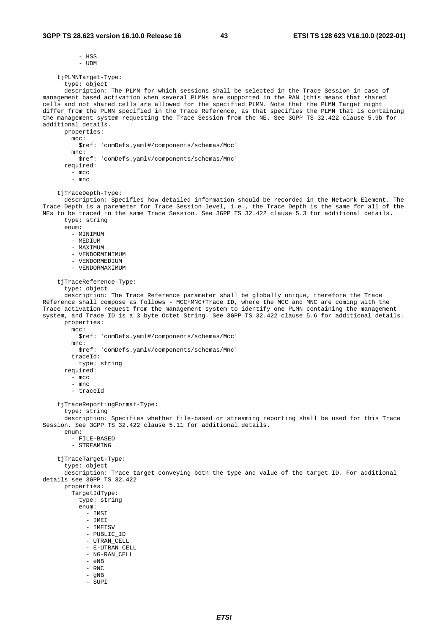```
 - HSS
```
- UDM

```
 tjPLMNTarget-Type:
```
 type: object description: The PLMN for which sessions shall be selected in the Trace Session in case of management based activation when several PLMNs are supported in the RAN (this means that shared cells and not shared cells are allowed for the specified PLMN. Note that the PLMN Target might differ from the PLMN specified in the Trace Reference, as that specifies the PLMN that is containing the management system requesting the Trace Session from the NE. See 3GPP TS 32.422 clause 5.9b for additional details. properties:

mcc: \$ref: 'comDefs.yaml#/components/schemas/Mcc' mnc: \$ref: 'comDefs.yaml#/components/schemas/Mnc' required: - mcc

- mnc

tjTraceDepth-Type:

 description: Specifies how detailed information should be recorded in the Network Element. The Trace Depth is a paremeter for Trace Session level, i.e., the Trace Depth is the same for all of the NEs to be traced in the same Trace Session. See 3GPP TS 32.422 clause 5.3 for additional details. type: string

enum:

- MINIMUM
- MEDIUM
- MAXIMUM
- VENDORMINIMUM
- VENDORMEDIUM
- VENDORMAXIMUM

tjTraceReference-Type:

```
 type: object
```
 description: The Trace Reference parameter shall be globally unique, therefore the Trace Reference shall compose as follows - MCC+MNC+Trace ID, where the MCC and MNC are coming with the Trace activation request from the management system to identify one PLMN containing the management system, and Trace ID is a 3 byte Octet String. See 3GPP TS 32.422 clause 5.6 for additional details. properties: mcc:

 \$ref: 'comDefs.yaml#/components/schemas/Mcc' mnc: \$ref: 'comDefs.yaml#/components/schemas/Mnc' traceId: type: string required: - mcc - mnc - traceId tjTraceReportingFormat-Type: type: string description: Specifies whether file-based or streaming reporting shall be used for this Trace Session. See 3GPP TS 32.422 clause 5.11 for additional details. enum: - FILE-BASED - STREAMING tiTraceTarget-Type: type: object description: Trace target conveying both the type and value of the target ID. For additional details see 3GPP TS 32.422 properties: TargetIdType: type: string enum: - IMSI - IMEI - IMEISV - PUBLIC\_ID - UTRAN\_CELL - E-UTRAN\_CELL - NG-RAN\_CELL

- eNB

- RNC
- gNB
- SUPI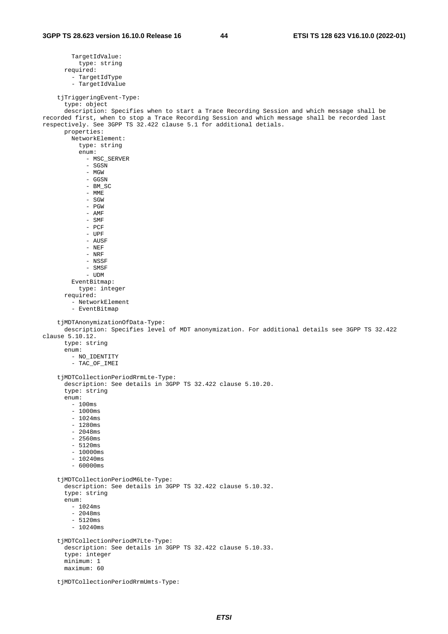```
 TargetIdValue: 
           type: string 
       required: 
          - TargetIdType 
          - TargetIdValue 
     tjTriggeringEvent-Type: 
       type: object 
       description: Specifies when to start a Trace Recording Session and which message shall be 
recorded first, when to stop a Trace Recording Session and which message shall be recorded last 
respectively. See 3GPP TS 32.422 clause 5.1 for additional detials. 
       properties: 
         NetworkElement: 
           type: string 
            enum: 
              - MSC_SERVER 
              - SGSN 
              - MGW 
              - GGSN 
              - BM_SC 
              - MME 
              - SGW 
              - PGW 
              - AMF 
              - SMF 
              - PCF 
              - UPF 
              - AUSF 
              - NEF 
             - NRF
              - NSSF 
              - SMSF 
              - UDM 
         EventBitmap: 
           type: integer 
       required: 
          - NetworkElement 
         - EventBitmap 
     tjMDTAnonymizationOfData-Type: 
       description: Specifies level of MDT anonymization. For additional details see 3GPP TS 32.422 
clause 5.10.12. 
       type: string 
       enum: 
         - NO_IDENTITY 
          - TAC_OF_IMEI 
     tjMDTCollectionPeriodRrmLte-Type: 
       description: See details in 3GPP TS 32.422 clause 5.10.20. 
       type: string 
       enum: 
         - 100ms 
         -1000ms- 1024ms
          - 1280ms 
         -2048ms-2560ms - 5120ms 
          - 10000ms 
         - 10240ms
         -60000ms tjMDTCollectionPeriodM6Lte-Type: 
       description: See details in 3GPP TS 32.422 clause 5.10.32. 
       type: string 
       enum: 
         - 1024ms 
         -2048ms-5120ms - 10240ms 
     tjMDTCollectionPeriodM7Lte-Type: 
       description: See details in 3GPP TS 32.422 clause 5.10.33. 
       type: integer 
       minimum: 1 
       maximum: 60 
     tjMDTCollectionPeriodRrmUmts-Type:
```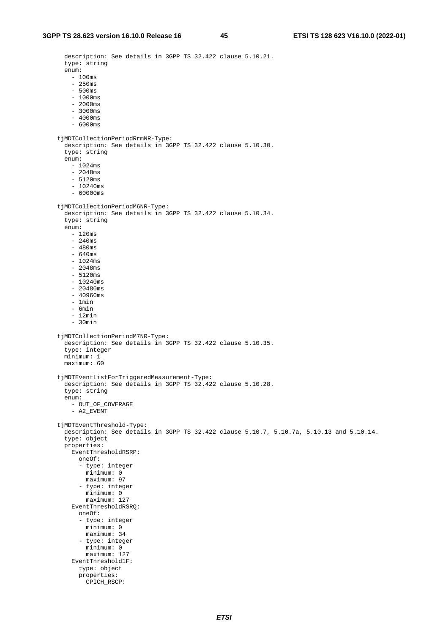description: See details in 3GPP TS 32.422 clause 5.10.21.

 type: string enum: - 100ms  $-250$ ms - 500ms  $- 1000$ ms  $-2000ms$  $-3000ms$  - 4000ms - 6000ms tjMDTCollectionPeriodRrmNR-Type: description: See details in 3GPP TS 32.422 clause 5.10.30. type: string enum: - 1024ms  $-2048$ ms - 5120ms - 10240ms  $- 60000$ ms tjMDTCollectionPeriodM6NR-Type: description: See details in 3GPP TS 32.422 clause 5.10.34. type: string enum: - 120ms - 240ms - 480ms  $-640$ ms  $- 1024$ ms - 2048ms - 5120ms  $- 10240ms$  - 20480ms - 40960ms - 1min - 6min - 12min - 30min tjMDTCollectionPeriodM7NR-Type: description: See details in 3GPP TS 32.422 clause 5.10.35. type: integer minimum: 1 maximum: 60 tjMDTEventListForTriggeredMeasurement-Type: description: See details in 3GPP TS 32.422 clause 5.10.28. type: string enum: - OUT\_OF\_COVERAGE - A2\_EVENT tjMDTEventThreshold-Type: description: See details in 3GPP TS 32.422 clause 5.10.7, 5.10.7a, 5.10.13 and 5.10.14. type: object properties: EventThresholdRSRP: oneOf: - type: integer minimum: 0 maximum: 97 - type: integer minimum: 0 maximum: 127 EventThresholdRSRQ: oneOf: - type: integer minimum: 0 maximum: 34 - type: integer minimum: 0 maximum: 127 EventThreshold1F: type: object properties: CPICH\_RSCP: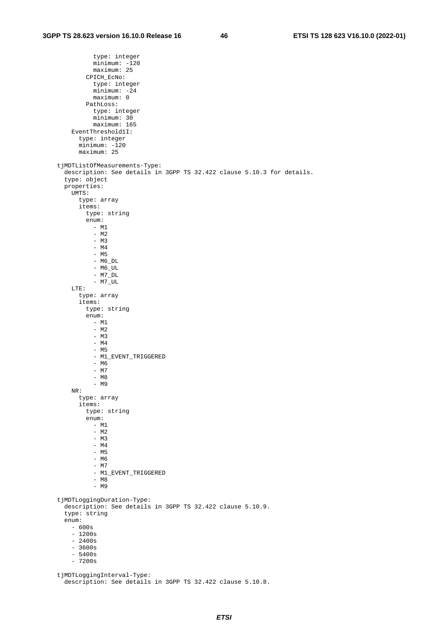type: integer minimum: -120 maximum: 25 CPICH\_EcNo: type: integer minimum: -24 maximum: 0 PathLoss: type: integer minimum: 30 maximum: 165 EventThreshold1I: type: integer minimum: -120 maximum: 25 tjMDTListOfMeasurements-Type: description: See details in 3GPP TS 32.422 clause 5.10.3 for details. type: object properties: UMTS: type: array items: type: string enum: - M1 - M2 - M3 - M4 - M5  $- M6_DL$  $- M6_U$ UL  $-$  M7\_DL  $-$  M7\_UL LTE: type: array items: type: string enum: - M1 - M2 - M3 - M4 - M5 - M1\_EVENT\_TRIGGERED - M6 - M7 - M8 - M9 NR: type: array items: type: string enum: - M1 - M2  $-$  M3 - M4 - M5 - M6 - M7 - M1\_EVENT\_TRIGGERED - M8 - M9 tjMDTLoggingDuration-Type: description: See details in 3GPP TS 32.422 clause 5.10.9. type: string enum: - 600s - 1200s - 2400s - 3600s - 5400s  $- 7200s$  tjMDTLoggingInterval-Type: description: See details in 3GPP TS 32.422 clause 5.10.8.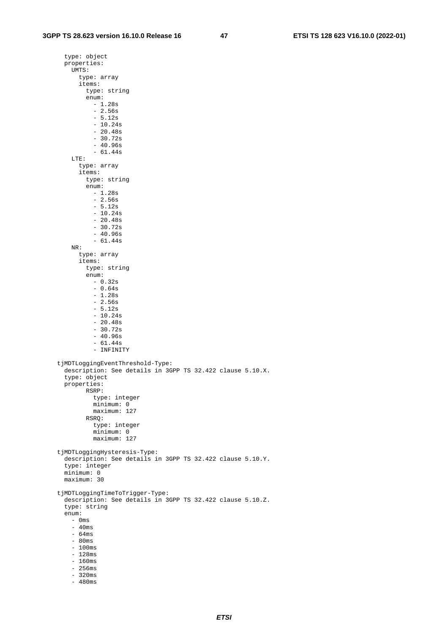type: object properties: UMTS: type: array items: type: string enum: - 1.28s  $-2.56s$  - 5.12s - 10.24s  $-20.48s$  $-30.72s$  - 40.96s - 61.44s LTE: type: array items: type: string enum:  $- 1.28s$  - 2.56s - 5.12s - 10.24s - 20.48s  $-30.72s$  - 40.96s - 61.44s NR: type: array items: type: string enum:  $- 0.32s$  - 0.64s - 1.28s - 2.56s - 5.12s  $-10.24s$  - 20.48s - 30.72s  $-40.96s$  $-61.44s$ - INFINITY tjMDTLoggingEventThreshold-Type: description: See details in 3GPP TS 32.422 clause 5.10.X. type: object properties: RSRP: type: integer minimum: 0 maximum: 127 RSRQ: type: integer minimum: 0 maximum: 127 tjMDTLoggingHysteresis-Type: description: See details in 3GPP TS 32.422 clause 5.10.Y. type: integer minimum: 0 maximum: 30 tjMDTLoggingTimeToTrigger-Type: description: See details in 3GPP TS 32.422 clause 5.10.Z. type: string enum: - 0ms  $-40$ ms - 64ms - 80ms - 100ms - 128ms - 160ms - 256ms - 320ms - 480ms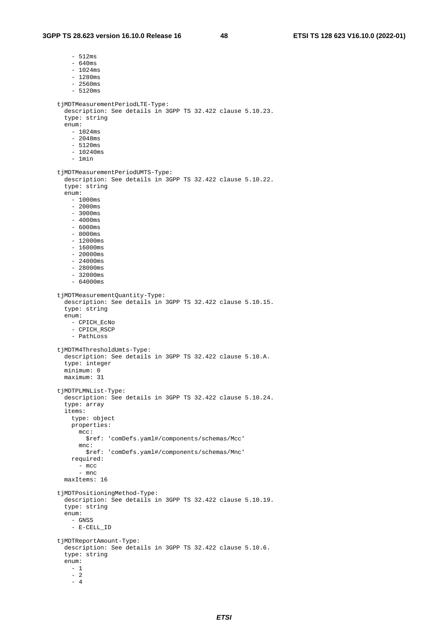- 512ms

 - 640ms  $- 1024ms$  $-1280$ ms - 2560ms - 5120ms tjMDTMeasurementPeriodLTE-Type: description: See details in 3GPP TS 32.422 clause 5.10.23. type: string enum: - 1024ms - 2048ms - 5120ms - 10240ms - 1min tjMDTMeasurementPeriodUMTS-Type: description: See details in 3GPP TS 32.422 clause 5.10.22. type: string enum: - 1000ms - 2000ms - 3000ms  $-4000ms$  $-6000ms$  $-8000ms$  - 12000ms  $- 16000ms$  $-20000ms$  - 24000ms - 28000ms  $-32000ms$  $-64000ms$  tjMDTMeasurementQuantity-Type: description: See details in 3GPP TS 32.422 clause 5.10.15. type: string enum: - CPICH\_EcNo - CPICH\_RSCP - PathLoss tjMDTM4ThresholdUmts-Type: description: See details in 3GPP TS 32.422 clause 5.10.A. type: integer minimum: 0 maximum: 31 tjMDTPLMNList-Type: description: See details in 3GPP TS 32.422 clause 5.10.24. type: array items: type: object properties:  $m<sub>CC</sub>$ : \$ref: 'comDefs.yaml#/components/schemas/Mcc' mnc: \$ref: 'comDefs.yaml#/components/schemas/Mnc' required: - mcc - mnc maxItems: 16 tjMDTPositioningMethod-Type: description: See details in 3GPP TS 32.422 clause 5.10.19. type: string enum: - GNSS - E-CELL\_ID tjMDTReportAmount-Type: description: See details in 3GPP TS 32.422 clause 5.10.6. type: string enum: - 1 - 2 - 4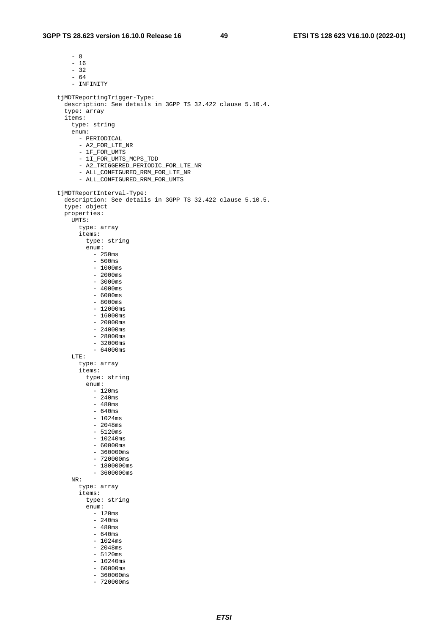- 8

 - 16  $-32$  - 64 - INFINITY tjMDTReportingTrigger-Type: description: See details in 3GPP TS 32.422 clause 5.10.4. type: array items: type: string enum: - PERIODICAL - A2\_FOR\_LTE\_NR - 1F\_FOR\_UMTS - 1I\_FOR\_UMTS\_MCPS\_TDD - A2\_TRIGGERED\_PERIODIC\_FOR\_LTE\_NR - ALL\_CONFIGURED\_RRM\_FOR\_LTE\_NR - ALL\_CONFIGURED\_RRM\_FOR\_UMTS tjMDTReportInterval-Type: description: See details in 3GPP TS 32.422 clause 5.10.5. type: object properties: UMTS: type: array items: type: string enum:  $-250$ ms - 500ms - 1000ms - 2000ms  $-3000ms$  $-4000$ ms - 6000ms - 8000ms  $-12000ms$  $- 16000ms$  $-20000ms$  $-24000ms$  $-28000ms$  $-32000ms$  $- 64000ms$  LTE: type: array items: type: string enum: - 120ms - 240ms  $-480$ ms  $- 640ms$  $- 1024ms$  - 2048ms - 5120ms  $- 10240$ ms - 60000ms - 360000ms - 720000ms  $- 1800000$  ms  $-3600000$ ms NR: type: array items: type: string enum: - 120ms - 240ms - 480ms - 640ms - 1024ms  $-2048ms$  - 5120ms  $- 10240ms$  $-60000$ ms  $-360000$ ms - 720000ms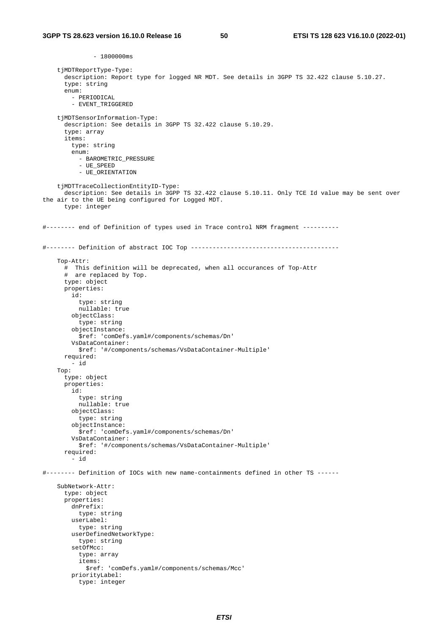$- 1800000$ ms tjMDTReportType-Type: description: Report type for logged NR MDT. See details in 3GPP TS 32.422 clause 5.10.27. type: string enum: - PERIODICAL - EVENT TRIGGERED tjMDTSensorInformation-Type: description: See details in 3GPP TS 32.422 clause 5.10.29. type: array items: type: string enum: - BAROMETRIC\_PRESSURE - UE\_SPEED - UE\_ORIENTATION tjMDTTraceCollectionEntityID-Type: description: See details in 3GPP TS 32.422 clause 5.10.11. Only TCE Id value may be sent over the air to the UE being configured for Logged MDT. type: integer #-------- end of Definition of types used in Trace control NRM fragment ---------- #-------- Definition of abstract IOC Top ----------------------------------------- Top-Attr: # This definition will be deprecated, when all occurances of Top-Attr # are replaced by Top. type: object properties: id: type: string nullable: true objectClass: type: string objectInstance: \$ref: 'comDefs.yaml#/components/schemas/Dn' VsDataContainer: \$ref: '#/components/schemas/VsDataContainer-Multiple' required: - id Top: type: object properties: id: type: string nullable: true objectClass: type: string objectInstance: \$ref: 'comDefs.yaml#/components/schemas/Dn' VsDataContainer: \$ref: '#/components/schemas/VsDataContainer-Multiple' required: - id #-------- Definition of IOCs with new name-containments defined in other TS ------ SubNetwork-Attr: type: object properties: dnPrefix: type: string userLabel: type: string userDefinedNetworkType: type: string setOfMcc: type: array items: \$ref: 'comDefs.yaml#/components/schemas/Mcc' priorityLabel: type: integer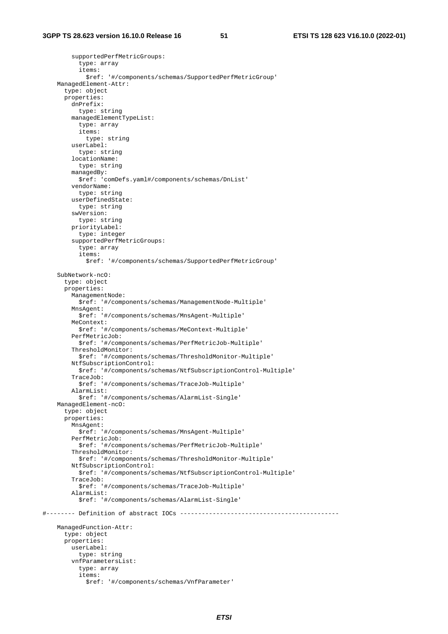supportedPerfMetricGroups: type: array items: \$ref: '#/components/schemas/SupportedPerfMetricGroup' ManagedElement-Attr: type: object properties: dnPrefix: type: string managedElementTypeList: type: array items: type: string userLabel: type: string locationName: type: string managedBy: \$ref: 'comDefs.yaml#/components/schemas/DnList' vendorName: type: string userDefinedState: type: string swVersion: type: string priorityLabel: type: integer supportedPerfMetricGroups: type: array items: \$ref: '#/components/schemas/SupportedPerfMetricGroup' SubNetwork-ncO: type: object properties: ManagementNode: \$ref: '#/components/schemas/ManagementNode-Multiple' MnsAgent: \$ref: '#/components/schemas/MnsAgent-Multiple' MeContext: \$ref: '#/components/schemas/MeContext-Multiple' PerfMetricJob: \$ref: '#/components/schemas/PerfMetricJob-Multiple' ThresholdMonitor: \$ref: '#/components/schemas/ThresholdMonitor-Multiple' NtfSubscriptionControl: \$ref: '#/components/schemas/NtfSubscriptionControl-Multiple' TraceJob: \$ref: '#/components/schemas/TraceJob-Multiple' AlarmList: \$ref: '#/components/schemas/AlarmList-Single' ManagedElement-ncO: type: object properties: MnsAgent: \$ref: '#/components/schemas/MnsAgent-Multiple' PerfMetricJob: \$ref: '#/components/schemas/PerfMetricJob-Multiple' ThresholdMonitor: \$ref: '#/components/schemas/ThresholdMonitor-Multiple' NtfSubscriptionControl: \$ref: '#/components/schemas/NtfSubscriptionControl-Multiple' TraceJob: \$ref: '#/components/schemas/TraceJob-Multiple' AlarmList: \$ref: '#/components/schemas/AlarmList-Single' #-------- Definition of abstract IOCs -------------------------------------------- ManagedFunction-Attr: type: object properties: userLabel: type: string vnfParametersList: type: array items: \$ref: '#/components/schemas/VnfParameter'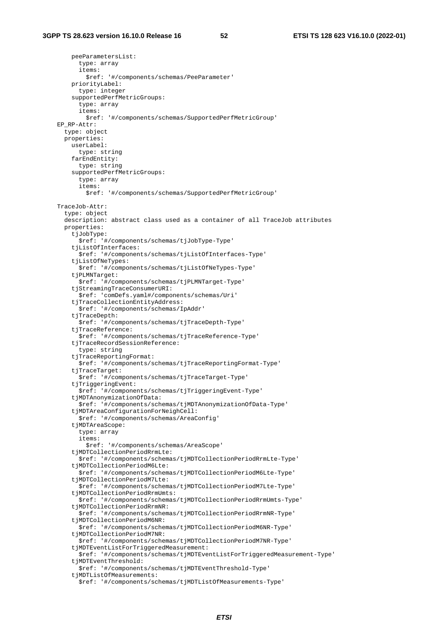peeParametersList:

 type: array items: \$ref: '#/components/schemas/PeeParameter' priorityLabel: type: integer supportedPerfMetricGroups: type: array items: \$ref: '#/components/schemas/SupportedPerfMetricGroup' EP\_RP-Attr: type: object properties: userLabel: type: string farEndEntity: type: string supportedPerfMetricGroups: type: array items: \$ref: '#/components/schemas/SupportedPerfMetricGroup' TraceJob-Attr: type: object description: abstract class used as a container of all TraceJob attributes properties: tjJobType: \$ref: '#/components/schemas/tjJobType-Type' tjListOfInterfaces: \$ref: '#/components/schemas/tjListOfInterfaces-Type' tjListOfNeTypes: \$ref: '#/components/schemas/tjListOfNeTypes-Type' tjPLMNTarget: \$ref: '#/components/schemas/tjPLMNTarget-Type' tjStreamingTraceConsumerURI: \$ref: 'comDefs.yaml#/components/schemas/Uri' tjTraceCollectionEntityAddress: \$ref: '#/components/schemas/IpAddr' tjTraceDepth: \$ref: '#/components/schemas/tjTraceDepth-Type' tjTraceReference: \$ref: '#/components/schemas/tjTraceReference-Type' tiTraceRecordSessionReference: type: string tjTraceReportingFormat: \$ref: '#/components/schemas/tjTraceReportingFormat-Type' tjTraceTarget: \$ref: '#/components/schemas/tjTraceTarget-Type' tjTriggeringEvent: \$ref: '#/components/schemas/tjTriggeringEvent-Type' tjMDTAnonymizationOfData: \$ref: '#/components/schemas/tjMDTAnonymizationOfData-Type' tjMDTAreaConfigurationForNeighCell: \$ref: '#/components/schemas/AreaConfig' tjMDTAreaScope: type: array items: \$ref: '#/components/schemas/AreaScope' tjMDTCollectionPeriodRrmLte: \$ref: '#/components/schemas/tjMDTCollectionPeriodRrmLte-Type' tjMDTCollectionPeriodM6Lte: \$ref: '#/components/schemas/tjMDTCollectionPeriodM6Lte-Type' tjMDTCollectionPeriodM7Lte: \$ref: '#/components/schemas/tjMDTCollectionPeriodM7Lte-Type' tiMDTCollectionPeriodRrmUmts: \$ref: '#/components/schemas/tjMDTCollectionPeriodRrmUmts-Type' tjMDTCollectionPeriodRrmNR: \$ref: '#/components/schemas/tjMDTCollectionPeriodRrmNR-Type' tjMDTCollectionPeriodM6NR: \$ref: '#/components/schemas/tjMDTCollectionPeriodM6NR-Type' tjMDTCollectionPeriodM7NR: \$ref: '#/components/schemas/tjMDTCollectionPeriodM7NR-Type' tjMDTEventListForTriggeredMeasurement: \$ref: '#/components/schemas/tjMDTEventListForTriggeredMeasurement-Type' tjMDTEventThreshold: \$ref: '#/components/schemas/tjMDTEventThreshold-Type' tjMDTListOfMeasurements: \$ref: '#/components/schemas/tjMDTListOfMeasurements-Type'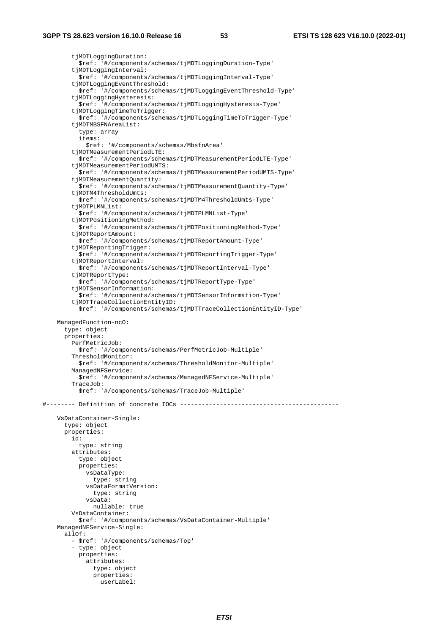tjMDTLoggingDuration: \$ref: '#/components/schemas/tjMDTLoggingDuration-Type' tjMDTLoggingInterval: \$ref: '#/components/schemas/tjMDTLoggingInterval-Type' tjMDTLoggingEventThreshold: \$ref: '#/components/schemas/tjMDTLoggingEventThreshold-Type' tjMDTLoggingHysteresis: \$ref: '#/components/schemas/tjMDTLoggingHysteresis-Type' tjMDTLoggingTimeToTrigger: \$ref: '#/components/schemas/tjMDTLoggingTimeToTrigger-Type' tjMDTMBSFNAreaList: type: array items: \$ref: '#/components/schemas/MbsfnArea' tjMDTMeasurementPeriodLTE: \$ref: '#/components/schemas/tjMDTMeasurementPeriodLTE-Type' tjMDTMeasurementPeriodUMTS: \$ref: '#/components/schemas/tjMDTMeasurementPeriodUMTS-Type' tjMDTMeasurementQuantity: \$ref: '#/components/schemas/tjMDTMeasurementQuantity-Type' tjMDTM4ThresholdUmts: \$ref: '#/components/schemas/tjMDTM4ThresholdUmts-Type' tjMDTPLMNList: \$ref: '#/components/schemas/tjMDTPLMNList-Type' tjMDTPositioningMethod: \$ref: '#/components/schemas/tjMDTPositioningMethod-Type' tjMDTReportAmount: \$ref: '#/components/schemas/tjMDTReportAmount-Type' tjMDTReportingTrigger: \$ref: '#/components/schemas/tjMDTReportingTrigger-Type' tjMDTReportInterval: \$ref: '#/components/schemas/tjMDTReportInterval-Type' tjMDTReportType: \$ref: '#/components/schemas/tjMDTReportType-Type' tjMDTSensorInformation: \$ref: '#/components/schemas/tjMDTSensorInformation-Type' tjMDTTraceCollectionEntityID: \$ref: '#/components/schemas/tjMDTTraceCollectionEntityID-Type' ManagedFunction-ncO: type: object properties: PerfMetricJob: \$ref: '#/components/schemas/PerfMetricJob-Multiple' ThresholdMonitor: \$ref: '#/components/schemas/ThresholdMonitor-Multiple' ManagedNFService: \$ref: '#/components/schemas/ManagedNFService-Multiple' TraceJob: \$ref: '#/components/schemas/TraceJob-Multiple' #-------- Definition of concrete IOCs -------------------------------------------- VsDataContainer-Single: type: object properties: id: type: string attributes: type: object properties: vsDataType: type: string vsDataFormatVersion: type: string vsData: nullable: true VsDataContainer: \$ref: '#/components/schemas/VsDataContainer-Multiple' ManagedNFService-Single: allOf: - \$ref: '#/components/schemas/Top' - type: object properties: attributes: type: object properties: userLabel: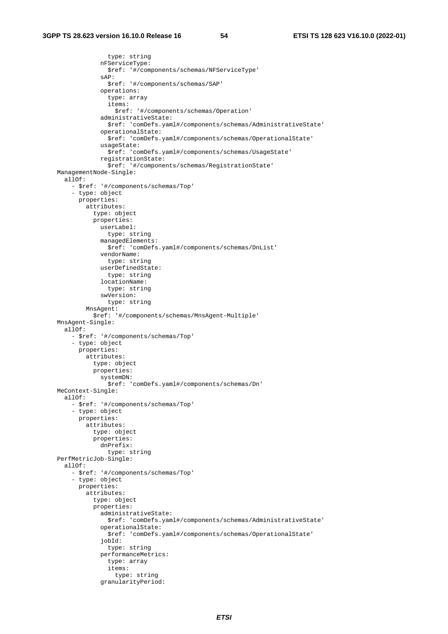```
 type: string 
              nFServiceType: 
                $ref: '#/components/schemas/NFServiceType' 
              sAP: 
                $ref: '#/components/schemas/SAP' 
              operations: 
                type: array 
                items: 
                  $ref: '#/components/schemas/Operation' 
              administrativeState: 
                $ref: 'comDefs.yaml#/components/schemas/AdministrativeState' 
              operationalState: 
                $ref: 'comDefs.yaml#/components/schemas/OperationalState' 
              usageState: 
                $ref: 'comDefs.yaml#/components/schemas/UsageState' 
              registrationState: 
                $ref: '#/components/schemas/RegistrationState' 
 ManagementNode-Single: 
   allOf: 
     - $ref: '#/components/schemas/Top' 
     - type: object 
       properties: 
         attributes: 
            type: object 
            properties: 
              userLabel: 
                type: string 
              managedElements: 
                $ref: 'comDefs.yaml#/components/schemas/DnList' 
              vendorName: 
                type: string 
              userDefinedState: 
                type: string 
              locationName: 
                type: string 
              swVersion: 
                type: string 
          MnsAgent: 
            $ref: '#/components/schemas/MnsAgent-Multiple' 
 MnsAgent-Single: 
   allOf: 
     - $ref: '#/components/schemas/Top' 
     - type: object 
       properties: 
         attributes: 
            type: object 
            properties: 
              systemDN: 
                $ref: 'comDefs.yaml#/components/schemas/Dn' 
 MeContext-Single: 
   allOf: 
     - $ref: '#/components/schemas/Top' 
     - type: object 
       properties: 
         attributes: 
            type: object 
            properties: 
              dnPrefix: 
                type: string 
 PerfMetricJob-Single: 
   allOf: 
     - $ref: '#/components/schemas/Top' 
     - type: object 
       properties: 
          attributes: 
            type: object 
            properties: 
              administrativeState: 
                $ref: 'comDefs.yaml#/components/schemas/AdministrativeState' 
              operationalState: 
                $ref: 'comDefs.yaml#/components/schemas/OperationalState' 
              jobId: 
                type: string 
              performanceMetrics: 
                type: array 
                items: 
                  type: string 
              granularityPeriod:
```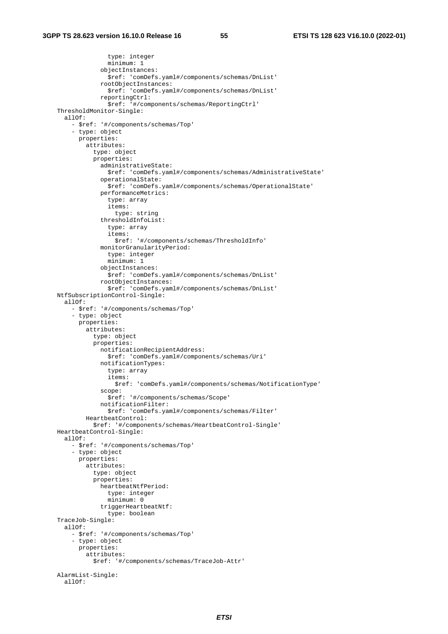```
 type: integer 
                minimum: 1 
              objectInstances: 
                $ref: 'comDefs.yaml#/components/schemas/DnList' 
              rootObjectInstances: 
                $ref: 'comDefs.yaml#/components/schemas/DnList' 
              reportingCtrl: 
                $ref: '#/components/schemas/ReportingCtrl' 
 ThresholdMonitor-Single: 
   allOf: 
     - $ref: '#/components/schemas/Top' 
     - type: object 
       properties: 
         attributes: 
            type: object 
            properties: 
              administrativeState: 
                $ref: 'comDefs.yaml#/components/schemas/AdministrativeState' 
              operationalState: 
                $ref: 'comDefs.yaml#/components/schemas/OperationalState' 
              performanceMetrics: 
                type: array 
                items: 
                  type: string 
              thresholdInfoList: 
                type: array 
                items: 
                   $ref: '#/components/schemas/ThresholdInfo' 
              monitorGranularityPeriod: 
                type: integer 
                minimum: 1 
              objectInstances: 
                $ref: 'comDefs.yaml#/components/schemas/DnList' 
              rootObjectInstances: 
                $ref: 'comDefs.yaml#/components/schemas/DnList' 
 NtfSubscriptionControl-Single: 
   allOf: 
     - $ref: '#/components/schemas/Top' 
     - type: object 
       properties: 
         attributes: 
            type: object 
            properties: 
              notificationRecipientAddress: 
                $ref: 'comDefs.yaml#/components/schemas/Uri' 
              notificationTypes: 
                type: array 
                items: 
                   $ref: 'comDefs.yaml#/components/schemas/NotificationType' 
              scope: 
                $ref: '#/components/schemas/Scope' 
              notificationFilter: 
                $ref: 'comDefs.yaml#/components/schemas/Filter' 
         HeartbeatControl: 
            $ref: '#/components/schemas/HeartbeatControl-Single' 
 HeartbeatControl-Single: 
  a110f: - $ref: '#/components/schemas/Top' 
     - type: object 
       properties: 
         attributes: 
            type: object 
            properties: 
              heartbeatNtfPeriod: 
                type: integer 
                minimum: 0 
              triggerHeartbeatNtf: 
                type: boolean 
 TraceJob-Single: 
   allOf: 
     - $ref: '#/components/schemas/Top' 
     - type: object 
       properties: 
         attributes: 
            $ref: '#/components/schemas/TraceJob-Attr' 
 AlarmList-Single: 
   allOf:
```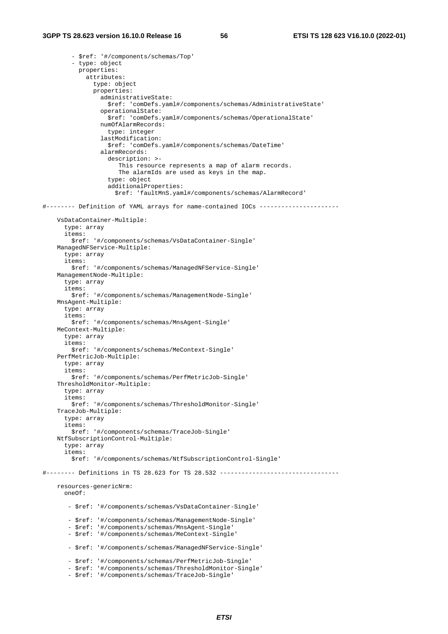```
 - $ref: '#/components/schemas/Top' 
         - type: object 
           properties: 
             attributes: 
                type: object 
                properties: 
                  administrativeState: 
                    $ref: 'comDefs.yaml#/components/schemas/AdministrativeState' 
                  operationalState: 
                    $ref: 'comDefs.yaml#/components/schemas/OperationalState' 
                  numOfAlarmRecords: 
                    type: integer 
                  lastModification: 
                    $ref: 'comDefs.yaml#/components/schemas/DateTime' 
                  alarmRecords: 
                    description: >- 
                       This resource represents a map of alarm records. 
                       The alarmIds are used as keys in the map. 
                    type: object 
                    additionalProperties: 
                      $ref: 'faultMnS.yaml#/components/schemas/AlarmRecord' 
#-------- Definition of YAML arrays for name-contained IOCs ---------------------- 
     VsDataContainer-Multiple: 
       type: array 
       items: 
         $ref: '#/components/schemas/VsDataContainer-Single' 
     ManagedNFService-Multiple: 
       type: array 
       items: 
         $ref: '#/components/schemas/ManagedNFService-Single' 
     ManagementNode-Multiple: 
       type: array 
       items: 
         $ref: '#/components/schemas/ManagementNode-Single' 
     MnsAgent-Multiple: 
       type: array 
       items: 
         $ref: '#/components/schemas/MnsAgent-Single' 
     MeContext-Multiple: 
       type: array 
       items: 
         $ref: '#/components/schemas/MeContext-Single' 
     PerfMetricJob-Multiple: 
       type: array 
       items: 
         $ref: '#/components/schemas/PerfMetricJob-Single' 
     ThresholdMonitor-Multiple: 
       type: array 
       items: 
         $ref: '#/components/schemas/ThresholdMonitor-Single' 
     TraceJob-Multiple: 
       type: array 
       items: 
         $ref: '#/components/schemas/TraceJob-Single' 
     NtfSubscriptionControl-Multiple: 
       type: array 
       items: 
         $ref: '#/components/schemas/NtfSubscriptionControl-Single' 
#-------- Definitions in TS 28.623 for TS 28.532 --------------------------------- 
     resources-genericNrm: 
       oneOf: 
        - $ref: '#/components/schemas/VsDataContainer-Single' 
        - $ref: '#/components/schemas/ManagementNode-Single' 
        - $ref: '#/components/schemas/MnsAgent-Single' 
        - $ref: '#/components/schemas/MeContext-Single' 
        - $ref: '#/components/schemas/ManagedNFService-Single' 
        - $ref: '#/components/schemas/PerfMetricJob-Single' 
         - $ref: '#/components/schemas/ThresholdMonitor-Single' 
        - $ref: '#/components/schemas/TraceJob-Single'
```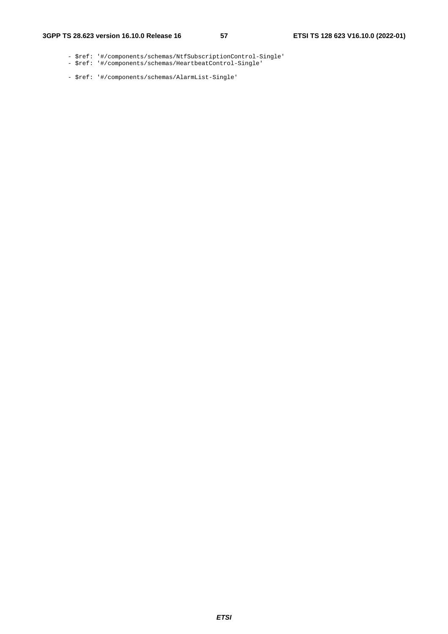- \$ref: '#/components/schemas/NtfSubscriptionControl-Single'
- \$ref: '#/components/schemas/HeartbeatControl-Single'
	- \$ref: '#/components/schemas/AlarmList-Single'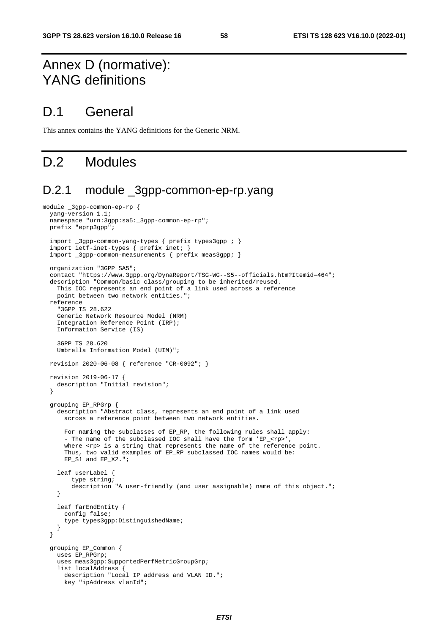# Annex D (normative): YANG definitions

### D.1 General

This annex contains the YANG definitions for the Generic NRM.

## D.2 Modules

#### D.2.1 module \_3gpp-common-ep-rp.yang

```
module _3gpp-common-ep-rp { 
   yang-version 1.1; 
   namespace "urn:3gpp:sa5:_3gpp-common-ep-rp"; 
   prefix "eprp3gpp"; 
   import _3gpp-common-yang-types { prefix types3gpp ; } 
   import ietf-inet-types { prefix inet; } 
   import _3gpp-common-measurements { prefix meas3gpp; } 
   organization "3GPP SA5"; 
   contact "https://www.3gpp.org/DynaReport/TSG-WG--S5--officials.htm?Itemid=464"; 
   description "Common/basic class/grouping to be inherited/reused. 
     This IOC represents an end point of a link used across a reference 
     point between two network entities."; 
   reference 
     "3GPP TS 28.622 
     Generic Network Resource Model (NRM) 
     Integration Reference Point (IRP); 
     Information Service (IS) 
     3GPP TS 28.620 
     Umbrella Information Model (UIM)"; 
   revision 2020-06-08 { reference "CR-0092"; } 
   revision 2019-06-17 { 
     description "Initial revision"; 
   } 
   grouping EP_RPGrp { 
     description "Abstract class, represents an end point of a link used 
       across a reference point between two network entities. 
       For naming the subclasses of EP_RP, the following rules shall apply: 
       - The name of the subclassed IOC shall have the form 'EP_<rp>',
      where <rp> is a string that represents the name of the reference point.
      Thus, two valid examples of EP_RP subclassed IOC names would be:
      EP_S1 and EP_X2.";
     leaf userLabel { 
         type string; 
         description "A user-friendly (and user assignable) name of this object."; 
     } 
     leaf farEndEntity { 
       config false; 
       type types3gpp:DistinguishedName; 
     } 
   } 
   grouping EP_Common { 
     uses EP_RPGrp; 
     uses meas3gpp:SupportedPerfMetricGroupGrp; 
     list localAddress { 
       description "Local IP address and VLAN ID."; 
       key "ipAddress vlanId";
```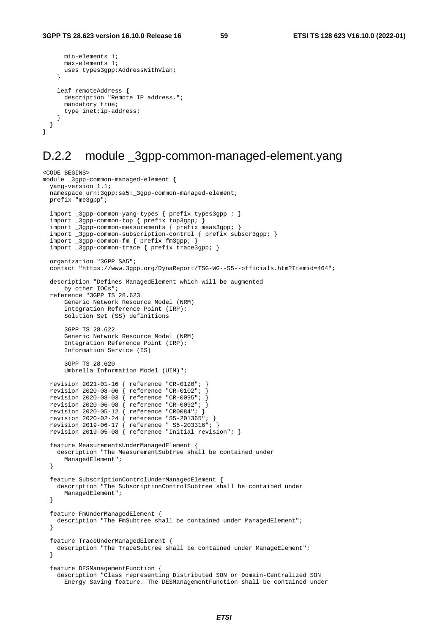```
 min-elements 1; 
       max-elements 1; 
       uses types3gpp:AddressWithVlan; 
     } 
     leaf remoteAddress { 
       description "Remote IP address."; 
       mandatory true; 
       type inet:ip-address; 
     } 
   } 
}
```
## D.2.2 module \_3gpp-common-managed-element.yang

```
<CODE BEGINS> 
module _3gpp-common-managed-element { 
  yang-version 1.1; 
   namespace urn:3gpp:sa5:_3gpp-common-managed-element; 
  prefix "me3gpp"; 
   import _3gpp-common-yang-types { prefix types3gpp ; } 
 import _3gpp-common-top { prefix top3gpp; } 
 import _3gpp-common-measurements { prefix meas3gpp; } 
   import _3gpp-common-subscription-control { prefix subscr3gpp; } 
 import _3gpp-common-fm { prefix fm3gpp; } 
 import _3gpp-common-trace { prefix trace3gpp; } 
   organization "3GPP SA5"; 
   contact "https://www.3gpp.org/DynaReport/TSG-WG--S5--officials.htm?Itemid=464"; 
   description "Defines ManagedElement which will be augmented 
      by other IOCs"; 
   reference "3GPP TS 28.623 
      Generic Network Resource Model (NRM) 
       Integration Reference Point (IRP); 
       Solution Set (SS) definitions 
       3GPP TS 28.622 
       Generic Network Resource Model (NRM) 
       Integration Reference Point (IRP); 
       Information Service (IS) 
       3GPP TS 28.620 
       Umbrella Information Model (UIM)"; 
   revision 2021-01-16 { reference "CR-0120"; } 
   revision 2020-08-06 { reference "CR-0102"; } 
 revision 2020-08-03 { reference "CR-0095"; } 
 revision 2020-06-08 { reference "CR-0092"; } 
 revision 2020-05-12 { reference "CR0084"; } 
 revision 2020-02-24 { reference "S5-201365"; } 
 revision 2019-06-17 { reference " S5-203316"; } 
   revision 2019-05-08 { reference "Initial revision"; } 
   feature MeasurementsUnderManagedElement { 
    description "The MeasurementSubtree shall be contained under 
      ManagedElement"; 
   } 
   feature SubscriptionControlUnderManagedElement { 
     description "The SubscriptionControlSubtree shall be contained under 
      ManagedElement"; 
   } 
   feature FmUnderManagedElement { 
     description "The FmSubtree shall be contained under ManagedElement"; 
   } 
   feature TraceUnderManagedElement { 
   description "The TraceSubtree shall be contained under ManageElement";
   } 
   feature DESManagementFunction { 
     description "Class representing Distributed SON or Domain-Centralized SON 
       Energy Saving feature. The DESManagementFunction shall be contained under
```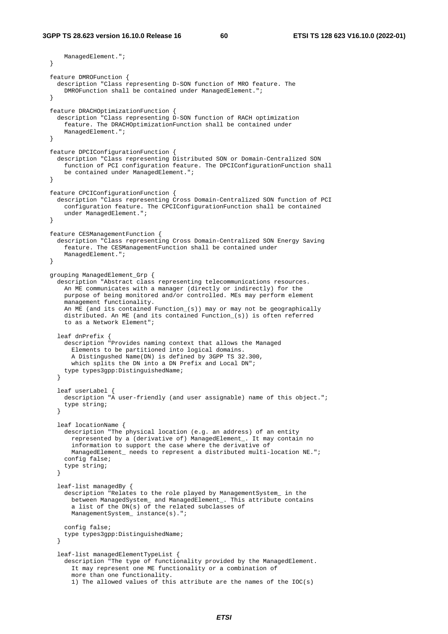```
 ManagedElement."; 
  } 
  feature DMROFunction { 
    description "Class representing D-SON function of MRO feature. The 
      DMROFunction shall be contained under ManagedElement."; 
  } 
  feature DRACHOptimizationFunction { 
    description "Class representing D-SON function of RACH optimization 
      feature. The DRACHOptimizationFunction shall be contained under 
      ManagedElement."; 
  } 
  feature DPCIConfigurationFunction { 
    description "Class representing Distributed SON or Domain-Centralized SON 
       function of PCI configuration feature. The DPCIConfigurationFunction shall 
     be contained under ManagedElement.";
  } 
  feature CPCIConfigurationFunction { 
    description "Class representing Cross Domain-Centralized SON function of PCI 
      configuration feature. The CPCIConfigurationFunction shall be contained 
      under ManagedElement."; 
  } 
  feature CESManagementFunction { 
    description "Class representing Cross Domain-Centralized SON Energy Saving 
      feature. The CESManagementFunction shall be contained under 
      ManagedElement."; 
  } 
  grouping ManagedElement_Grp { 
   description "Abstract class representing telecommunications resources.
      An ME communicates with a manager (directly or indirectly) for the 
      purpose of being monitored and/or controlled. MEs may perform element 
      management functionality. 
      An ME (and its contained Function_(s)) may or may not be geographically 
      distributed. An ME (and its contained Function_(s)) is often referred 
      to as a Network Element"; 
    leaf dnPrefix { 
       description "Provides naming context that allows the Managed 
        Elements to be partitioned into logical domains. 
         A Distingushed Name(DN) is defined by 3GPP TS 32.300, 
        which splits the DN into a DN Prefix and Local DN";
       type types3gpp:DistinguishedName; 
    } 
    leaf userLabel { 
      description "A user-friendly (and user assignable) name of this object."; 
       type string; 
    } 
    leaf locationName { 
      description "The physical location (e.g. an address) of an entity 
        represented by a (derivative of) ManagedElement_. It may contain no 
         information to support the case where the derivative of 
        ManagedElement_ needs to represent a distributed multi-location NE."; 
      config false; 
      type string; 
    } 
    leaf-list managedBy { 
       description "Relates to the role played by ManagementSystem_ in the 
 between ManagedSystem_ and ManagedElement_. This attribute contains 
 a list of the DN(s) of the related subclasses of 
        ManagementSystem_ instance(s)."; 
       config false; 
      type types3gpp:DistinguishedName; 
    } 
    leaf-list managedElementTypeList { 
       description "The type of functionality provided by the ManagedElement. 
         It may represent one ME functionality or a combination of 
         more than one functionality. 
        1) The allowed values of this attribute are the names of the IOC(s)
```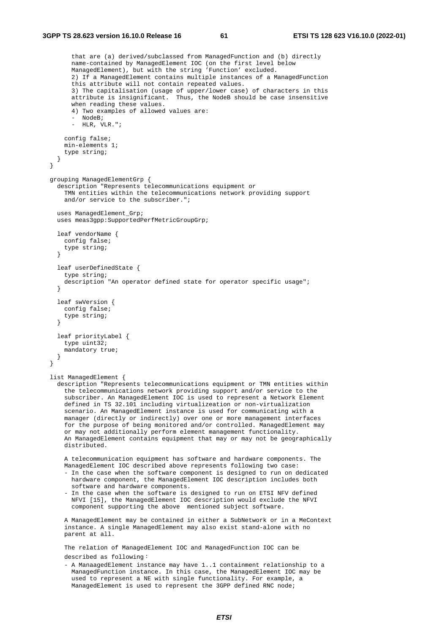```
 that are (a) derived/subclassed from ManagedFunction and (b) directly 
         name-contained by ManagedElement IOC (on the first level below 
        ManagedElement), but with the string 'Function' excluded. 
         2) If a ManagedElement contains multiple instances of a ManagedFunction 
         this attribute will not contain repeated values. 
         3) The capitalisation (usage of upper/lower case) of characters in this 
         attribute is insignificant. Thus, the NodeB should be case insensitive 
       when reading these values.
         4) Two examples of allowed values are: 
         - NodeB; 
         - HLR, VLR."; 
       config false; 
      min-elements 1; 
       type string; 
    } 
  } 
  grouping ManagedElementGrp { 
    description "Represents telecommunications equipment or 
      TMN entities within the telecommunications network providing support 
      and/or service to the subscriber."; 
    uses ManagedElement_Grp; 
    uses meas3gpp:SupportedPerfMetricGroupGrp; 
    leaf vendorName { 
      config false; 
      type string; 
    } 
    leaf userDefinedState { 
       type string; 
      description "An operator defined state for operator specific usage"; 
    } 
    leaf swVersion { 
      config false; 
       type string; 
    } 
    leaf priorityLabel { 
      type uint32; 
      mandatory true; 
    } 
  } 
  list ManagedElement { 
    description "Represents telecommunications equipment or TMN entities within 
       the telecommunications network providing support and/or service to the 
       subscriber. An ManagedElement IOC is used to represent a Network Element 
      defined in TS 32.101 including virtualizeation or non-virtualization 
       scenario. An ManagedElement instance is used for communicating with a 
       manager (directly or indirectly) over one or more management interfaces 
      for the purpose of being monitored and/or controlled. ManagedElement may 
      or may not additionally perform element management functionality. 
      An ManagedElement contains equipment that may or may not be geographically 
      distributed. 
      A telecommunication equipment has software and hardware components. The 
      ManagedElement IOC described above represents following two case: 
       - In the case when the software component is designed to run on dedicated 
        hardware component, the ManagedElement IOC description includes both 
        software and hardware components. 
       - In the case when the software is designed to run on ETSI NFV defined 
        NFVI [15], the ManagedElement IOC description would exclude the NFVI 
        component supporting the above mentioned subject software. 
       A ManagedElement may be contained in either a SubNetwork or in a MeContext 
       instance. A single ManagedElement may also exist stand-alone with no 
      parent at all. 
      The relation of ManagedElement IOC and ManagedFunction IOC can be 
      described as following:
 - A ManaagedElement instance may have 1..1 containment relationship to a 
        ManagedFunction instance. In this case, the ManagedElement IOC may be 
        used to represent a NE with single functionality. For example, a 
        ManagedElement is used to represent the 3GPP defined RNC node;
```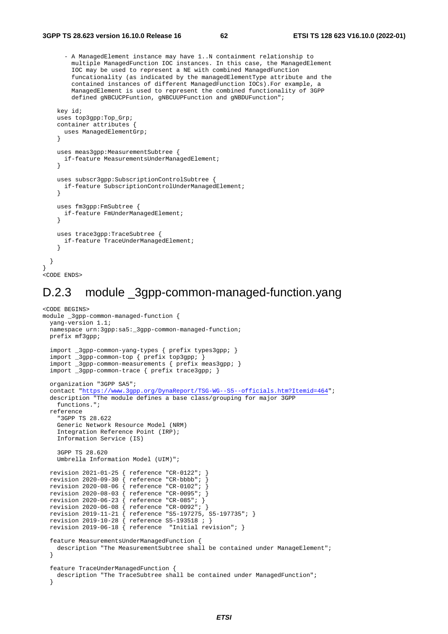}

 - A ManagedElement instance may have 1..N containment relationship to multiple ManagedFunction IOC instances. In this case, the ManagedElement IOC may be used to represent a NE with combined ManagedFunction funcationality (as indicated by the managedElementType attribute and the contained instances of different ManagedFunction IOCs).For example, a ManagedElement is used to represent the combined functionality of 3GPP defined gNBCUCPFuntion, gNBCUUPFunction and gNBDUFunction";

```
 key id; 
     uses top3gpp:Top_Grp; 
     container attributes { 
      uses ManagedElementGrp; 
 } 
     uses meas3gpp:MeasurementSubtree { 
      if-feature MeasurementsUnderManagedElement; 
 } 
     uses subscr3gpp:SubscriptionControlSubtree { 
      if-feature SubscriptionControlUnderManagedElement; 
     } 
     uses fm3gpp:FmSubtree { 
      if-feature FmUnderManagedElement; 
     } 
     uses trace3gpp:TraceSubtree { 
      if-feature TraceUnderManagedElement; 
 } 
  } 
.<br><CODE ENDS>
```
### D.2.3 module \_3gpp-common-managed-function.yang

```
<CODE BEGINS> 
module _3gpp-common-managed-function { 
   yang-version 1.1; 
  namespace urn:3gpp:sa5:_3gpp-common-managed-function;
   prefix mf3gpp; 
   import _3gpp-common-yang-types { prefix types3gpp; } 
   import _3gpp-common-top { prefix top3gpp; } 
 import _3gpp-common-measurements { prefix meas3gpp; } 
 import _3gpp-common-trace { prefix trace3gpp; } 
   organization "3GPP SA5"; 
   contact "https://www.3gpp.org/DynaReport/TSG-WG--S5--officials.htm?Itemid=464";
   description "The module defines a base class/grouping for major 3GPP 
    functions."; 
   reference 
     "3GPP TS 28.622 
     Generic Network Resource Model (NRM) 
     Integration Reference Point (IRP); 
     Information Service (IS) 
     3GPP TS 28.620 
     Umbrella Information Model (UIM)"; 
   revision 2021-01-25 { reference "CR-0122"; } 
   revision 2020-09-30 { reference "CR-bbbb"; } 
   revision 2020-08-06 { reference "CR-0102"; } 
   revision 2020-08-03 { reference "CR-0095"; } 
   revision 2020-06-23 { reference "CR-085"; } 
 revision 2020-06-08 { reference "CR-0092"; } 
 revision 2019-11-21 { reference "S5-197275, S5-197735"; } 
 revision 2019-10-28 { reference S5-193518 ; } 
 revision 2019-06-18 { reference "Initial revision"; } 
   feature MeasurementsUnderManagedFunction { 
    description "The MeasurementSubtree shall be contained under ManageElement"; 
   } 
   feature TraceUnderManagedFunction { 
    description "The TraceSubtree shall be contained under ManagedFunction"; 
   }
```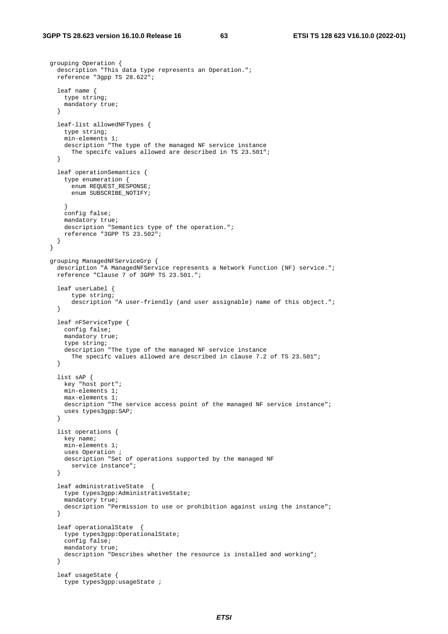grouping Operation {

```
 description "This data type represents an Operation."; 
    reference "3gpp TS 28.622"; 
     leaf name { 
       type string; 
      mandatory true; 
     } 
     leaf-list allowedNFTypes { 
       type string; 
       min-elements 1; 
      description "The type of the managed NF service instance 
         The specifc values allowed are described in TS 23.501"; 
     } 
     leaf operationSemantics { 
       type enumeration { 
         enum REQUEST_RESPONSE; 
         enum SUBSCRIBE_NOTIFY; 
 } 
      config false; 
      mandatory true; 
       description "Semantics type of the operation."; 
      reference "3GPP TS 23.502"; 
     } 
  } 
  grouping ManagedNFServiceGrp { 
     description "A ManagedNFService represents a Network Function (NF) service."; 
     reference "Clause 7 of 3GPP TS 23.501."; 
     leaf userLabel { 
         type string; 
         description "A user-friendly (and user assignable) name of this object."; 
     } 
     leaf nFServiceType { 
       config false; 
      mandatory true; 
       type string; 
       description "The type of the managed NF service instance 
         The specifc values allowed are described in clause 7.2 of TS 23.501"; 
     } 
     list sAP { 
       key "host port"; 
      min-elements 1; 
      max-elements 1; 
      description "The service access point of the managed NF service instance"; 
      uses types3gpp:SAP; 
     } 
     list operations { 
      key name; 
       min-elements 1; 
       uses Operation ; 
      description "Set of operations supported by the managed NF 
         service instance"; 
     } 
     leaf administrativeState { 
       type types3gpp:AdministrativeState; 
       mandatory true; 
       description "Permission to use or prohibition against using the instance"; 
     } 
     leaf operationalState { 
       type types3gpp:OperationalState; 
       config false; 
      mandatory true; 
       description "Describes whether the resource is installed and working"; 
     } 
     leaf usageState { 
       type types3gpp:usageState ;
```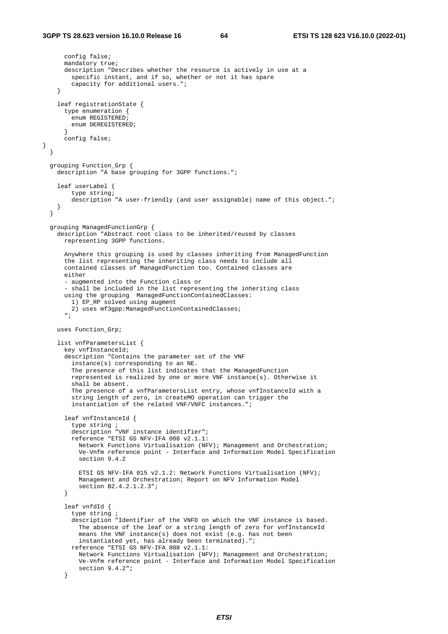}

```
 config false; 
      mandatory true; 
      description "Describes whether the resource is actively in use at a 
         specific instant, and if so, whether or not it has spare 
         capacity for additional users."; 
    } 
    leaf registrationState { 
      type enumeration { 
         enum REGISTERED; 
        enum DEREGISTERED; 
 } 
      config false; 
  } 
  grouping Function_Grp { 
    description "A base grouping for 3GPP functions."; 
    leaf userLabel { 
        type string; 
        description "A user-friendly (and user assignable) name of this object."; 
    } 
  } 
  grouping ManagedFunctionGrp { 
    description "Abstract root class to be inherited/reused by classes 
      representing 3GPP functions. 
      Anywhere this grouping is used by classes inheriting from ManagedFunction 
      the list representing the inheriting class needs to include all 
      contained classes of ManagedFunction too. Contained classes are 
      either 
      - augmented into the Function class or 
       - shall be included in the list representing the inheriting class 
      using the grouping ManagedFunctionContainedClasses: 
       1) EP RP solved using augment
        2) uses mf3gpp:ManagedFunctionContainedClasses;
      \blacksquare uses Function_Grp; 
    list vnfParametersList { 
      key vnfInstanceId; 
      description "Contains the parameter set of the VNF 
         instance(s) corresponding to an NE. 
        The presence of this list indicates that the ManagedFunction 
         represented is realized by one or more VNF instance(s). Otherwise it 
         shall be absent. 
        The presence of a vnfParametersList entry, whose vnfInstanceId with a 
 string length of zero, in createMO operation can trigger the 
 instantiation of the related VNF/VNFC instances."; 
       leaf vnfInstanceId { 
         type string ; 
         description "VNF instance identifier"; 
         reference "ETSI GS NFV-IFA 008 v2.1.1: 
          Network Functions Virtualisation (NFV); Management and Orchestration; 
           Ve-Vnfm reference point - Interface and Information Model Specification 
          section 9.4.2 
          ETSI GS NFV-IFA 015 v2.1.2: Network Functions Virtualisation (NFV); 
          Management and Orchestration; Report on NFV Information Model 
      section B2.4.2.1.2.3";
 } 
      leaf vnfdId { 
        type string ; 
        description "Identifier of the VNFD on which the VNF instance is based. 
          The absence of the leaf or a string length of zero for vnfInstanceId 
           means the VNF instance(s) does not exist (e.g. has not been 
           instantiated yet, has already been terminated)."; 
        reference "ETSI GS NFV-IFA 008 v2.1.1: 
          Network Functions Virtualisation (NFV); Management and Orchestration; 
           Ve-Vnfm reference point - Interface and Information Model Specification 
      section 9.4.2";
 }
```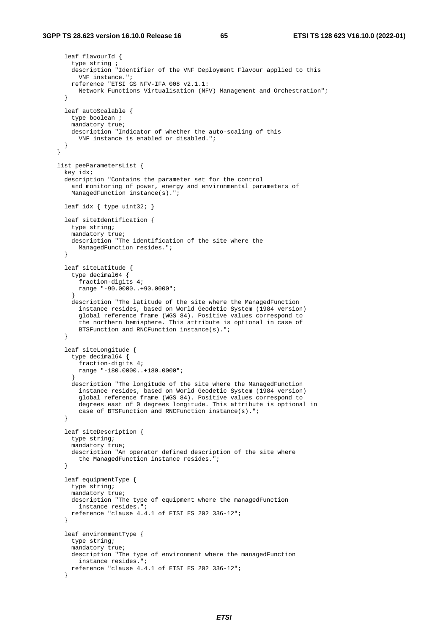```
 leaf flavourId { 
         type string ; 
        description "Identifier of the VNF Deployment Flavour applied to this 
          VNF instance."; 
        reference "ETSI GS NFV-IFA 008 v2.1.1: 
          Network Functions Virtualisation (NFV) Management and Orchestration"; 
 } 
      leaf autoScalable { 
        type boolean ; 
        mandatory true; 
        description "Indicator of whether the auto-scaling of this 
          VNF instance is enabled or disabled."; 
      } 
    } 
    list peeParametersList { 
      key idx; 
      description "Contains the parameter set for the control 
        and monitoring of power, energy and environmental parameters of 
       ManagedFunction instance(s).";
       leaf idx { type uint32; } 
      leaf siteIdentification { 
        type string; 
        mandatory true;
        description "The identification of the site where the 
          ManagedFunction resides."; 
       } 
      leaf siteLatitude { 
         type decimal64 { 
          fraction-digits 4; 
          range "-90.0000..+90.0000"; 
 } 
        description "The latitude of the site where the ManagedFunction 
          instance resides, based on World Geodetic System (1984 version) 
           global reference frame (WGS 84). Positive values correspond to 
           the northern hemisphere. This attribute is optional in case of 
      BTSFunction and RNCFunction instance(s).";
 } 
      leaf siteLongitude { 
        type decimal64 { 
          fraction-digits 4; 
          range "-180.0000..+180.0000"; 
 } 
        description "The longitude of the site where the ManagedFunction 
          instance resides, based on World Geodetic System (1984 version) 
          global reference frame (WGS 84). Positive values correspond to 
          degrees east of 0 degrees longitude. This attribute is optional in 
           case of BTSFunction and RNCFunction instance(s)."; 
 } 
      leaf siteDescription { 
        type string; 
         mandatory true; 
        description "An operator defined description of the site where 
          the ManagedFunction instance resides."; 
       } 
       leaf equipmentType { 
        type string; 
        mandatory true; 
        description "The type of equipment where the managedFunction 
          instance resides."; 
        reference "clause 4.4.1 of ETSI ES 202 336-12"; 
}
      leaf environmentType { 
        type string; 
        mandatory true; 
        description "The type of environment where the managedFunction 
          instance resides."; 
       reference "clause 4.4.1 of ETSI ES 202 336-12"; 
 }
```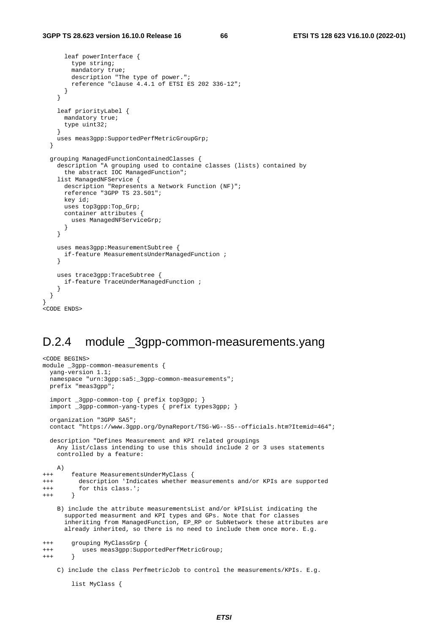```
 leaf powerInterface { 
         type string; 
        mandatory true;
         description "The type of power."; 
         reference "clause 4.4.1 of ETSI ES 202 336-12"; 
       } 
     } 
     leaf priorityLabel { 
       mandatory true; 
       type uint32; 
 } 
     uses meas3gpp:SupportedPerfMetricGroupGrp; 
   } 
  grouping ManagedFunctionContainedClasses { 
     description "A grouping used to containe classes (lists) contained by 
       the abstract IOC ManagedFunction"; 
     list ManagedNFService { 
      description "Represents a Network Function (NF)"; 
       reference "3GPP TS 23.501"; 
       key id; 
       uses top3gpp:Top_Grp; 
       container attributes { 
         uses ManagedNFServiceGrp; 
       } 
     } 
     uses meas3gpp:MeasurementSubtree { 
       if-feature MeasurementsUnderManagedFunction ; 
     } 
     uses trace3gpp:TraceSubtree { 
       if-feature TraceUnderManagedFunction ; 
     } 
  } 
.<br><CODE ENDS>
```
#### D.2.4 module 3gpp-common-measurements.yang

```
<CODE BEGINS> 
module _3gpp-common-measurements { 
   yang-version 1.1; 
   namespace "urn:3gpp:sa5:_3gpp-common-measurements"; 
   prefix "meas3gpp"; 
   import _3gpp-common-top { prefix top3gpp; } 
   import _3gpp-common-yang-types { prefix types3gpp; } 
   organization "3GPP SA5"; 
   contact "https://www.3gpp.org/DynaReport/TSG-WG--S5--officials.htm?Itemid=464"; 
   description "Defines Measurement and KPI related groupings 
     Any list/class intending to use this should include 2 or 3 uses statements 
     controlled by a feature: 
    A) 
+++ feature MeasurementsUnderMyClass { 
+++ description 'Indicates whether measurements and/or KPIs are supported 
+++ for this class.'; 
+++ } 
     B) include the attribute measurementsList and/or kPIsList indicating the 
       supported measurment and KPI types and GPs. Note that for classes 
       inheriting from ManagedFunction, EP_RP or SubNetwork these attributes are 
       already inherited, so there is no need to include them once more. E.g. 
+++ grouping MyClassGrp { 
+++ uses meas3gpp:SupportedPerfMetricGroup; 
^{+++} C) include the class PerfmetricJob to control the measurements/KPIs. E.g.
```

```
 list MyClass {
```
}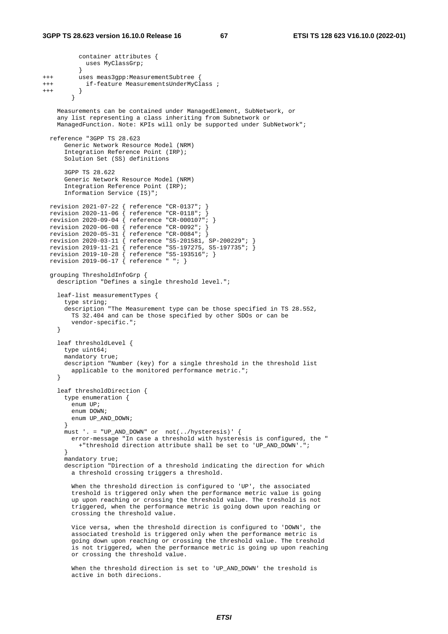```
 container attributes { 
            uses MyClassGrp; 
 } 
+++ uses meas3gpp:MeasurementSubtree { 
+++ if-feature MeasurementsUnderMyClass ; 
^{+++} }
 } 
    Measurements can be contained under ManagedElement, SubNetwork, or 
     any list representing a class inheriting from Subnetwork or 
     ManagedFunction. Note: KPIs will only be supported under SubNetwork"; 
  reference "3GPP TS 28.623 
       Generic Network Resource Model (NRM) 
       Integration Reference Point (IRP); 
      Solution Set (SS) definitions 
       3GPP TS 28.622 
       Generic Network Resource Model (NRM) 
       Integration Reference Point (IRP); 
       Information Service (IS)"; 
  revision 2021-07-22 { reference "CR-0137"; } 
  revision 2020-11-06 { reference "CR-0118"; } 
 revision 2020-09-04 { reference "CR-000107"; } 
 revision 2020-06-08 { reference "CR-0092"; } 
  revision 2020-05-31 { reference "CR-0084"; } 
 revision 2020-03-11 { reference "S5-201581, SP-200229"; } 
 revision 2019-11-21 { reference "S5-197275, S5-197735"; } 
 revision 2019-10-28 { reference "S5-193516"; } 
 revision 2019-06-17 { reference " "; } 
  grouping ThresholdInfoGrp { 
    description "Defines a single threshold level."; 
     leaf-list measurementTypes { 
      type string; 
       description "The Measurement type can be those specified in TS 28.552, 
        TS 32.404 and can be those specified by other SDOs or can be 
         vendor-specific."; 
     } 
     leaf thresholdLevel { 
      type uint64; 
      mandatory true; 
      description "Number (key) for a single threshold in the threshold list 
        applicable to the monitored performance metric."; 
     } 
     leaf thresholdDirection { 
      type enumeration { 
       enum IID;
         enum DOWN; 
       enum UP_AND_DOWN;
 } 
      must '. = "UP_AND_DOWN" or not(../hysteresis)' { 
        error-message "In case a threshold with hysteresis is configured, the " 
          +"threshold direction attribute shall be set to 'UP_AND_DOWN'."; 
 } 
      mandatory true; 
      description "Direction of a threshold indicating the direction for which 
         a threshold crossing triggers a threshold. 
         When the threshold direction is configured to 'UP', the associated 
         treshold is triggered only when the performance metric value is going 
         up upon reaching or crossing the threshold value. The treshold is not 
         triggered, when the performance metric is going down upon reaching or 
         crossing the threshold value. 
         Vice versa, when the threshold direction is configured to 'DOWN', the 
         associated treshold is triggered only when the performance metric is 
         going down upon reaching or crossing the threshold value. The treshold 
         is not triggered, when the performance metric is going up upon reaching
```
 When the threshold direction is set to 'UP\_AND\_DOWN' the treshold is active in both direcions.

or crossing the threshold value.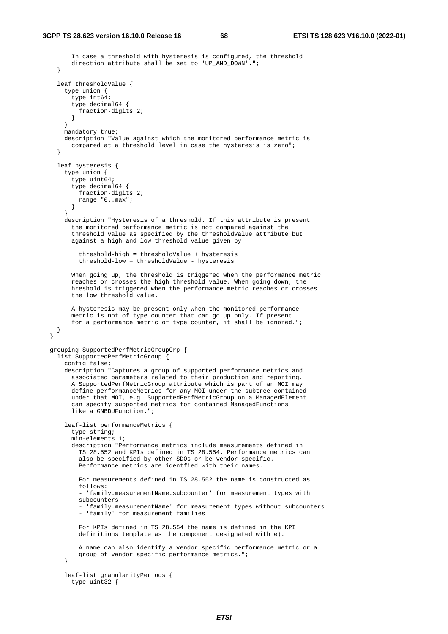```
 In case a threshold with hysteresis is configured, the threshold 
       direction attribute shall be set to 'UP AND DOWN'.";
    } 
    leaf thresholdValue { 
      type union { 
        type int64; type decimal64 { 
          fraction-digits 2; 
        } 
       } 
      mandatory true; 
      description "Value against which the monitored performance metric is 
         compared at a threshold level in case the hysteresis is zero"; 
 } 
    leaf hysteresis { 
      type union
        type uint64; 
        type decimal64 { 
          fraction-digits 2; 
          range "0..max"; 
         } 
 } 
       description "Hysteresis of a threshold. If this attribute is present 
         the monitored performance metric is not compared against the 
         threshold value as specified by the thresholdValue attribute but 
        against a high and low threshold value given by 
           threshold-high = thresholdValue + hysteresis 
           threshold-low = thresholdValue - hysteresis 
         When going up, the threshold is triggered when the performance metric 
        reaches or crosses the high threshold value. When going down, the 
        hreshold is triggered when the performance metric reaches or crosses 
         the low threshold value. 
        A hysteresis may be present only when the monitored performance 
        metric is not of type counter that can go up only. If present 
        for a performance metric of type counter, it shall be ignored."; 
    } 
  } 
  grouping SupportedPerfMetricGroupGrp { 
    list SupportedPerfMetricGroup { 
       config false; 
       description "Captures a group of supported performance metrics and 
         associated parameters related to their production and reporting. 
         A SupportedPerfMetricGroup attribute which is part of an MOI may 
        define performanceMetrics for any MOI under the subtree contained 
       under that MOI, e.g. SupportedPerfMetricGroup on a ManagedElement
         can specify supported metrics for contained ManagedFunctions 
         like a GNBDUFunction."; 
       leaf-list performanceMetrics { 
         type string; 
        min-elements 1; 
         description "Performance metrics include measurements defined in 
           TS 28.552 and KPIs defined in TS 28.554. Performance metrics can 
           also be specified by other SDOs or be vendor specific. 
          Performance metrics are identfied with their names. 
          For measurements defined in TS 28.552 the name is constructed as 
          follows: 
           - 'family.measurementName.subcounter' for measurement types with 
          subcounters 
           'family.measurementName' for measurement types without subcounters
           - 'family' for measurement families 
          For KPIs defined in TS 28.554 the name is defined in the KPI 
           definitions template as the component designated with e). 
          A name can also identify a vendor specific performance metric or a 
          group of vendor specific performance metrics."; 
}
       leaf-list granularityPeriods { 
        type uint32 {
```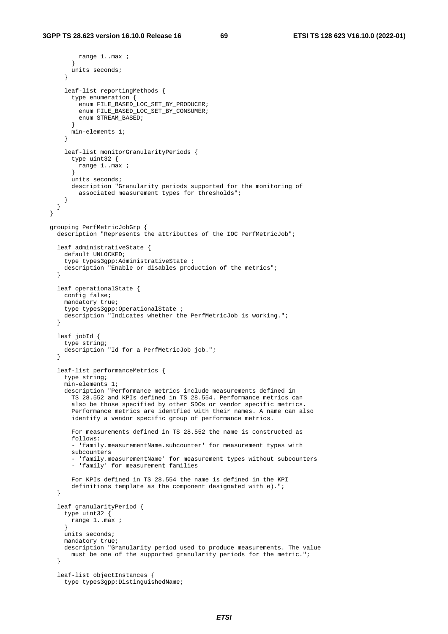```
 range 1..max ; 
 } 
        units seconds; 
       } 
       leaf-list reportingMethods { 
         type enumeration { 
         ..<br>enum FILE BASED LOC SET BY PRODUCER;
          enum FILE_BASED_LOC_SET_BY_CONSUMER; 
           enum STREAM_BASED; 
         } 
        min-elements 1; 
       } 
      leaf-list monitorGranularityPeriods { 
        type uint32 { 
          range 1..max ; 
 } 
         units seconds; 
        description "Granularity periods supported for the monitoring of 
          associated measurement types for thresholds"; 
      } 
    } 
  } 
  grouping PerfMetricJobGrp { 
    description "Represents the attributtes of the IOC PerfMetricJob"; 
    leaf administrativeState { 
      default UNLOCKED; 
       type types3gpp:AdministrativeState ; 
      description "Enable or disables production of the metrics"; 
 } 
    leaf operationalState { 
      config false; 
      mandatory true; 
 type types3gpp:OperationalState ; 
 description "Indicates whether the PerfMetricJob is working."; 
    } 
    leaf jobId { 
      type string; 
      description "Id for a PerfMetricJob job."; 
    } 
    leaf-list performanceMetrics { 
      type string; 
      min-elements 1; 
      description "Performance metrics include measurements defined in 
         TS 28.552 and KPIs defined in TS 28.554. Performance metrics can 
         also be those specified by other SDOs or vendor specific metrics. 
         Performance metrics are identfied with their names. A name can also 
         identify a vendor specific group of performance metrics. 
        For measurements defined in TS 28.552 the name is constructed as 
        follows: 
         - 'family.measurementName.subcounter' for measurement types with 
         subcounters 
         - 'family.measurementName' for measurement types without subcounters 
         - 'family' for measurement families 
         For KPIs defined in TS 28.554 the name is defined in the KPI 
        definitions template as the component designated with e)."; 
    } 
    leaf granularityPeriod { 
      type uint32 { 
        range 1..max ; 
 } 
      units seconds; 
      mandatory true; 
      description "Granularity period used to produce measurements. The value 
        must be one of the supported granularity periods for the metric."; 
    } 
    leaf-list objectInstances { 
      type types3gpp:DistinguishedName;
```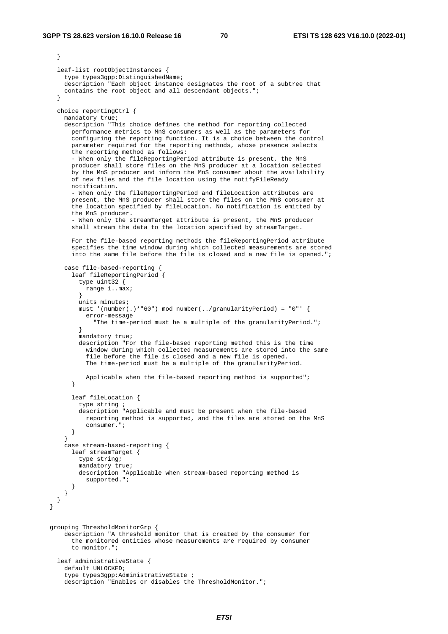```
 } 
    leaf-list rootObjectInstances { 
       type types3gpp:DistinguishedName; 
      description "Each object instance designates the root of a subtree that 
      contains the root object and all descendant objects."; 
 } 
    choice reportingCtrl { 
      mandatory true; 
      description "This choice defines the method for reporting collected 
         performance metrics to MnS consumers as well as the parameters for 
         configuring the reporting function. It is a choice between the control 
        parameter required for the reporting methods, whose presence selects 
         the reporting method as follows: 
         - When only the fileReportingPeriod attribute is present, the MnS 
         producer shall store files on the MnS producer at a location selected 
        by the MnS producer and inform the MnS consumer about the availability 
         of new files and the file location using the notifyFileReady 
        notification. 
         - When only the fileReportingPeriod and fileLocation attributes are 
        present, the MnS producer shall store the files on the MnS consumer at 
         the location specified by fileLocation. No notification is emitted by 
         the MnS producer. 
         - When only the streamTarget attribute is present, the MnS producer 
         shall stream the data to the location specified by streamTarget. 
        For the file-based reporting methods the fileReportingPeriod attribute 
        specifies the time window during which collected measurements are stored 
        into the same file before the file is closed and a new file is opened."; 
       case file-based-reporting { 
         leaf fileReportingPeriod { 
          type uint32 { 
             range 1..max; 
 } 
          units minutes; 
          must '(number(.)*"60") mod number(../granularityPeriod) = "0"' { 
             error-message 
              "The time-period must be a multiple of the granularityPeriod.";
 } 
          mandatory true; 
           description "For the file-based reporting method this is the time 
             window during which collected measurements are stored into the same 
             file before the file is closed and a new file is opened. 
             The time-period must be a multiple of the granularityPeriod. 
            Applicable when the file-based reporting method is supported";
 } 
        leaf fileLocation { 
           type string ; 
           description "Applicable and must be present when the file-based 
             reporting method is supported, and the files are stored on the MnS 
             consumer."; 
        } 
       } 
       case stream-based-reporting { 
        leaf streamTarget { 
          type string; 
          mandatory true; 
          description "Applicable when stream-based reporting method is 
             supported."; 
     \begin{matrix} \end{matrix} } 
 } 
 } 
  grouping ThresholdMonitorGrp { 
       description "A threshold monitor that is created by the consumer for 
         the monitored entities whose measurements are required by consumer 
         to monitor."; 
    leaf administrativeState { 
       default UNLOCKED; 
       type types3gpp:AdministrativeState ; 
     description "Enables or disables the ThresholdMonitor.";
```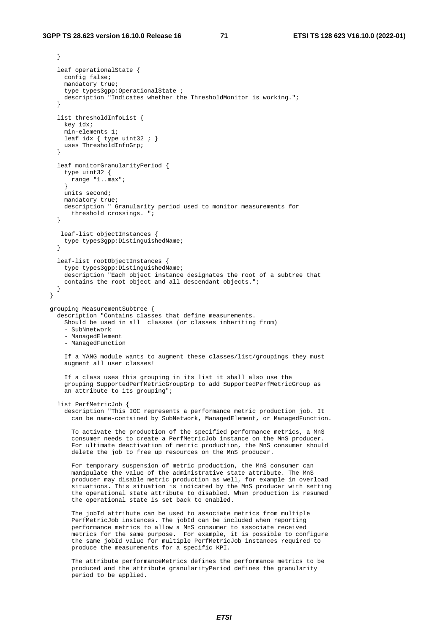```
 } 
    leaf operationalState { 
      config false; 
      mandatory true; 
      type types3gpp:OperationalState ; 
      description "Indicates whether the ThresholdMonitor is working."; 
 } 
    list thresholdInfoList { 
      key idx; 
      min-elements 1; 
     leaf idx \{ type uint 32 ; \} uses ThresholdInfoGrp; 
 } 
    leaf monitorGranularityPeriod { 
       type uint32 { 
        range "1..max"; 
 } 
      units second; 
      mandatory true; 
      description " Granularity period used to monitor measurements for 
        threshold crossings. "; 
    } 
     leaf-list objectInstances { 
      type types3gpp:DistinguishedName; 
    } 
    leaf-list rootObjectInstances { 
      type types3gpp:DistinguishedName; 
      description "Each object instance designates the root of a subtree that 
      contains the root object and all descendant objects."; 
    } 
  } 
  grouping MeasurementSubtree { 
    description "Contains classes that define measurements. 
      Should be used in all classes (or classes inheriting from) 
       - SubNnetwork 
       - ManagedElement 
       - ManagedFunction 
      If a YANG module wants to augment these classes/list/groupings they must 
       augment all user classes! 
      If a class uses this grouping in its list it shall also use the 
       grouping SupportedPerfMetricGroupGrp to add SupportedPerfMetricGroup as 
      an attribute to its grouping"; 
    list PerfMetricJob { 
       description "This IOC represents a performance metric production job. It 
         can be name-contained by SubNetwork, ManagedElement, or ManagedFunction. 
         To activate the production of the specified performance metrics, a MnS 
         consumer needs to create a PerfMetricJob instance on the MnS producer. 
         For ultimate deactivation of metric production, the MnS consumer should 
         delete the job to free up resources on the MnS producer. 
         For temporary suspension of metric production, the MnS consumer can 
         manipulate the value of the administrative state attribute. The MnS 
         producer may disable metric production as well, for example in overload 
         situations. This situation is indicated by the MnS producer with setting 
         the operational state attribute to disabled. When production is resumed 
         the operational state is set back to enabled. 
         The jobId attribute can be used to associate metrics from multiple 
         PerfMetricJob instances. The jobId can be included when reporting 
         performance metrics to allow a MnS consumer to associate received 
         metrics for the same purpose. For example, it is possible to configure 
         the same jobId value for multiple PerfMetricJob instances required to 
         produce the measurements for a specific KPI. 
         The attribute performanceMetrics defines the performance metrics to be 
         produced and the attribute granularityPeriod defines the granularity 
         period to be applied.
```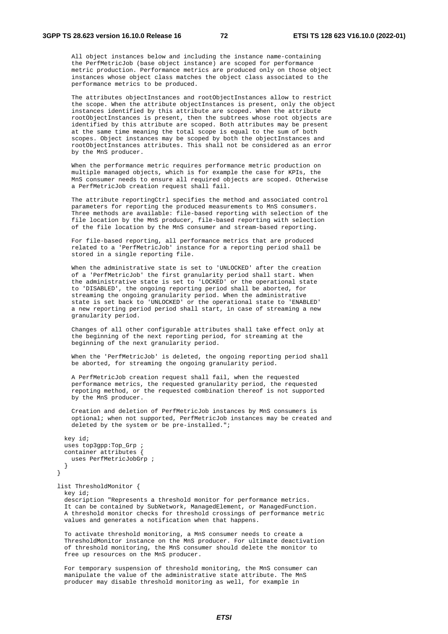All object instances below and including the instance name-containing the PerfMetricJob (base object instance) are scoped for performance metric production. Performance metrics are produced only on those object instances whose object class matches the object class associated to the performance metrics to be produced.

 The attributes objectInstances and rootObjectInstances allow to restrict the scope. When the attribute objectInstances is present, only the object instances identified by this attribute are scoped. When the attribute rootObjectInstances is present, then the subtrees whose root objects are identified by this attribute are scoped. Both attributes may be present at the same time meaning the total scope is equal to the sum of both scopes. Object instances may be scoped by both the objectInstances and rootObjectInstances attributes. This shall not be considered as an error by the MnS producer.

 When the performance metric requires performance metric production on multiple managed objects, which is for example the case for KPIs, the MnS consumer needs to ensure all required objects are scoped. Otherwise a PerfMetricJob creation request shall fail.

 The attribute reportingCtrl specifies the method and associated control parameters for reporting the produced measurements to MnS consumers. Three methods are available: file-based reporting with selection of the file location by the MnS producer, file-based reporting with selection of the file location by the MnS consumer and stream-based reporting.

 For file-based reporting, all performance metrics that are produced related to a 'PerfMetricJob' instance for a reporting period shall be stored in a single reporting file.

 When the administrative state is set to 'UNLOCKED' after the creation of a 'PerfMetricJob' the first granularity period shall start. When the administrative state is set to 'LOCKED' or the operational state to 'DISABLED', the ongoing reporting period shall be aborted, for streaming the ongoing granularity period. When the administrative state is set back to 'UNLOCKED' or the operational state to 'ENABLED' a new reporting period period shall start, in case of streaming a new granularity period.

 Changes of all other configurable attributes shall take effect only at the beginning of the next reporting period, for streaming at the beginning of the next granularity period.

 When the 'PerfMetricJob' is deleted, the ongoing reporting period shall be aborted, for streaming the ongoing granularity period.

 A PerfMetricJob creation request shall fail, when the requested performance metrics, the requested granularity period, the requested repoting method, or the requested combination thereof is not supported by the MnS producer.

 Creation and deletion of PerfMetricJob instances by MnS consumers is optional; when not supported, PerfMetricJob instances may be created and deleted by the system or be pre-installed.";

```
 key id; 
   uses top3gpp:Top_Grp ; 
   container attributes { 
     uses PerfMetricJobGrp ; 
   } 
 }
```
 list ThresholdMonitor { key id;

 description "Represents a threshold monitor for performance metrics. It can be contained by SubNetwork, ManagedElement, or ManagedFunction. A threshold monitor checks for threshold crossings of performance metric values and generates a notification when that happens.

 To activate threshold monitoring, a MnS consumer needs to create a ThresholdMonitor instance on the MnS producer. For ultimate deactivation of threshold monitoring, the MnS consumer should delete the monitor to free up resources on the MnS producer.

 For temporary suspension of threshold monitoring, the MnS consumer can manipulate the value of the administrative state attribute. The MnS producer may disable threshold monitoring as well, for example in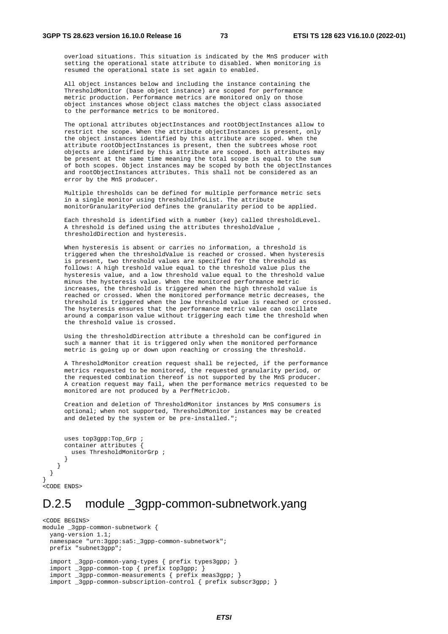overload situations. This situation is indicated by the MnS producer with setting the operational state attribute to disabled. When monitoring is resumed the operational state is set again to enabled.

 All object instances below and including the instance containing the ThresholdMonitor (base object instance) are scoped for performance metric production. Performance metrics are monitored only on those object instances whose object class matches the object class associated to the performance metrics to be monitored.

 The optional attributes objectInstances and rootObjectInstances allow to restrict the scope. When the attribute objectInstances is present, only the object instances identified by this attribute are scoped. When the attribute rootObjectInstances is present, then the subtrees whose root objects are identified by this attribute are scoped. Both attributes may be present at the same time meaning the total scope is equal to the sum of both scopes. Object instances may be scoped by both the objectInstances and rootObjectInstances attributes. This shall not be considered as an error by the MnS producer.

 Multiple thresholds can be defined for multiple performance metric sets in a single monitor using thresholdInfoList. The attribute monitorGranularityPeriod defines the granularity period to be applied.

 Each threshold is identified with a number (key) called thresholdLevel. A threshold is defined using the attributes thresholdValue , thresholdDirection and hysteresis.

 When hysteresis is absent or carries no information, a threshold is triggered when the thresholdValue is reached or crossed. When hysteresis is present, two threshold values are specified for the threshold as follows: A high treshold value equal to the threshold value plus the hysteresis value, and a low threshold value equal to the threshold value minus the hysteresis value. When the monitored performance metric increases, the threshold is triggered when the high threshold value is reached or crossed. When the monitored performance metric decreases, the threshold is triggered when the low threshold value is reached or crossed. The hsyteresis ensures that the performance metric value can oscillate around a comparison value without triggering each time the threshold when the threshold value is crossed.

 Using the thresholdDirection attribute a threshold can be configured in such a manner that it is triggered only when the monitored performance metric is going up or down upon reaching or crossing the threshold.

 A ThresholdMonitor creation request shall be rejected, if the performance metrics requested to be monitored, the requested granularity period, or the requested combination thereof is not supported by the MnS producer. A creation request may fail, when the performance metrics requested to be monitored are not produced by a PerfMetricJob.

 Creation and deletion of ThresholdMonitor instances by MnS consumers is optional; when not supported, ThresholdMonitor instances may be created and deleted by the system or be pre-installed.";

```
 uses top3gpp:Top_Grp ; 
       container attributes { 
         uses ThresholdMonitorGrp ;
       } 
     } 
  } 
,<br><CODE ENDS>
```
}

## D.2.5 module \_3gpp-common-subnetwork.yang

```
<CODE BEGINS> 
module _3gpp-common-subnetwork { 
   yang-version 1.1; 
  namespace "urn:3qpp:sa5: 3qpp-common-subnetwork";
   prefix "subnet3gpp"; 
   import _3gpp-common-yang-types { prefix types3gpp; } 
   import _3gpp-common-top { prefix top3gpp; } 
   import _3gpp-common-measurements { prefix meas3gpp; } 
   import _3gpp-common-subscription-control { prefix subscr3gpp; }
```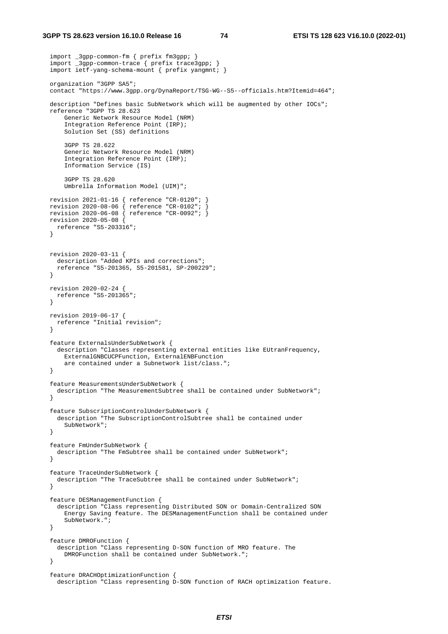#### **3GPP TS 28.623 version 16.10.0 Release 16 74 ETSI TS 128 623 V16.10.0 (2022-01)**

```
 import _3gpp-common-fm { prefix fm3gpp; } 
 import _3gpp-common-trace { prefix trace3gpp; } 
 import ietf-yang-schema-mount { prefix yangmnt; } 
  organization "3GPP SA5"; 
  contact "https://www.3gpp.org/DynaReport/TSG-WG--S5--officials.htm?Itemid=464"; 
  description "Defines basic SubNetwork which will be augmented by other IOCs"; 
  reference "3GPP TS 28.623 
      Generic Network Resource Model (NRM) 
      Integration Reference Point (IRP); 
      Solution Set (SS) definitions 
      3GPP TS 28.622 
      Generic Network Resource Model (NRM) 
      Integration Reference Point (IRP); 
      Information Service (IS) 
       3GPP TS 28.620 
      Umbrella Information Model (UIM)"; 
  revision 2021-01-16 { reference "CR-0120"; } 
 revision 2020-08-06 { reference "CR-0102"; } 
 revision 2020-06-08 { reference "CR-0092"; } 
  revision 2020-05-08 { 
    reference "S5-203316"; 
  } 
  revision 2020-03-11 { 
    description "Added KPIs and corrections"; 
    reference "S5-201365, S5-201581, SP-200229"; 
  } 
  revision 2020-02-24 { 
    reference "S5-201365"; 
  } 
  revision 2019-06-17 { 
   reference "Initial revision"; 
  } 
  feature ExternalsUnderSubNetwork { 
    description "Classes representing external entities like EUtranFrequency, 
      ExternalGNBCUCPFunction, ExternalENBFunction 
      are contained under a Subnetwork list/class."; 
  } 
  feature MeasurementsUnderSubNetwork { 
    description "The MeasurementSubtree shall be contained under SubNetwork"; 
  } 
  feature SubscriptionControlUnderSubNetwork { 
    description "The SubscriptionControlSubtree shall be contained under 
     SubNetwork"; 
  } 
  feature FmUnderSubNetwork { 
    description "The FmSubtree shall be contained under SubNetwork"; 
  } 
  feature TraceUnderSubNetwork { 
    description "The TraceSubtree shall be contained under SubNetwork"; 
  } 
  feature DESManagementFunction { 
    description "Class representing Distributed SON or Domain-Centralized SON 
      Energy Saving feature. The DESManagementFunction shall be contained under 
      SubNetwork."; 
  } 
  feature DMROFunction { 
    description "Class representing D-SON function of MRO feature. The 
      DMROFunction shall be contained under SubNetwork."; 
  } 
  feature DRACHOptimizationFunction { 
    description "Class representing D-SON function of RACH optimization feature.
```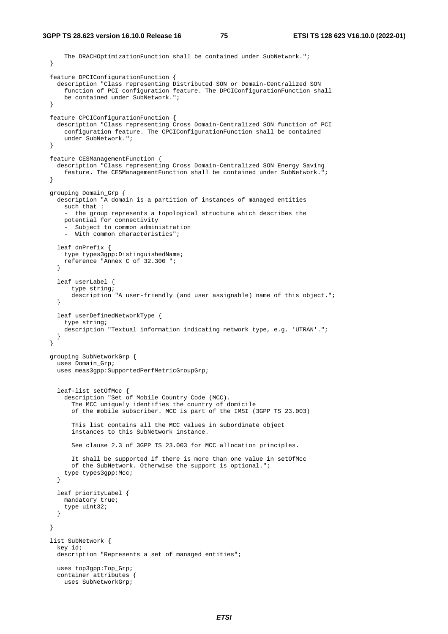```
 The DRACHOptimizationFunction shall be contained under SubNetwork."; 
 } 
 feature DPCIConfigurationFunction { 
   description "Class representing Distributed SON or Domain-Centralized SON 
     function of PCI configuration feature. The DPCIConfigurationFunction shall 
     be contained under SubNetwork."; 
 } 
 feature CPCIConfigurationFunction { 
  description "Class representing Cross Domain-Centralized SON function of PCI 
     configuration feature. The CPCIConfigurationFunction shall be contained 
     under SubNetwork."; 
 } 
 feature CESManagementFunction { 
   description "Class representing Cross Domain-Centralized SON Energy Saving 
     feature. The CESManagementFunction shall be contained under SubNetwork."; 
 } 
 grouping Domain_Grp { 
   description "A domain is a partition of instances of managed entities 
    such that : 
     - the group represents a topological structure which describes the 
     potential for connectivity 
     Subject to common administration
     - With common characteristics"; 
   leaf dnPrefix { 
     type types3gpp:DistinguishedName; 
     reference "Annex C of 32.300 "; 
   } 
   leaf userLabel { 
       type string; 
       description "A user-friendly (and user assignable) name of this object."; 
   } 
   leaf userDefinedNetworkType { 
     type string; 
     description "Textual information indicating network type, e.g. 'UTRAN'."; 
   } 
 } 
 grouping SubNetworkGrp { 
   uses Domain_Grp; 
   uses meas3gpp:SupportedPerfMetricGroupGrp; 
   leaf-list setOfMcc { 
     description "Set of Mobile Country Code (MCC). 
       The MCC uniquely identifies the country of domicile 
       of the mobile subscriber. MCC is part of the IMSI (3GPP TS 23.003) 
       This list contains all the MCC values in subordinate object 
       instances to this SubNetwork instance. 
       See clause 2.3 of 3GPP TS 23.003 for MCC allocation principles. 
       It shall be supported if there is more than one value in setOfMcc 
       of the SubNetwork. Otherwise the support is optional."; 
     type types3gpp:Mcc; 
   } 
   leaf priorityLabel { 
     mandatory true; 
     type uint32; 
   } 
 } 
 list SubNetwork { 
  key id; 
  description "Represents a set of managed entities";
   uses top3gpp:Top_Grp; 
   container attributes { 
    uses SubNetworkGrp;
```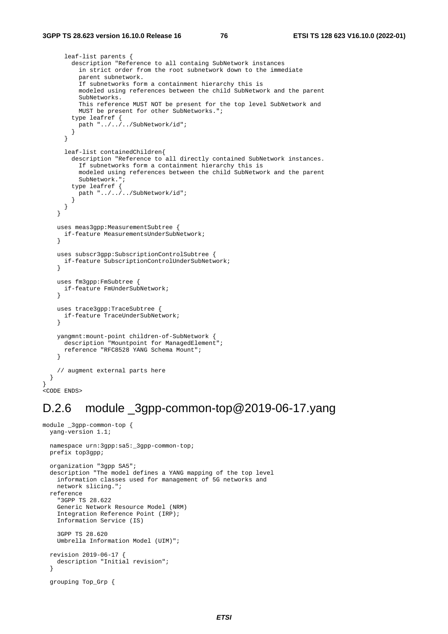} }

```
 leaf-list parents { 
         description "Reference to all containg SubNetwork instances 
           in strict order from the root subnetwork down to the immediate 
           parent subnetwork. 
           If subnetworks form a containment hierarchy this is 
           modeled using references between the child SubNetwork and the parent 
           SubNetworks. 
           This reference MUST NOT be present for the top level SubNetwork and 
           MUST be present for other SubNetworks."; 
         type leafref { 
          path "../../../SubNetwork/id";
         } 
       } 
       leaf-list containedChildren{ 
         description "Reference to all directly contained SubNetwork instances. 
           If subnetworks form a containment hierarchy this is 
           modeled using references between the child SubNetwork and the parent 
           SubNetwork."; 
 type leafref { 
 path "../../../SubNetwork/id"; 
         } 
      } 
     } 
     uses meas3gpp:MeasurementSubtree { 
      if-feature MeasurementsUnderSubNetwork; 
 } 
     uses subscr3gpp:SubscriptionControlSubtree { 
      if-feature SubscriptionControlUnderSubNetwork; 
 } 
    uses fm3gpp:FmSubtree { 
       if-feature FmUnderSubNetwork; 
     } 
    uses trace3gpp:TraceSubtree { 
      if-feature TraceUnderSubNetwork; 
     } 
    yangmnt:mount-point children-of-SubNetwork { 
       description "Mountpoint for ManagedElement"; 
       reference "RFC8528 YANG Schema Mount"; 
     } 
     // augment external parts here 
<CODE ENDS>
```
## D.2.6 module \_3gpp-common-top@2019-06-17.yang

```
module _3gpp-common-top { 
   yang-version 1.1; 
   namespace urn:3gpp:sa5:_3gpp-common-top; 
   prefix top3gpp; 
   organization "3gpp SA5"; 
   description "The model defines a YANG mapping of the top level 
     information classes used for management of 5G networks and 
     network slicing."; 
   reference 
     "3GPP TS 28.622 
     Generic Network Resource Model (NRM) 
     Integration Reference Point (IRP); 
     Information Service (IS) 
     3GPP TS 28.620 
     Umbrella Information Model (UIM)"; 
   revision 2019-06-17 { 
     description "Initial revision"; 
   } 
   grouping Top_Grp {
```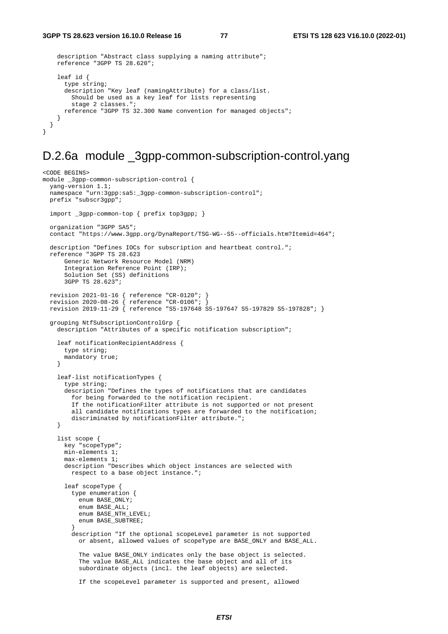<CODE BEGINS>

```
 description "Abstract class supplying a naming attribute"; 
     reference "3GPP TS 28.620"; 
     leaf id { 
       type string; 
       description "Key leaf (namingAttribute) for a class/list. 
         Should be used as a key leaf for lists representing 
         stage 2 classes."; 
       reference "3GPP TS 32.300 Name convention for managed objects"; 
     } 
   } 
}
```
### D.2.6a module \_3gpp-common-subscription-control.yang

```
module _3gpp-common-subscription-control { 
   yang-version 1.1; 
   namespace "urn:3gpp:sa5:_3gpp-common-subscription-control"; 
   prefix "subscr3gpp"; 
   import _3gpp-common-top { prefix top3gpp; } 
   organization "3GPP SA5"; 
   contact "https://www.3gpp.org/DynaReport/TSG-WG--S5--officials.htm?Itemid=464"; 
   description "Defines IOCs for subscription and heartbeat control."; 
   reference "3GPP TS 28.623 
       Generic Network Resource Model (NRM) 
       Integration Reference Point (IRP); 
       Solution Set (SS) definitions 
       3GPP TS 28.623"; 
   revision 2021-01-16 { reference "CR-0120"; } 
 revision 2020-08-26 { reference "CR-0106"; } 
 revision 2019-11-29 { reference "S5-197648 S5-197647 S5-197829 S5-197828"; } 
   grouping NtfSubscriptionControlGrp { 
     description "Attributes of a specific notification subscription"; 
     leaf notificationRecipientAddress { 
       type string; 
       mandatory true; 
     } 
     leaf-list notificationTypes { 
       type string; 
       description "Defines the types of notifications that are candidates 
         for being forwarded to the notification recipient. 
         If the notificationFilter attribute is not supported or not present 
         all candidate notifications types are forwarded to the notification; 
        discriminated by notificationFilter attribute.";
     } 
     list scope { 
       key "scopeType"; 
       min-elements 1; 
       max-elements 1; 
       description "Describes which object instances are selected with 
         respect to a base object instance."; 
       leaf scopeType { 
         type enumeration { 
           enum BASE_ONLY; 
           enum BASE_ALL; 
          enum BASE NTH LEVEL;
           enum BASE_SUBTREE; 
 } 
         description "If the optional scopeLevel parameter is not supported 
           or absent, allowed values of scopeType are BASE_ONLY and BASE_ALL. 
           The value BASE_ONLY indicates only the base object is selected. 
           The value BASE_ALL indicates the base object and all of its 
           subordinate objects (incl. the leaf objects) are selected. 
           If the scopeLevel parameter is supported and present, allowed
```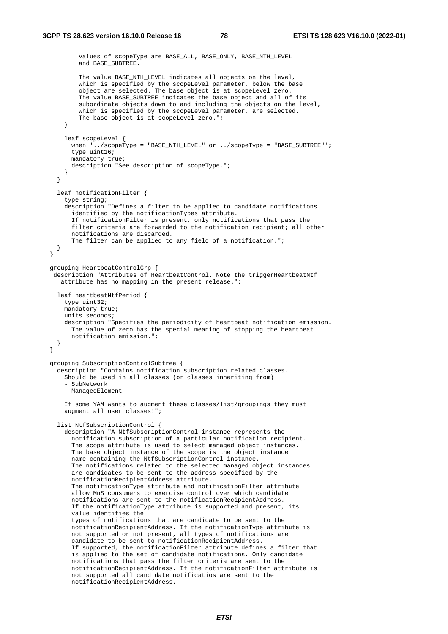}

```
 values of scopeType are BASE_ALL, BASE_ONLY, BASE_NTH_LEVEL 
        and BASE SUBTREE.
         The value BASE_NTH_LEVEL indicates all objects on the level, 
         which is specified by the scopeLevel parameter, below the base 
         object are selected. The base object is at scopeLevel zero. 
        The value BASE SUBTREE indicates the base object and all of its
        subordinate objects down to and including the objects on the level,
        which is specified by the scopeLevel parameter, are selected.
        The base object is at scopeLevel zero.";
     } 
     leaf scopeLevel { 
       when '../scopeType = "BASE_NTH_LEVEL" or ../scopeType = "BASE_SUBTREE"'; 
       type uint16; 
       mandatory true; 
       description "See description of scopeType."; 
     } 
   } 
   leaf notificationFilter { 
     type string; 
     description "Defines a filter to be applied to candidate notifications 
       identified by the notificationTypes attribute. 
       If notificationFilter is present, only notifications that pass the 
       filter criteria are forwarded to the notification recipient; all other 
       notifications are discarded. 
      The filter can be applied to any field of a notification.";
  } 
 grouping HeartbeatControlGrp { 
  description "Attributes of HeartbeatControl. Note the triggerHeartbeatNtf 
    attribute has no mapping in the present release."; 
   leaf heartbeatNtfPeriod { 
    type uint32; 
    mandatory true;
     units seconds; 
     description "Specifies the periodicity of heartbeat notification emission. 
       The value of zero has the special meaning of stopping the heartbeat 
       notification emission."; 
   } 
 grouping SubscriptionControlSubtree { 
   description "Contains notification subscription related classes. 
     Should be used in all classes (or classes inheriting from) 
     - SubNetwork 
     - ManagedElement 
     If some YAM wants to augment these classes/list/groupings they must 
     augment all user classes!"; 
   list NtfSubscriptionControl { 
     description "A NtfSubscriptionControl instance represents the 
       notification subscription of a particular notification recipient. 
       The scope attribute is used to select managed object instances. 
       The base object instance of the scope is the object instance 
       name-containing the NtfSubscriptionControl instance. 
       The notifications related to the selected managed object instances 
       are candidates to be sent to the address specified by the 
       notificationRecipientAddress attribute. 
       The notificationType attribute and notificationFilter attribute 
       allow MnS consumers to exercise control over which candidate 
       notifications are sent to the notificationRecipientAddress. 
       If the notificationType attribute is supported and present, its 
       value identifies the 
       types of notifications that are candidate to be sent to the 
       notificationRecipientAddress. If the notificationType attribute is 
       not supported or not present, all types of notifications are 
       candidate to be sent to notificationRecipientAddress. 
       If supported, the notificationFilter attribute defines a filter that 
       is applied to the set of candidate notifications. Only candidate 
       notifications that pass the filter criteria are sent to the 
       notificationRecipientAddress. If the notificationFilter attribute is 
       not supported all candidate notificatios are sent to the 
       notificationRecipientAddress.
```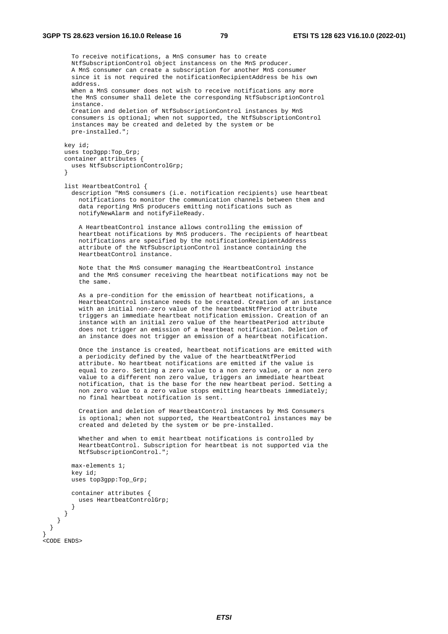To receive notifications, a MnS consumer has to create NtfSubscriptionControl object instancess on the MnS producer. A MnS consumer can create a subscription for another MnS consumer since it is not required the notificationRecipientAddress be his own address. When a MnS consumer does not wish to receive notifications any more the MnS consumer shall delete the corresponding NtfSubscriptionControl instance. Creation and deletion of NtfSubscriptionControl instances by MnS consumers is optional; when not supported, the NtfSubscriptionControl instances may be created and deleted by the system or be pre-installed."; key id; uses top3gpp:Top\_Grp; container attributes { uses NtfSubscriptionControlGrp; } list HeartbeatControl { description "MnS consumers (i.e. notification recipients) use heartbeat notifications to monitor the communication channels between them and data reporting MnS producers emitting notifications such as notifyNewAlarm and notifyFileReady. A HeartbeatControl instance allows controlling the emission of heartbeat notifications by MnS producers. The recipients of heartbeat notifications are specified by the notificationRecipientAddress attribute of the NtfSubscriptionControl instance containing the HeartbeatControl instance. Note that the MnS consumer managing the HeartbeatControl instance and the MnS consumer receiving the heartbeat notifications may not be the same. As a pre-condition for the emission of heartbeat notifications, a HeartbeatControl instance needs to be created. Creation of an instance with an initial non-zero value of the heartbeatNtfPeriod attribute triggers an immediate heartbeat notification emission. Creation of an instance with an initial zero value of the heartbeatPeriod attribute does not trigger an emission of a heartbeat notification. Deletion of an instance does not trigger an emission of a heartbeat notification. Once the instance is created, heartbeat notifications are emitted with a periodicity defined by the value of the heartbeatNtfPeriod attribute. No heartbeat notifications are emitted if the value is equal to zero. Setting a zero value to a non zero value, or a non zero value to a different non zero value, triggers an immediate heartbeat notification, that is the base for the new heartbeat period. Setting a non zero value to a zero value stops emitting heartbeats immediately; no final heartbeat notification is sent. Creation and deletion of HeartbeatControl instances by MnS Consumers is optional; when not supported, the HeartbeatControl instances may be created and deleted by the system or be pre-installed. Whether and when to emit heartbeat notifications is controlled by HeartbeatControl. Subscription for heartbeat is not supported via the NtfSubscriptionControl."; max-elements 1; key id; uses top3gpp:Top\_Grp; container attributes { uses HeartbeatControlGrp; } } }

```
.<br><CODE ENDS>
```
 } }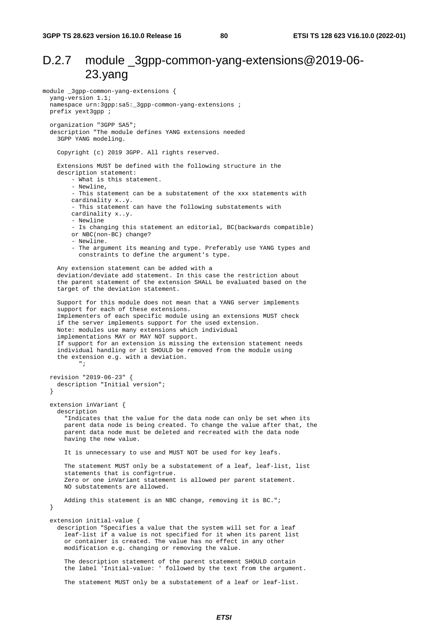## D.2.7 module 3gpp-common-yang-extensions@2019-06-23.yang

```
module _3gpp-common-yang-extensions { 
   yang-version 1.1; 
   namespace urn:3gpp:sa5:_3gpp-common-yang-extensions ; 
   prefix yext3gpp ; 
   organization "3GPP SA5"; 
   description "The module defines YANG extensions needed 
     3GPP YANG modeling. 
     Copyright (c) 2019 3GPP. All rights reserved. 
     Extensions MUST be defined with the following structure in the 
     description statement: 
         - What is this statement. 
         - Newline, 
         - This statement can be a substatement of the xxx statements with 
         cardinality x..y. 
          - This statement can have the following substatements with 
         cardinality x..y. 
         - Newline 
         - Is changing this statement an editorial, BC(backwards compatible) 
         or NBC(non-BC) change? 
         - Newline. 
         - The argument its meaning and type. Preferably use YANG types and 
           constraints to define the argument's type. 
     Any extension statement can be added with a 
     deviation/deviate add statement. In this case the restriction about 
     the parent statement of the extension SHALL be evaluated based on the 
     target of the deviation statement. 
     Support for this module does not mean that a YANG server implements 
     support for each of these extensions. 
     Implementers of each specific module using an extensions MUST check 
     if the server implements support for the used extension. 
 Note: modules use many extensions which individual 
 implementations MAY or MAY NOT support. 
     If support for an extension is missing the extension statement needs 
     individual handling or it SHOULD be removed from the module using 
     the extension e.g. with a deviation. 
           "; 
   revision "2019-06-23" { 
     description "Initial version"; 
   } 
   extension inVariant { 
     description 
       "Indicates that the value for the data node can only be set when its 
       parent data node is being created. To change the value after that, the 
       parent data node must be deleted and recreated with the data node 
       having the new value. 
       It is unnecessary to use and MUST NOT be used for key leafs. 
       The statement MUST only be a substatement of a leaf, leaf-list, list 
       statements that is config=true. 
       Zero or one inVariant statement is allowed per parent statement. 
       NO substatements are allowed. 
      Adding this statement is an NBC change, removing it is BC.";
   } 
   extension initial-value { 
     description "Specifies a value that the system will set for a leaf 
       leaf-list if a value is not specified for it when its parent list 
       or container is created. The value has no effect in any other 
       modification e.g. changing or removing the value. 
       The description statement of the parent statement SHOULD contain 
       the label 'Initial-value: ' followed by the text from the argument. 
       The statement MUST only be a substatement of a leaf or leaf-list.
```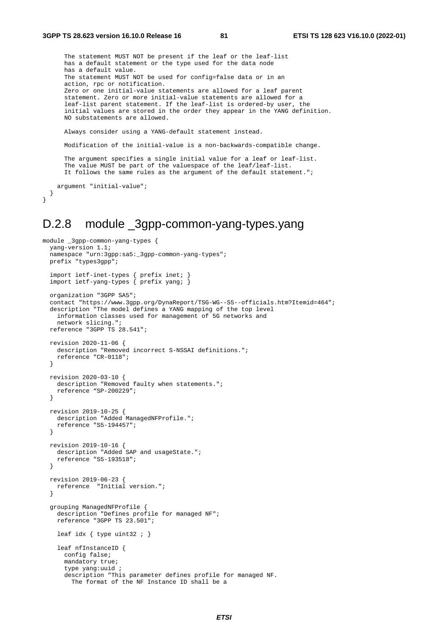```
 The statement MUST NOT be present if the leaf or the leaf-list 
 has a default statement or the type used for the data node 
 has a default value. 
 The statement MUST NOT be used for config=false data or in an 
 action, rpc or notification. 
 Zero or one initial-value statements are allowed for a leaf parent 
 statement. Zero or more initial-value statements are allowed for a 
 leaf-list parent statement. If the leaf-list is ordered-by user, the 
 initial values are stored in the order they appear in the YANG definition. 
 NO substatements are allowed. 
 Always consider using a YANG-default statement instead. 
 Modification of the initial-value is a non-backwards-compatible change.
```
 The argument specifies a single initial value for a leaf or leaf-list. The value MUST be part of the valuespace of the leaf/leaf-list. It follows the same rules as the argument of the default statement.";

```
 argument "initial-value"; 
 }
```
}

## D.2.8 module \_3gpp-common-yang-types.yang

```
module _3gpp-common-yang-types { 
   yang-version 1.1; 
  namespace "urn:3gpp:sa5:_3gpp-common-yang-types";
   prefix "types3gpp"; 
 import ietf-inet-types { prefix inet; } 
 import ietf-yang-types { prefix yang; } 
   organization "3GPP SA5"; 
   contact "https://www.3gpp.org/DynaReport/TSG-WG--S5--officials.htm?Itemid=464"; 
   description "The model defines a YANG mapping of the top level 
     information classes used for management of 5G networks and 
    network slicing."; 
   reference "3GPP TS 28.541"; 
   revision 2020-11-06 { 
     description "Removed incorrect S-NSSAI definitions."; 
    reference "CR-0118"; 
   } 
   revision 2020-03-10 { 
     description "Removed faulty when statements."; 
    reference "SP-200229"; 
   } 
   revision 2019-10-25 { 
     description "Added ManagedNFProfile."; 
    reference "S5-194457"; 
   } 
   revision 2019-10-16 { 
     description "Added SAP and usageState."; 
     reference "S5-193518"; 
   } 
   revision 2019-06-23 { 
    reference "Initial version."; 
   } 
   grouping ManagedNFProfile { 
     description "Defines profile for managed NF"; 
     reference "3GPP TS 23.501"; 
    leaf idx { type uint32 ; }
     leaf nfInstanceID { 
       config false; 
       mandatory true; 
       type yang:uuid ; 
       description "This parameter defines profile for managed NF. 
         The format of the NF Instance ID shall be a
```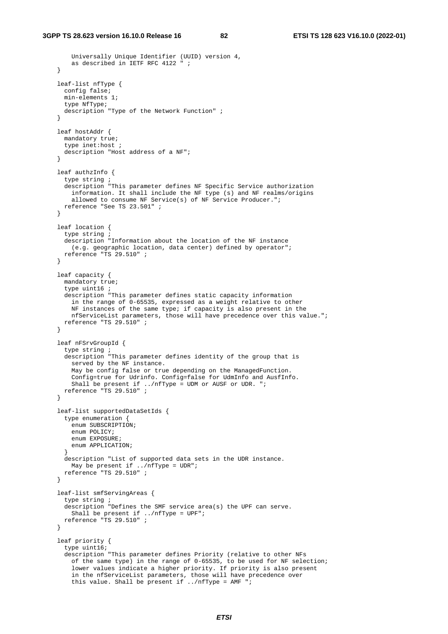```
 Universally Unique Identifier (UUID) version 4, 
         as described in IETF RFC 4122 " ; 
    } 
    leaf-list nfType { 
      config false; 
      min-elements 1; 
      type NfType; 
      description "Type of the Network Function" ; 
 } 
    leaf hostAddr { 
      mandatory true; 
      type inet:host ; 
      description "Host address of a NF"; 
    } 
    leaf authzInfo { 
      type string ; 
      description "This parameter defines NF Specific Service authorization 
        information. It shall include the NF type (s) and NF realms/origins 
        allowed to consume NF Service(s) of NF Service Producer.";
      reference "See TS 23.501" ; 
    } 
    leaf location { 
      type string ; 
       description "Information about the location of the NF instance 
        (e.g. geographic location, data center) defined by operator"; 
      reference "TS 29.510" ; 
    } 
    leaf capacity { 
     mandatory true;
       type uint16 ; 
      description "This parameter defines static capacity information 
        in the range of 0-65535, expressed as a weight relative to other 
        NF instances of the same type; if capacity is also present in the 
        nfServiceList parameters, those will have precedence over this value."; 
      reference "TS 29.510" ; 
    } 
    leaf nFSrvGroupId { 
       type string ; 
      description "This parameter defines identity of the group that is 
        served by the NF instance. 
        May be config false or true depending on the ManagedFunction. 
         Config=true for Udrinfo. Config=false for UdmInfo and AusfInfo. 
         Shall be present if ../nfType = UDM or AUSF or UDR. "; 
      reference "TS 29.510" ; 
    } 
    leaf-list supportedDataSetIds { 
       type enumeration { 
        enum SUBSCRIPTION; 
        enum POLICY; 
       enum EXPOSURE;
        enum APPLICATION; 
 } 
      description "List of supported data sets in the UDR instance. 
       May be present if ../nfType = UDR";
      reference "TS 29.510" ; 
    } 
    leaf-list smfServingAreas { 
       type string ; 
       description "Defines the SMF service area(s) the UPF can serve. 
        Shall be present if ../nfType = UPF"; 
      reference "TS 29.510" ; 
    } 
    leaf priority { 
       type uint16; 
       description "This parameter defines Priority (relative to other NFs 
         of the same type) in the range of 0-65535, to be used for NF selection; 
         lower values indicate a higher priority. If priority is also present 
 in the nfServiceList parameters, those will have precedence over 
 this value. Shall be present if ../nfType = AMF ";
```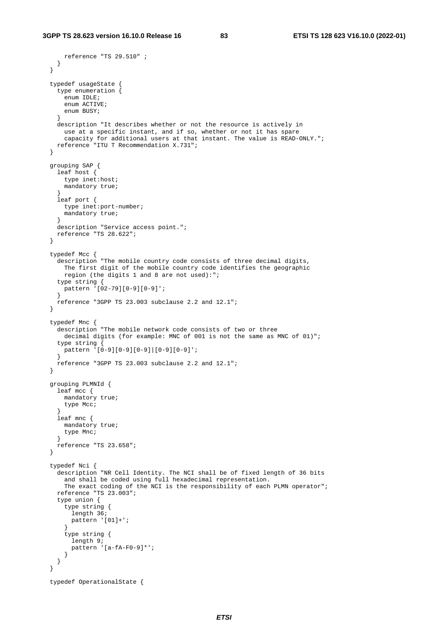reference "TS 29.510" ;

```
 } 
  } 
  typedef usageState { 
    type enumeration { 
     enum IDLE;
      enum ACTIVE; 
      enum BUSY; 
 } 
    description "It describes whether or not the resource is actively in 
      use at a specific instant, and if so, whether or not it has spare 
       capacity for additional users at that instant. The value is READ-ONLY."; 
    reference "ITU T Recommendation X.731"; 
  } 
  grouping SAP { 
    leaf host { 
      type inet:host; 
      mandatory true; 
 } 
    leaf port { 
      type inet:port-number; 
      mandatory true; 
 } 
    description "Service access point."; 
    reference "TS 28.622"; 
  } 
  typedef Mcc { 
    description "The mobile country code consists of three decimal digits, 
      The first digit of the mobile country code identifies the geographic 
      region (the digits 1 and 8 are not used):"; 
    type string { 
      pattern '[02-79][0-9][0-9]'; 
 } 
    reference "3GPP TS 23.003 subclause 2.2 and 12.1"; 
  } 
  typedef Mnc { 
    description "The mobile network code consists of two or three 
     decimal digits (for example: MNC of 001 is not the same as MNC of 01)"; 
   type string {
     --<br>pattern '[0-9][0-9][0-9]|[0-9][0-9]';
 } 
    reference "3GPP TS 23.003 subclause 2.2 and 12.1"; 
  } 
  grouping PLMNId { 
    leaf mcc { 
     mandatory true;
      type Mcc; 
 } 
    leaf mnc { 
    mandatory true;
      type Mnc; 
    } 
    reference "TS 23.658"; 
  } 
  typedef Nci { 
    description "NR Cell Identity. The NCI shall be of fixed length of 36 bits 
      and shall be coded using full hexadecimal representation. 
       The exact coding of the NCI is the responsibility of each PLMN operator"; 
    reference "TS 23.003"; 
    type union { 
       type string { 
       length 36;
        pattern '[01]+'; 
       } 
       type string { 
         length 9; 
         pattern '[a-fA-F0-9]*'; 
       } 
    } 
  } 
  typedef OperationalState {
```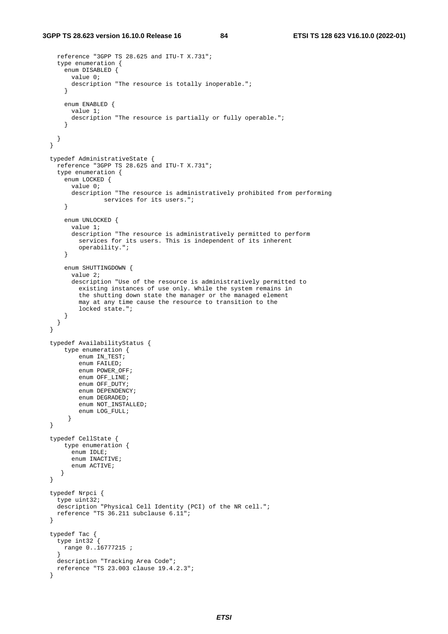```
 reference "3GPP TS 28.625 and ITU-T X.731"; 
     type enumeration { 
       enum DISABLED { 
         value 0; 
         description "The resource is totally inoperable."; 
       } 
       enum ENABLED { 
         value 1; 
         description "The resource is partially or fully operable."; 
       } 
    } 
  } 
  typedef AdministrativeState { 
     reference "3GPP TS 28.625 and ITU-T X.731"; 
     type enumeration { 
       enum LOCKED { 
         value 0; 
         description "The resource is administratively prohibited from performing 
                 services for its users.";
 } 
       enum UNLOCKED { 
         value 1; 
         description "The resource is administratively permitted to perform 
           services for its users. This is independent of its inherent 
           operability."; 
       } 
       enum SHUTTINGDOWN { 
         value 2; 
         description "Use of the resource is administratively permitted to 
           existing instances of use only. While the system remains in 
           the shutting down state the manager or the managed element 
           may at any time cause the resource to transition to the 
           locked state."; 
       } 
    } 
  } 
  typedef AvailabilityStatus { 
       type enumeration { 
          enum IN_TEST; 
          enum FAILED;
          enum POWER OFF;
           enum OFF_LINE; 
           enum OFF_DUTY; 
          enum DEPENDENCY;
           enum DEGRADED; 
           enum NOT_INSTALLED; 
           enum LOG_FULL; 
        } 
  } 
  typedef CellState { 
      type enumeration { 
         enum IDLE; 
         enum INACTIVE; 
         enum ACTIVE; 
      } 
  } 
  typedef Nrpci { 
     type uint32; 
     description "Physical Cell Identity (PCI) of the NR cell."; 
    reference "TS 36.211 subclause 6.11"; 
  } 
  typedef Tac { 
    type int32 { 
      range 0..16777215 ; 
 } 
    description "Tracking Area Code"; 
    reference "TS 23.003 clause 19.4.2.3"; 
  }
```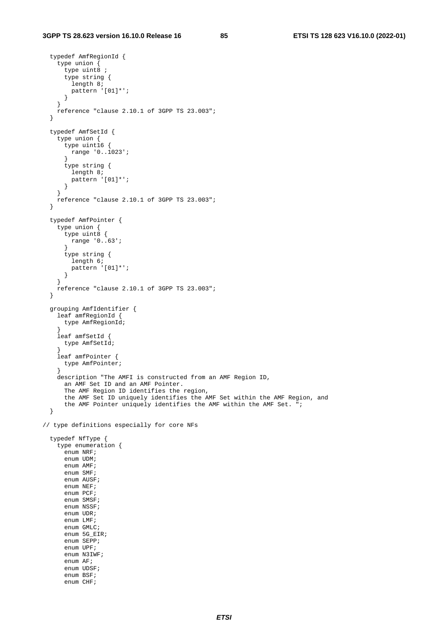enum 5G\_EIR; enum SEPP; enum UPF; enum N3IWF; enum AF; enum UDSF; enum BSF; enum CHF;

```
 typedef AmfRegionId { 
     type union { 
      'type uint\overset{\sim}{8} ;
       type string { 
         length 8; 
         pattern '[01]*'; 
       } 
     } 
     reference "clause 2.10.1 of 3GPP TS 23.003"; 
   } 
   typedef AmfSetId { 
     type union { 
       type uint16 { 
        --<br>range '0..1023';
       } 
       type string { 
         length 8; 
         pattern '[01]*'; 
       } 
     } 
     reference "clause 2.10.1 of 3GPP TS 23.003"; 
   } 
   typedef AmfPointer { 
     type union { 
       type uint8 { 
         range '0..63'; 
 } 
       type string { 
         length 6; 
         pattern '[01]*'; 
       } 
     } 
     reference "clause 2.10.1 of 3GPP TS 23.003"; 
   } 
   grouping AmfIdentifier { 
     leaf amfRegionId { 
       type AmfRegionId; 
 } 
     leaf amfSetId { 
       type AmfSetId; 
 } 
     leaf amfPointer { 
       type AmfPointer; 
 } 
     description "The AMFI is constructed from an AMF Region ID, 
       an AMF Set ID and an AMF Pointer. 
       The AMF Region ID identifies the region, 
       the AMF Set ID uniquely identifies the AMF Set within the AMF Region, and 
       the AMF Pointer uniquely identifies the AMF within the AMF Set. "; 
   } 
// type definitions especially for core NFs 
   typedef NfType { 
     type enumeration { 
      enum NRF;
       enum UDM; 
       enum AMF; 
       enum SMF; 
       enum AUSF; 
       enum NEF; 
       enum PCF; 
       enum SMSF; 
       enum NSSF; 
       enum UDR; 
       enum LMF; 
       enum GMLC;
```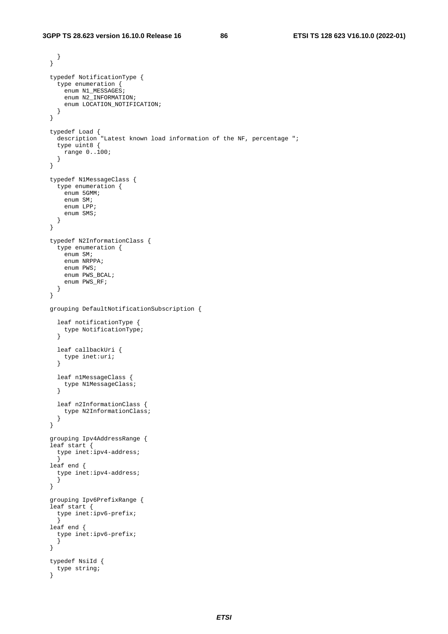```
 } 
 } 
  typedef NotificationType { 
    type enumeration { 
    enum N1_MESSAGES;
     enum N2 INFORMATION;
     enum LOCATION NOTIFICATION;
    } 
  } 
 typedef Load { 
 description "Latest known load information of the NF, percentage "; 
    type uint8 { 
     ..<br>range 0..100;
    } 
  } 
  typedef N1MessageClass { 
    type enumeration { 
     enum 5GMM;
      enum SM; 
      enum LPP; 
      enum SMS; 
    } 
  } 
  typedef N2InformationClass { 
    type enumeration { 
      enum SM; 
      enum NRPPA; 
      enum PWS; 
      enum PWS_BCAL; 
     enum PWS_RF;
    } 
  } 
  grouping DefaultNotificationSubscription { 
    leaf notificationType { 
      type NotificationType; 
     } 
    leaf callbackUri { 
     type inet:uri; 
     } 
    leaf n1MessageClass { 
      type N1MessageClass; 
    } 
    leaf n2InformationClass { 
      type N2InformationClass; 
     } 
  } 
  grouping Ipv4AddressRange { 
  leaf start { 
    type inet:ipv4-address;
     } 
  leaf end { 
    type inet:ipv4-address; 
     } 
  } 
  grouping Ipv6PrefixRange { 
  leaf start { 
   type inet:ipv6-prefix; 
     } 
  leaf end { 
   type inet:ipv6-prefix; 
     } 
  } 
  typedef NsiId { 
    type string; 
  }
```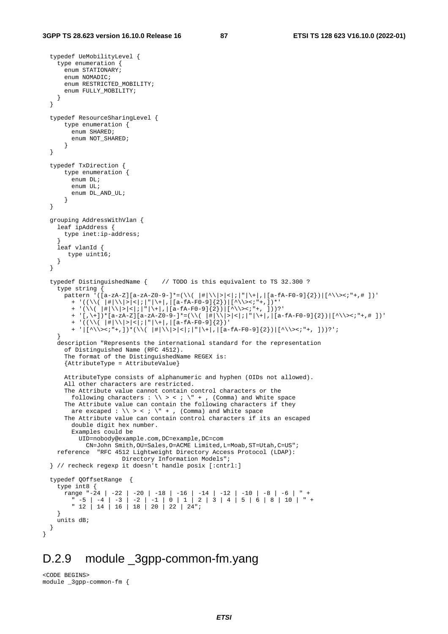```
 typedef UeMobilityLevel { 
    type enumeration { 
     enum STATIONARY;
      enum NOMADIC; 
      enum RESTRICTED_MOBILITY; 
      enum FULLY_MOBILITY; 
    } 
  } 
  typedef ResourceSharingLevel { 
      type enumeration { 
         enum SHARED; 
        enum NOT_SHARED; 
       } 
  } 
  typedef TxDirection { 
      type enumeration { 
        enum DL; 
        enum UL; 
        enum DL_AND_UL; 
       } 
  } 
  grouping AddressWithVlan { 
    leaf ipAddress { 
      type inet:ip-address; 
 } 
    leaf vlanId { 
       type uint16; 
    } 
  } 
  typedef DistinguishedName { // TODO is this equivalent to TS 32.300 ? 
    type string { 
     pattern '([a-zA-Z][a-zA-Z0-9-]*=(\\( |#|\\|>|<|;|"|\+|,|[a-fA-F0-9]{2})|[^\\><;"+,# ])'
        + '((\\( |#|\\|>|<|;|"|\+|,|[a-fA-F0-9]{2})|[^\\><;"+,])*' 
         + '(\\( |#|\\|>|<|;|"|\+|,|[a-fA-F0-9]{2})|[^\\><;"+, ]))?' 
         + '[,\+])*[a-zA-Z][a-zA-Z0-9-]*=(\\( |#|\\|>|<|;|"|\+|,|[a-fA-F0-9]{2})|[^\\><;"+,# ])' 
 + '((\\( |#|\\|>|<|;|"|\+|,|[a-fA-F0-9]{2})' 
 + '|[^\\><;"+,])*(\\( |#|\\|>|<|;|"|\+|,|[a-fA-F0-9]{2})|[^\\><;"+, ]))?'; 
 } 
    description "Represents the international standard for the representation 
       of Distinguished Name (RFC 4512). 
       The format of the DistinguishedName REGEX is: 
       {AttributeType = AttributeValue} 
      AttributeType consists of alphanumeric and hyphen (OIDs not allowed). 
      All other characters are restricted. 
      The Attribute value cannot contain control characters or the 
following characters : \setminus > < ; \setminus + , (Comma) and White space
 The Attribute value can contain the following characters if they 
       are excaped : \backslash \backslash > < ; \backslash" + , (Comma) and White space
       The Attribute value can contain control characters if its an escaped 
        double digit hex number. 
         Examples could be 
           UID=nobody@example.com,DC=example,DC=com 
             CN=John Smith,OU=Sales,O=ACME Limited,L=Moab,ST=Utah,C=US"; 
    reference "RFC 4512 Lightweight Directory Access Protocol (LDAP): 
                       Directory Information Models"; 
  } // recheck regexp it doesn't handle posix [:cntrl:] 
  typedef QOffsetRange { 
    type int8 { 
     range "-24 | -22 | -20 | -18 | -16 | -14 | -12 | -10 | -8 | -6 | " +
 " -5 | -4 | -3 | -2 | -1 | 0 | 1 | 2 | 3 | 4 | 5 | 6 | 8 | 10 | " + 
 " 12 | 14 | 16 | 18 | 20 | 22 | 24"; 
    } 
    units dB; 
  }
```
# D.2.9 module \_3gpp-common-fm.yang

<CODE BEGINS> module \_3gpp-common-fm {

}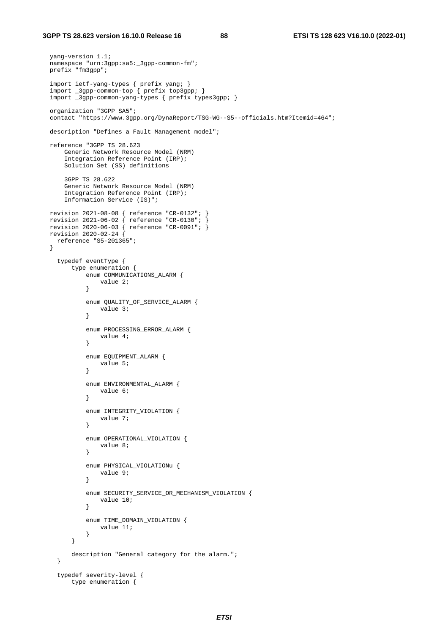#### **3GPP TS 28.623 version 16.10.0 Release 16 88 ETSI TS 128 623 V16.10.0 (2022-01)**

```
 yang-version 1.1; 
 namespace "urn:3gpp:sa5:_3gpp-common-fm";
  prefix "fm3gpp"; 
  import ietf-yang-types { prefix yang; } 
 import _3gpp-common-top { prefix top3gpp; } 
 import _3gpp-common-yang-types { prefix types3gpp; } 
  organization "3GPP SA5"; 
  contact "https://www.3gpp.org/DynaReport/TSG-WG--S5--officials.htm?Itemid=464"; 
  description "Defines a Fault Management model"; 
  reference "3GPP TS 28.623 
      Generic Network Resource Model (NRM) 
       Integration Reference Point (IRP); 
      Solution Set (SS) definitions 
       3GPP TS 28.622 
       Generic Network Resource Model (NRM) 
      Integration Reference Point (IRP); 
       Information Service (IS)"; 
  revision 2021-08-08 { reference "CR-0132"; } 
 revision 2021-06-02 { reference "CR-0130"; } 
 revision 2020-06-03 { reference "CR-0091"; } 
  revision 2020-02-24 { 
    reference "S5-201365"; 
  } 
     typedef eventType { 
         type enumeration { 
             enum COMMUNICATIONS_ALARM { 
                 value 2; 
             } 
            enum QUALITY OF SERVICE ALARM {
                 value 3; 
             } 
             enum PROCESSING_ERROR_ALARM { 
                 value 4; 
             } 
             enum EQUIPMENT_ALARM { 
                 value 5; 
             } 
             enum ENVIRONMENTAL_ALARM { 
                value 6; 
             } 
             enum INTEGRITY_VIOLATION { 
                 value 7; 
             } 
             enum OPERATIONAL_VIOLATION { 
                 value 8; 
             } 
             enum PHYSICAL_VIOLATIONu { 
                 value 9; 
             } 
             enum SECURITY_SERVICE_OR_MECHANISM_VIOLATION { 
                 value 10; 
             } 
            enum TIME DOMAIN VIOLATION {
                  value 11; 
             } 
         } 
         description "General category for the alarm."; 
     } 
     typedef severity-level { 
         type enumeration {
```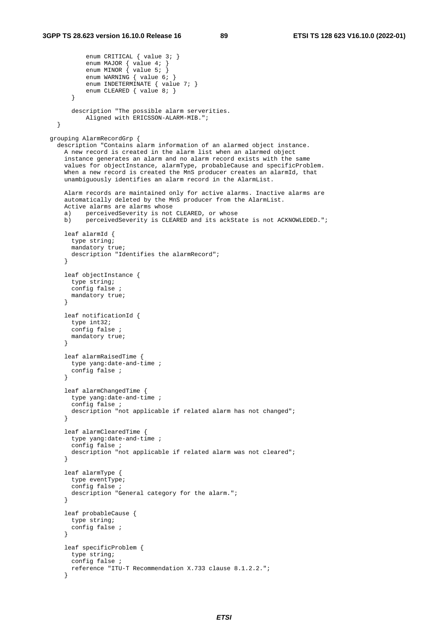```
enum CRITICAL { value 3; }
enum MAJOR { value 4; }
enum MINOR { value 5; }
            enum WARNING { value 6; }
             enum INDETERMINATE { value 7; } 
        enum CLEARED { value 8; }
 } 
        description "The possible alarm serverities. 
             Aligned with ERICSSON-ALARM-MIB."; 
    } 
  grouping AlarmRecordGrp { 
    description "Contains alarm information of an alarmed object instance. 
      A new record is created in the alarm list when an alarmed object 
      instance generates an alarm and no alarm record exists with the same 
      values for objectInstance, alarmType, probableCause and specificProblem. 
      When a new record is created the MnS producer creates an alarmId, that 
      unambiguously identifies an alarm record in the AlarmList. 
      Alarm records are maintained only for active alarms. Inactive alarms are 
      automatically deleted by the MnS producer from the AlarmList. 
      Active alarms are alarms whose 
      a) perceivedSeverity is not CLEARED, or whose 
      b) perceivedSeverity is CLEARED and its ackState is not ACKNOWLEDED."; 
      leaf alarmId { 
        type string; 
        mandatory true; 
       description "Identifies the alarmRecord";
       } 
      leaf objectInstance { 
        type string; 
        config false ; 
        mandatory true; 
}
      leaf notificationId { 
        type int32; 
       config false
        mandatory true; 
      } 
      leaf alarmRaisedTime { 
        type yang:date-and-time ; 
        config false ; 
       } 
      leaf alarmChangedTime { 
        type yang:date-and-time ; 
         config false ; 
        description "not applicable if related alarm has not changed"; 
 } 
      leaf alarmClearedTime { 
        type yang:date-and-time ; 
         config false ; 
        description "not applicable if related alarm was not cleared"; 
      } 
      leaf alarmType { 
        type eventType; 
         config false ; 
        description "General category for the alarm."; 
      } 
      leaf probableCause { 
        type string; 
        config false ; 
       } 
      leaf specificProblem { 
        type string; 
         config false ; 
        reference "ITU-T Recommendation X.733 clause 8.1.2.2."; 
       }
```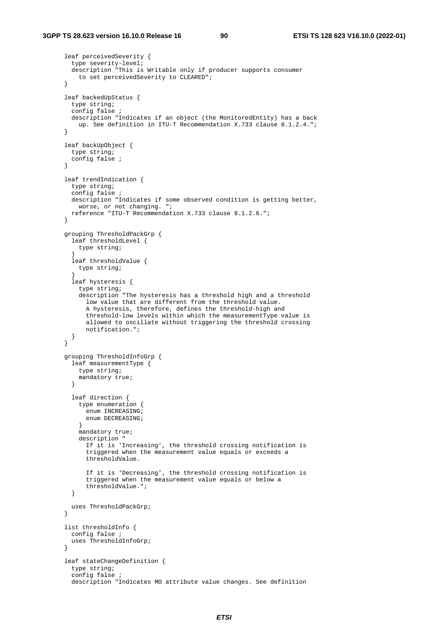```
 leaf perceivedSeverity { 
         type severity-level; 
         description "This is Writable only if producer supports consumer 
          to set perceivedSeverity to CLEARED"; 
 } 
       leaf backedUpStatus { 
        type string; 
         config false ; 
        description "Indicates if an object (the MonitoredEntity) has a back 
          up. See definition in ITU-T Recommendation X.733 clause 8.1.2.4."; 
 } 
       leaf backUpObject { 
        type string; 
        config false ; 
 } 
      leaf trendIndication { 
        type string; 
        config false ; 
        description "Indicates if some observed condition is getting better, 
          worse, or not changing. "; 
        reference "ITU-T Recommendation X.733 clause 8.1.2.6."; 
       } 
       grouping ThresholdPackGrp { 
         leaf thresholdLevel { 
          type string; 
 } 
         leaf thresholdValue { 
          type string; 
 } 
         leaf hysteresis { 
           type string; 
           description "The hysteresis has a threshold high and a threshold 
             low value that are different from the threshold value. 
             A hysteresis, therefore, defines the threshold-high and 
             threshold-low levels within which the measurementType value is 
             allowed to oscillate without triggering the threshold crossing 
             notification."; 
        } 
       } 
       grouping ThresholdInfoGrp { 
        leaf measurementType { 
          type string; 
           mandatory true; 
 } 
         leaf direction { 
           type enumeration { 
             enum INCREASING; 
             enum DECREASING; 
 } 
           mandatory true; 
           description " 
             If it is 'Increasing', the threshold crossing notification is 
             triggered when the measurement value equals or exceeds a 
             thresholdValue. 
             If it is 'Decreasing', the threshold crossing notification is 
             triggered when the measurement value equals or below a 
             thresholdValue."; 
         } 
        uses ThresholdPackGrp; 
       } 
       list thresholdInfo { 
         config false ; 
        uses ThresholdInfoGrp; 
 } 
       leaf stateChangeDefinition { 
         type string; 
         config false ; 
         description "Indicates MO attribute value changes. See definition
```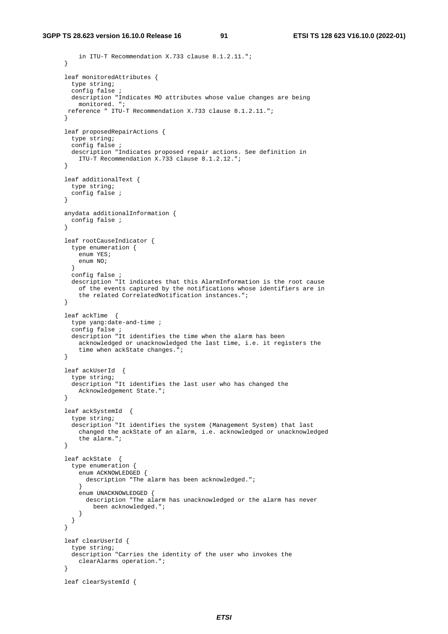```
 in ITU-T Recommendation X.733 clause 8.1.2.11."; 
       } 
      leaf monitoredAttributes { 
        type string; 
         config false ; 
        description "Indicates MO attributes whose value changes are being 
          monitored. "; 
       reference " ITU-T Recommendation X.733 clause 8.1.2.11."; 
 } 
       leaf proposedRepairActions { 
         type string; 
         config false ; 
        description "Indicates proposed repair actions. See definition in 
          ITU-T Recommendation X.733 clause 8.1.2.12."; 
 } 
       leaf additionalText { 
        type string; 
        config false ; 
       } 
      anydata additionalInformation { 
        config false ; 
       } 
       leaf rootCauseIndicator { 
        type enumeration { 
          Penum YES;
           enum NO; 
         } 
        config false ; 
        description "It indicates that this AlarmInformation is the root cause 
           of the events captured by the notifications whose identifiers are in 
           the related CorrelatedNotification instances."; 
}
       leaf ackTime { 
         type yang:date-and-time ; 
         config false ; 
        description "It identifies the time when the alarm has been 
           acknowledged or unacknowledged the last time, i.e. it registers the 
           time when ackState changes."; 
       } 
       leaf ackUserId { 
         type string; 
         description "It identifies the last user who has changed the 
          Acknowledgement State."; 
       } 
       leaf ackSystemId { 
         type string; 
         description "It identifies the system (Management System) that last 
          changed the ackState of an alarm, i.e. acknowledged or unacknowledged 
           the alarm."; 
       } 
       leaf ackState { 
         type enumeration { 
           enum ACKNOWLEDGED { 
            description "The alarm has been acknowledged."; 
 } 
           enum UNACKNOWLEDGED { 
             description "The alarm has unacknowledged or the alarm has never 
              been acknowledged."; 
 } 
        } 
       } 
       leaf clearUserId { 
        type string; 
         description "Carries the identity of the user who invokes the 
           clearAlarms operation."; 
 } 
       leaf clearSystemId {
```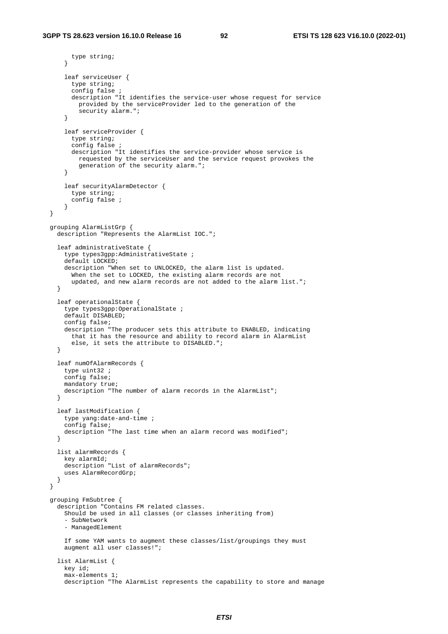```
 type string; 
       } 
       leaf serviceUser { 
         type string; 
         config false ; 
         description "It identifies the service-user whose request for service 
          provided by the serviceProvider led to the generation of the 
           security alarm."; 
 } 
       leaf serviceProvider { 
         type string; 
         config false ; 
         description "It identifies the service-provider whose service is 
          requested by the serviceUser and the service request provokes the 
           generation of the security alarm."; 
       } 
       leaf securityAlarmDetector { 
        type string; 
        config false ; 
       } 
  } 
  grouping AlarmListGrp { 
    description "Represents the AlarmList IOC."; 
    leaf administrativeState { 
       type types3gpp:AdministrativeState ; 
      default LOCKED;
       description "When set to UNLOCKED, the alarm list is updated. 
        When the set to LOCKED, the existing alarm records are not
         updated, and new alarm records are not added to the alarm list."; 
    } 
    leaf operationalState { 
       type types3gpp:OperationalState ; 
       default DISABLED; 
       config false; 
       description "The producer sets this attribute to ENABLED, indicating 
        that it has the resource and ability to record alarm in AlarmList 
         else, it sets the attribute to DISABLED."; 
    } 
    leaf numOfAlarmRecords { 
       type uint32 ; 
       config false; 
       mandatory true; 
      description "The number of alarm records in the AlarmList"; 
    } 
    leaf lastModification { 
       type yang:date-and-time ; 
       config false; 
     description "The last time when an alarm record was modified";
    } 
    list alarmRecords { 
       key alarmId; 
      description "List of alarmRecords";
       uses AlarmRecordGrp; 
    } 
  } 
  grouping FmSubtree { 
    description "Contains FM related classes. 
      Should be used in all classes (or classes inheriting from) 
       - SubNetwork 
       - ManagedElement 
       If some YAM wants to augment these classes/list/groupings they must 
       augment all user classes!"; 
    list AlarmList { 
       key id; 
       max-elements 1; 
       description "The AlarmList represents the capability to store and manage
```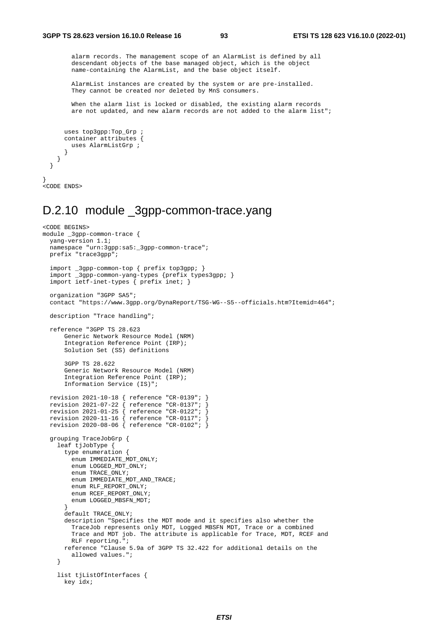alarm records. The management scope of an AlarmList is defined by all descendant objects of the base managed object, which is the object name-containing the AlarmList, and the base object itself.

 AlarmList instances are created by the system or are pre-installed. They cannot be created nor deleted by MnS consumers.

 When the alarm list is locked or disabled, the existing alarm records are not updated, and new alarm records are not added to the alarm list";

```
 uses top3gpp:Top_Grp ; 
     container attributes { 
        uses AlarmListGrp ; 
      } 
   } 
 }
```

```
} 
<CODE ENDS>
```
### D.2.10 module 3gpp-common-trace.yang

```
<CODE BEGINS> 
module _3gpp-common-trace { 
   yang-version 1.1; 
 namespace "urn:3gpp:sa5:_3gpp-common-trace";
  prefix "trace3gpp"; 
   import _3gpp-common-top { prefix top3gpp; } 
   import _3gpp-common-yang-types {prefix types3gpp; } 
   import ietf-inet-types { prefix inet; } 
   organization "3GPP SA5"; 
   contact "https://www.3gpp.org/DynaReport/TSG-WG--S5--officials.htm?Itemid=464"; 
   description "Trace handling"; 
   reference "3GPP TS 28.623 
       Generic Network Resource Model (NRM) 
       Integration Reference Point (IRP); 
       Solution Set (SS) definitions 
       3GPP TS 28.622 
       Generic Network Resource Model (NRM) 
       Integration Reference Point (IRP); 
       Information Service (IS)"; 
 revision 2021-10-18 { reference "CR-0139"; } 
 revision 2021-07-22 { reference "CR-0137"; } 
 revision 2021-01-25 { reference "CR-0122"; } 
 revision 2020-11-16 { reference "CR-0117"; } 
 revision 2020-08-06 { reference "CR-0102"; } 
   grouping TraceJobGrp { 
    leaf tjJobType { 
       type enumeration { 
        enum IMMEDIATE_MDT_ONLY;
         enum LOGGED_MDT_ONLY; 
         enum TRACE_ONLY; 
         enum IMMEDIATE_MDT_AND_TRACE; 
        enum RLF REPORT ONLY;
        enum RCEF_REPORT_ONLY;
         enum LOGGED_MBSFN_MDT; 
 } 
       default TRACE_ONLY; 
       description "Specifies the MDT mode and it specifies also whether the 
         TraceJob represents only MDT, Logged MBSFN MDT, Trace or a combined 
         Trace and MDT job. The attribute is applicable for Trace, MDT, RCEF and 
         RLF reporting."; 
       reference "Clause 5.9a of 3GPP TS 32.422 for additional details on the 
         allowed values."; 
     } 
    list tjListOfInterfaces {
       key idx;
```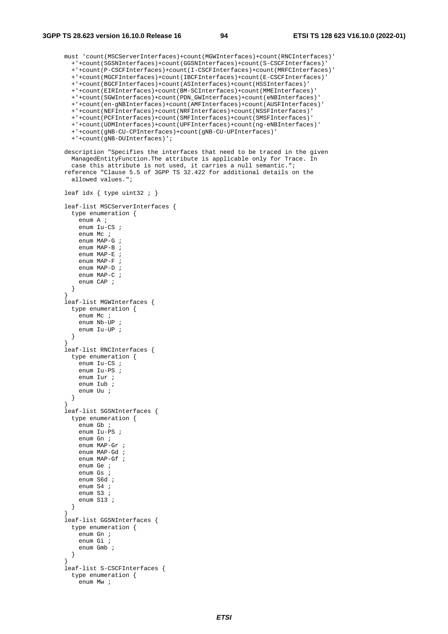```
 must 'count(MSCServerInterfaces)+count(MGWInterfaces)+count(RNCInterfaces)' 
         +'+count(SGSNInterfaces)+count(GGSNInterfaces)+count(S-CSCFInterfaces)' 
         +'+count(P-CSCFInterfaces)+count(I-CSCFInterfaces)+count(MRFCInterfaces)' 
         +'+count(MGCFInterfaces)+count(IBCFInterfaces)+count(E-CSCFInterfaces)' 
         +'+count(BGCFInterfaces)+count(ASInterfaces)+count(HSSInterfaces)' 
         +'+count(EIRInterfaces)+count(BM-SCInterfaces)+count(MMEInterfaces)' 
         +'+count(SGWInterfaces)+count(PDN_GWInterfaces)+count(eNBInterfaces)' 
         +'+count(en-gNBInterfaces)+count(AMFInterfaces)+count(AUSFInterfaces)' 
         +'+count(NEFInterfaces)+count(NRFInterfaces)+count(NSSFInterfaces)' 
         +'+count(PCFInterfaces)+count(SMFInterfaces)+count(SMSFInterfaces)' 
         +'+count(UDMInterfaces)+count(UPFInterfaces)+count(ng-eNBInterfaces)' 
         +'+count(gNB-CU-CPInterfaces)+count(gNB-CU-UPInterfaces)' 
         +'+count(gNB-DUInterfaces)'; 
       description "Specifies the interfaces that need to be traced in the given 
         ManagedEntityFunction.The attribute is applicable only for Trace. In 
         case this attribute is not used, it carries a null semantic."; 
       reference "Clause 5.5 of 3GPP TS 32.422 for additional details on the 
         allowed values."; 
      leaf idx { type uint32 ; }
       leaf-list MSCServerInterfaces { 
         type enumeration { 
           enum A ; 
           enum Iu-CS ; 
          enum Mc ;
           enum MAP-G ; 
           enum MAP-B ; 
           enum MAP-E ; 
           enum MAP-F ; 
           enum MAP-D ; 
           enum MAP-C ; 
           enum CAP ; 
         } 
 } 
       leaf-list MGWInterfaces { 
         type enumeration { 
           enum Mc ; 
           enum Nb-UP ; 
           enum Iu-UP ; 
         } 
}
       leaf-list RNCInterfaces { 
         type enumeration { 
          .-<br>enum Iu-CS ;
           enum Iu-PS ; 
           enum Iur ; 
           enum Iub ; 
           enum Uu ; 
         } 
 } 
       leaf-list SGSNInterfaces { 
         type enumeration { 
          ..<br>enum Gb ;
           enum Iu-PS ; 
           enum Gn ; 
           enum MAP-Gr ; 
           enum MAP-Gd ; 
           enum MAP-Gf ; 
           enum Ge ; 
           enum Gs ; 
           enum S6d ; 
           enum S4 ; 
           enum S3 ; 
           enum S13 ; 
         } 
}
       leaf-list GGSNInterfaces { 
         type enumeration { 
           enum Gn ; 
           enum Gi ; 
           enum Gmb ; 
         } 
}
       leaf-list S-CSCFInterfaces { 
         type enumeration { 
           enum Mw ;
```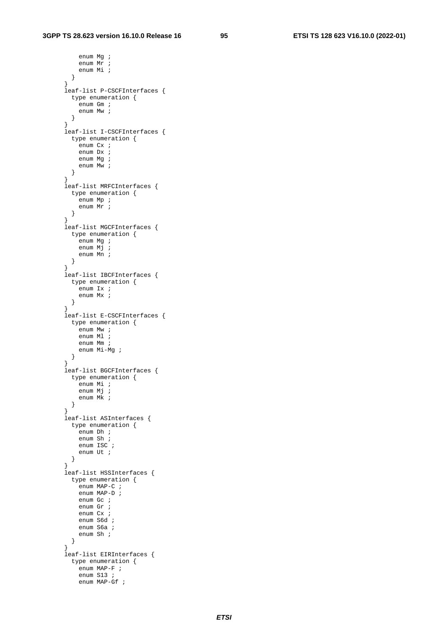enum Mg ; enum Mr ; enum Mi ;  $\begin{matrix} \downarrow \\ \downarrow \end{matrix}$  } leaf-list P-CSCFInterfaces { type enumeration { enum Gm ; enum Mw ; } } leaf-list I-CSCFInterfaces { type enumeration { enum Cx ; enum Dx ; enum Mg ; enum Mw ;  $\begin{matrix} \downarrow \\ \downarrow \end{matrix}$  } leaf-list MRFCInterfaces { type enumeration { enum Mp ; enum Mr ; } } leaf-list MGCFInterfaces { type enumeration { enum Mg ; enum Mj ; enum Mn ; } } leaf-list IBCFInterfaces { type enumeration { enum Ix ; enum Mx ; } } leaf-list E-CSCFInterfaces { type enumeration { enum Mw ; enum Ml ; enum Mm ; enum Mi-Mg ; } } leaf-list BGCFInterfaces { type enumeration { enum Mi ; enum Mj ; enum Mk ; } } leaf-list ASInterfaces { type enumeration { ..<br>enum Dh *;*  enum Sh ; enum ISC ; enum Ut ; } } leaf-list HSSInterfaces { type enumeration { ..<br>enum MAP-C ; enum MAP-D ; enum Gc ; enum Gr ; enum Cx ; enum S6d ; enum S6a ; enum Sh ; } } leaf-list EIRInterfaces { type enumeration { enum MAP-F ; enum S13 ; enum MAP-Gf ;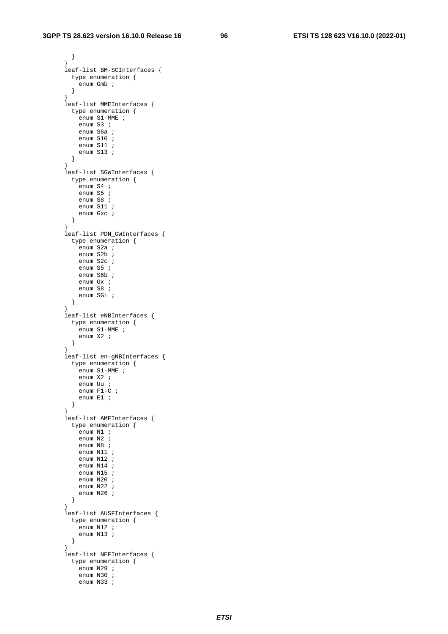```
}
       leaf-list BM-SCInterfaces { 
         type enumeration { 
           enum Gmb ; 
         } 
 } 
       leaf-list MMEInterfaces { 
         type enumeration { 
           enum S1-MME ; 
           enum S3 ; 
           enum S6a ; 
            enum S10 ; 
            enum S11 ; 
            enum S13 ; 
         } 
 } 
       leaf-list SGWInterfaces { 
         type enumeration { 
           enum S4 ; 
           enum S5 ; 
           enum S8 ; 
            enum S11 ; 
           enum Gxc ; 
         } 
       } 
       leaf-list PDN_GWInterfaces { 
         type enumeration { 
          enum S2a ;
           enum S2b ; 
           enum S2c ; 
           enum S5 ; 
            enum S6b ; 
           enum Gx ; 
            enum S8 ; 
            enum SGi ; 
         } 
}
       leaf-list eNBInterfaces { 
         type enumeration { 
           enum S1-MME ; 
            enum X2 ; 
      \begin{matrix} \downarrow \\ \downarrow \end{matrix}}
       leaf-list en-gNBInterfaces { 
         type enumeration { 
           enum S1-MME ; 
            enum X2 ; 
            enum Uu ; 
           enum F1-C ; 
           enum E1 ; 
         } 
 } 
       leaf-list AMFInterfaces { 
         type enumeration { 
          ..<br>enum N1 ;
            enum N2 ; 
           enum N8 ; 
            enum N11 ; 
           enum N12 ; 
            enum N14 ; 
           enum N15
            enum N20 ; 
            enum N22 ; 
            enum N26 ; 
      \begin{matrix} \end{matrix} } 
       leaf-list AUSFInterfaces { 
         type enumeration { 
           enum N12 ; 
           enum N13 ; 
         } 
       } 
       leaf-list NEFInterfaces { 
          type enumeration { 
          enum N29 ;
            enum N30 ; 
            enum N33 ;
```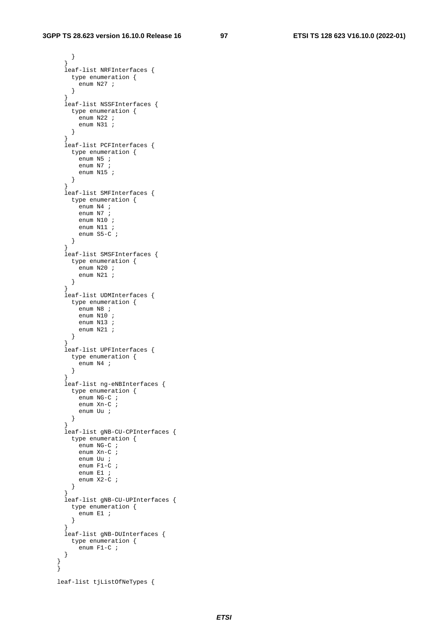```
}
       leaf-list NRFInterfaces { 
        type enumeration { 
          enum N27 ; 
        } 
 } 
       leaf-list NSSFInterfaces { 
         type enumeration { 
          enum N22 ; 
          enum N31 ; 
        } 
 } 
       leaf-list PCFInterfaces { 
        type enumeration { 
         enum N5 ;
           enum N7 ; 
          enum N15 ; 
        } 
 } 
       leaf-list SMFInterfaces { 
        type enumeration { 
          enum N4 ; 
          enum N7 ; 
          enum N10 ; 
          enum N11 ; 
          enum S5-C ; 
        } 
 } 
       leaf-list SMSFInterfaces { 
        type enumeration { 
         enum N20 ;
          enum N21 ; 
        } 
 } 
       leaf-list UDMInterfaces { 
        type enumeration { 
         enum N8 i enum N10 ; 
          enum N13 ; 
          enum N21 ; 
        } 
}
       leaf-list UPFInterfaces { 
        type enumeration { 
         enum N4 ;
        } 
 } 
       leaf-list ng-eNBInterfaces { 
        type enumeration { 
         enum NG-C ;
           enum Xn-C ; 
          enum Uu ; 
        } 
 } 
       leaf-list gNB-CU-CPInterfaces { 
        type enumeration { 
          enum NG-C ; 
          enum Xn-C ; 
          enum Uu ; 
          enum F1-C ; 
           enum E1 ; 
          enum X2-C ; 
        } 
 } 
       leaf-list gNB-CU-UPInterfaces { 
        type enumeration { 
         enum E1 ;
         } 
 } 
       leaf-list gNB-DUInterfaces { 
        type enumeration { 
         enum F1-C ;
       } 
 } 
    leaf-list tjListOfNeTypes {
```
}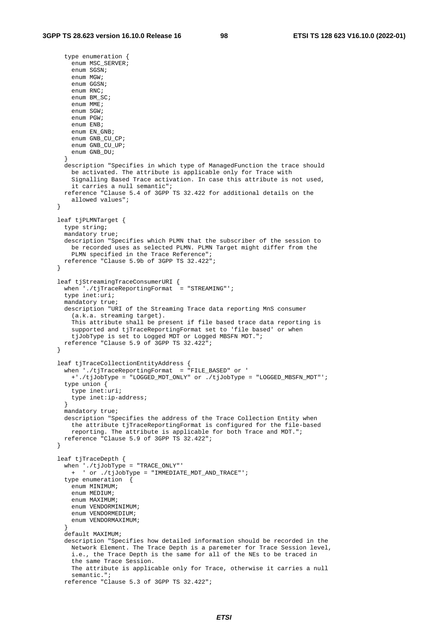```
 type enumeration { 
        enum MSC SERVER;
         enum SGSN; 
         enum MGW; 
         enum GGSN; 
         enum RNC; 
        enum BM SC;
         enum MME; 
         enum SGW; 
         enum PGW; 
         enum ENB; 
        enum EN GNB;
         enum GNB_CU_CP; 
         enum GNB_CU_UP; 
         enum GNB_DU; 
 } 
      description "Specifies in which type of ManagedFunction the trace should 
         be activated. The attribute is applicable only for Trace with 
         Signalling Based Trace activation. In case this attribute is not used, 
         it carries a null semantic"; 
      reference "Clause 5.4 of 3GPP TS 32.422 for additional details on the 
         allowed values"; 
    } 
    leaf tjPLMNTarget { 
       type string; 
      mandatory true;
      description "Specifies which PLMN that the subscriber of the session to 
         be recorded uses as selected PLMN. PLMN Target might differ from the 
        PLMN specified in the Trace Reference"; 
      reference "Clause 5.9b of 3GPP TS 32.422"; 
    } 
   leaf tjStreamingTraceConsumerURI {
      when './tjTraceReportingFormat = "STREAMING"';
       type inet:uri; 
      mandatory true; 
      description "URI of the Streaming Trace data reporting MnS consumer 
         (a.k.a. streaming target). 
         This attribute shall be present if file based trace data reporting is 
         supported and tjTraceReportingFormat set to 'file based' or when 
         tjJobType is set to Logged MDT or Logged MBSFN MDT."; 
      reference "Clause 5.9 of 3GPP TS 32.422"; 
    } 
    leaf tjTraceCollectionEntityAddress { 
      when './tjTraceReportingFormat = "FILE_BASED" or ' 
         +'./tjJobType = "LOGGED_MDT_ONLY" or ./tjJobType = "LOGGED_MBSFN_MDT"'; 
       type union { 
        type inet:uri; 
        type inet:ip-address; 
 } 
      mandatory true; 
      description "Specifies the address of the Trace Collection Entity when 
         the attribute tjTraceReportingFormat is configured for the file-based 
        reporting. The attribute is applicable for both Trace and MDT."; 
      reference "Clause 5.9 of 3GPP TS 32.422"; 
    } 
    leaf tjTraceDepth { 
       when './tjJobType = "TRACE_ONLY"' 
        + ' or ./tjJobType = "IMMEDIATE_MDT_AND_TRACE"'; 
       type enumeration { 
        enum MINIMUM; 
         enum MEDIUM; 
         enum MAXIMUM; 
         enum VENDORMINIMUM; 
         enum VENDORMEDIUM; 
        enum VENDORMAXIMUM; 
 } 
       default MAXIMUM; 
      description "Specifies how detailed information should be recorded in the 
        Network Element. The Trace Depth is a paremeter for Trace Session level, 
         i.e., the Trace Depth is the same for all of the NEs to be traced in 
         the same Trace Session. 
         The attribute is applicable only for Trace, otherwise it carries a null 
         semantic."; 
      reference "Clause 5.3 of 3GPP TS 32.422";
```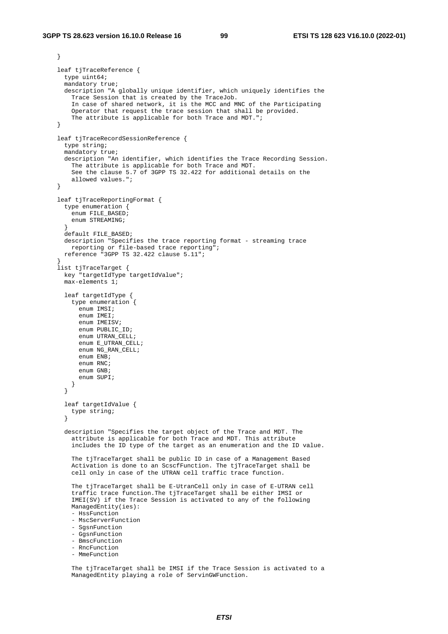```
 leaf tjTraceReference { 
       type uint64; 
      mandatory true; 
      description "A globally unique identifier, which uniquely identifies the 
         Trace Session that is created by the TraceJob. 
         In case of shared network, it is the MCC and MNC of the Participating 
         Operator that request the trace session that shall be provided. 
        The attribute is applicable for both Trace and MDT.";
    } 
    leaf tjTraceRecordSessionReference { 
      type string; 
      mandatory true; 
      description "An identifier, which identifies the Trace Recording Session. 
         The attribute is applicable for both Trace and MDT. 
         See the clause 5.7 of 3GPP TS 32.422 for additional details on the 
         allowed values."; 
    } 
    leaf tjTraceReportingFormat { 
       type enumeration { 
        enum FILE_BASED; 
        enum STREAMING; 
}
       default FILE_BASED; 
      description "Specifies the trace reporting format - streaming trace 
        reporting or file-based trace reporting"; 
      reference "3GPP TS 32.422 clause 5.11"; 
 } 
    list tjTraceTarget { 
      key "targetIdType targetIdValue"; 
      max-elements 1; 
       leaf targetIdType { 
        type enumeration { 
          ..<br>enum IMSI;
           enum IMEI; 
           enum IMEISV; 
           enum PUBLIC_ID; 
          enum UTRAN CELL;
          enum E_UTRAN_CELL;
          enum NG_RAN_CELL;
           enum ENB; 
           enum RNC; 
           enum GNB; 
           enum SUPI; 
         } 
       } 
       leaf targetIdValue { 
        type string; 
 } 
      description "Specifies the target object of the Trace and MDT. The 
         attribute is applicable for both Trace and MDT. This attribute 
         includes the ID type of the target as an enumeration and the ID value. 
         The tjTraceTarget shall be public ID in case of a Management Based 
         Activation is done to an ScscfFunction. The tjTraceTarget shall be 
         cell only in case of the UTRAN cell traffic trace function. 
        The tjTraceTarget shall be E-UtranCell only in case of E-UTRAN cell
         traffic trace function.The tjTraceTarget shall be either IMSI or 
         IMEI(SV) if the Trace Session is activated to any of the following 
         ManagedEntity(ies): 
         - HssFunction 
         - MscServerFunction 
         - SgsnFunction 
         - GgsnFunction 
         - BmscFunction 
         - RncFunction 
         - MmeFunction 
         The tjTraceTarget shall be IMSI if the Trace Session is activated to a
```
ManagedEntity playing a role of ServinGWFunction.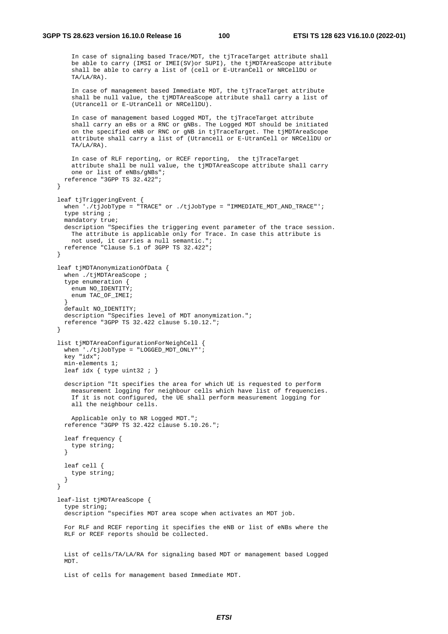In case of signaling based Trace/MDT, the tjTraceTarget attribute shall be able to carry (IMSI or IMEI(SV)or SUPI), the tjMDTAreaScope attribute shall be able to carry a list of (cell or E-UtranCell or NRCellDU or TA/LA/RA).

```
 In case of management based Immediate MDT, the tjTraceTarget attribute 
 shall be null value, the tjMDTAreaScope attribute shall carry a list of 
 (Utrancell or E-UtranCell or NRCellDU).
```
 In case of management based Logged MDT, the tjTraceTarget attribute shall carry an eBs or a RNC or gNBs. The Logged MDT should be initiated on the specified eNB or RNC or gNB in tjTraceTarget. The tjMDTAreaScope attribute shall carry a list of (Utrancell or E-UtranCell or NRCellDU or TA/LA/RA).

```
 In case of RLF reporting, or RCEF reporting, the tjTraceTarget 
         attribute shall be null value, the tjMDTAreaScope attribute shall carry 
         one or list of eNBs/gNBs"; 
      reference "3GPP TS 32.422"; 
    } 
    leaf tjTriggeringEvent { 
       when './tjJobType = "TRACE" or ./tjJobType = "IMMEDIATE_MDT_AND_TRACE"'; 
      type string ; 
      mandatory true; 
      description "Specifies the triggering event parameter of the trace session. 
         The attribute is applicable only for Trace. In case this attribute is 
        not used, it carries a null semantic."; 
      reference "Clause 5.1 of 3GPP TS 32.422"; 
    } 
    leaf tjMDTAnonymizationOfData { 
     when ./tjMDTAreaScope ;
       type enumeration { 
        enum NO_IDENTITY; 
        enum TAC_OF_IMEI; 
}
      default NO_IDENTITY; 
      description "Specifies level of MDT anonymization."; 
      reference "3GPP TS 32.422 clause 5.10.12."; 
 }
```

```
 list tjMDTAreaConfigurationForNeighCell { 
   when './tjJobType = "LOGGED_MDT_ONLY"'; 
   key "idx"; 
   min-elements 1; 
  leaf idx { type uint32 ; }
```

```
 description "It specifies the area for which UE is requested to perform 
   measurement logging for neighbour cells which have list of frequencies. 
   If it is not configured, the UE shall perform measurement logging for 
   all the neighbour cells. 
   Applicable only to NR Logged MDT."; 
 reference "3GPP TS 32.422 clause 5.10.26.";
```

```
 leaf frequency { 
        type string; 
 } 
      leaf cell { 
        type string; 
 }
```
}

 leaf-list tjMDTAreaScope { type string; description "specifies MDT area scope when activates an MDT job.

 For RLF and RCEF reporting it specifies the eNB or list of eNBs where the RLF or RCEF reports should be collected.

 List of cells/TA/LA/RA for signaling based MDT or management based Logged MDT.

List of cells for management based Immediate MDT.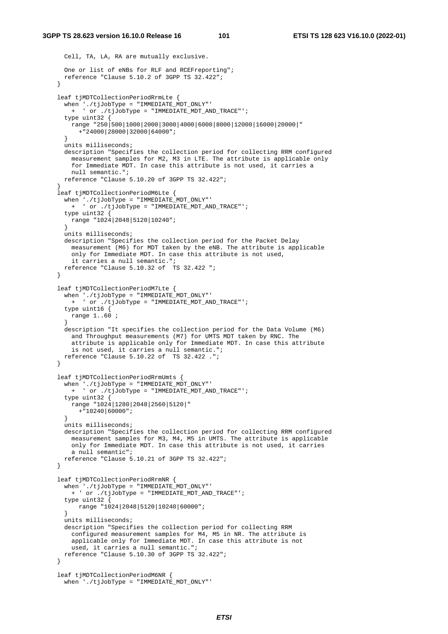```
 Cell, TA, LA, RA are mutually exclusive. 
      One or list of eNBs for RLF and RCEFreporting"; 
      reference "Clause 5.10.2 of 3GPP TS 32.422"; 
 } 
    leaf tjMDTCollectionPeriodRrmLte { 
     when './tjJobType = "IMMEDIATE MDT_ONLY"'
        + ' or ./tjJobType = "IMMEDIATE_MDT_AND_TRACE"'; 
       type uint32 { 
        range "250|500|1000|2000|3000|4000|6000|8000|12000|16000|20000|" 
          +"24000|28000|32000|64000"; 
 } 
      units milliseconds; 
      description "Specifies the collection period for collecting RRM configured 
        measurement samples for M2, M3 in LTE. The attribute is applicable only 
         for Immediate MDT. In case this attribute is not used, it carries a 
        null semantic."; 
      reference "Clause 5.10.20 of 3GPP TS 32.422"; 
 } 
    leaf tjMDTCollectionPeriodM6Lte { 
      when './tjJobType = "IMMEDIATE_MDT_ONLY"' 
        + ' or ./tjJobType = "IMMEDIATE_MDT_AND_TRACE"'; 
      type uint32 { 
        range "1024|2048|5120|10240"; 
      } 
      units milliseconds; 
      description "Specifies the collection period for the Packet Delay 
        measurement (M6) for MDT taken by the eNB. The attribute is applicable 
        only for Immediate MDT. In case this attribute is not used, 
        it carries a null semantic."; 
      reference "Clause 5.10.32 of TS 32.422 "; 
 } 
    leaf tjMDTCollectionPeriodM7Lte { 
      when './tjJobType = "IMMEDIATE_MDT_ONLY"' 
        + ' or ./tjJobType = "IMMEDIATE_MDT_AND_TRACE"'; 
      type uint16 { 
        range 1..60 ; 
 } 
      description "It specifies the collection period for the Data Volume (M6) 
        and Throughput measurements (M7) for UMTS MDT taken by RNC. The 
         attribute is applicable only for Immediate MDT. In case this attribute 
        is not used, it carries a null semantic."; 
      reference "Clause 5.10.22 of TS 32.422 ."; 
 } 
    leaf tjMDTCollectionPeriodRrmUmts { 
      when './tjJobType = "IMMEDIATE_MDT_ONLY"' 
        + ' or ./tjJobType = "IMMEDIATE_MDT_AND_TRACE"'; 
      type uint32 { 
        range "1024|1280|2048|2560|5120|" 
          +"10240|60000"; 
 } 
      units milliseconds; 
      description "Specifies the collection period for collecting RRM configured 
        measurement samples for M3, M4, M5 in UMTS. The attribute is applicable 
        only for Immediate MDT. In case this attribute is not used, it carries 
        a null semantic"; 
      reference "Clause 5.10.21 of 3GPP TS 32.422"; 
    } 
    leaf tjMDTCollectionPeriodRrmNR { 
 when './tjJobType = "IMMEDIATE_MDT_ONLY"' 
 + ' or ./tjJobType = "IMMEDIATE_MDT_AND_TRACE"'; 
       type uint32 { 
          range "1024|2048|5120|10240|60000"; 
}
      units milliseconds; 
      description "Specifies the collection period for collecting RRM 
         configured measurement samples for M4, M5 in NR. The attribute is 
        applicable only for Immediate MDT. In case this attribute is not 
        used, it carries a null semantic."; 
      reference "Clause 5.10.30 of 3GPP TS 32.422"; 
 } 
    leaf tjMDTCollectionPeriodM6NR { 
      when './tjJobType = "IMMEDIATE_MDT_ONLY"'
```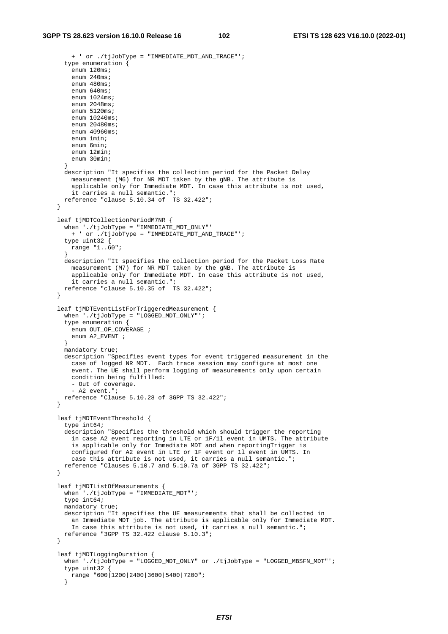```
 + ' or ./tjJobType = "IMMEDIATE_MDT_AND_TRACE"'; 
       type enumeration { 
        enum 120ms;
        enum 240ms;
         enum 480ms; 
        enum 640ms;
        enum 1024ms;
         enum 2048ms; 
         enum 5120ms; 
         enum 10240ms; 
         enum 20480ms; 
         enum 40960ms; 
         enum 1min; 
         enum 6min; 
         enum 12min; 
        enum 30min; 
 } 
      description "It specifies the collection period for the Packet Delay 
         measurement (M6) for NR MDT taken by the gNB. The attribute is 
         applicable only for Immediate MDT. In case this attribute is not used, 
         it carries a null semantic."; 
       reference "clause 5.10.34 of TS 32.422"; 
 } 
    leaf tjMDTCollectionPeriodM7NR { 
       when './tjJobType = "IMMEDIATE_MDT_ONLY"' 
         + ' or ./tjJobType = "IMMEDIATE_MDT_AND_TRACE"'; 
       type uint32 { 
        range "1..60"; 
 } 
      description "It specifies the collection period for the Packet Loss Rate 
        measurement (M7) for NR MDT taken by the gNB. The attribute is 
         applicable only for Immediate MDT. In case this attribute is not used, 
        it carries a null semantic."; 
      reference "clause 5.10.35 of TS 32.422"; 
 } 
    leaf tjMDTEventListForTriggeredMeasurement { 
       when './tjJobType = "LOGGED_MDT_ONLY"'; 
       type enumeration { 
       enum OUT_OF_COVERAGE ;
       enum A2 EVENT ;
}
      mandatory true; 
      description "Specifies event types for event triggered measurement in the 
        case of logged NR MDT. Each trace session may configure at most one 
         event. The UE shall perform logging of measurements only upon certain 
         condition being fulfilled: 
         - Out of coverage. 
         - A2 event."; 
      reference "Clause 5.10.28 of 3GPP TS 32.422"; 
    } 
    leaf tjMDTEventThreshold { 
       type int64; 
      description "Specifies the threshold which should trigger the reporting 
        in case A2 event reporting in LTE or 1F/1l event in UMTS. The attribute 
         is applicable only for Immediate MDT and when reportingTrigger is 
         configured for A2 event in LTE or 1F event or 1l event in UMTS. In 
        case this attribute is not used, it carries a null semantic."; 
      reference "Clauses 5.10.7 and 5.10.7a of 3GPP TS 32.422"; 
    } 
    leaf tjMDTListOfMeasurements { 
      when \cdot./tjJobType = "IMMEDIATE_MDT"';
       type int64; 
       mandatory true; 
      description "It specifies the UE measurements that shall be collected in 
         an Immediate MDT job. The attribute is applicable only for Immediate MDT. 
        In case this attribute is not used, it carries a null semantic."; 
      reference "3GPP TS 32.422 clause 5.10.3"; 
    } 
    leaf tjMDTLoggingDuration { 
       when './tjJobType = "LOGGED_MDT_ONLY" or ./tjJobType = "LOGGED_MBSFN_MDT"'; 
       type uint32 { 
         range "600|1200|2400|3600|5400|7200"; 
       }
```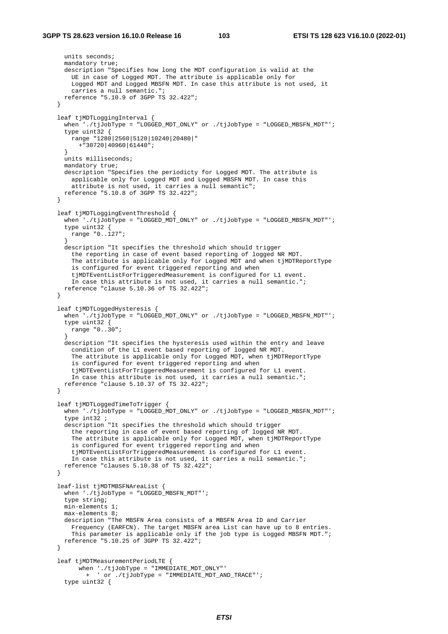```
 units seconds; 
      mandatory true; 
      description "Specifies how long the MDT configuration is valid at the 
        UE in case of Logged MDT. The attribute is applicable only for 
        Logged MDT and Logged MBSFN MDT. In case this attribute is not used, it 
        carries a null semantic."; 
      reference "5.10.9 of 3GPP TS 32.422"; 
   \overline{ } leaf tjMDTLoggingInterval { 
      when './tjJobType = "LOGGED_MDT_ONLY" or ./tjJobType = "LOGGED_MBSFN_MDT"'; 
       type uint32 { 
        range "1280|2560|5120|10240|20480|" 
          +"30720|40960|61440"; 
 } 
      units milliseconds; 
      mandatory true; 
      description "Specifies the periodicty for Logged MDT. The attribute is 
         applicable only for Logged MDT and Logged MBSFN MDT. In case this 
        attribute is not used, it carries a null semantic"; 
      reference "5.10.8 of 3GPP TS 32.422"; 
    } 
    leaf tjMDTLoggingEventThreshold { 
      when './tjJobType = "LOGGED_MDT_ONLY" or ./tjJobType = "LOGGED_MBSFN_MDT"';
       type uint32 { 
        range "0..127"; 
 } 
      description "It specifies the threshold which should trigger 
        the reporting in case of event based reporting of logged NR MDT. 
        The attribute is applicable only for Logged MDT and when tjMDTReportType 
         is configured for event triggered reporting and when 
         tjMDTEventListForTriggeredMeasurement is configured for L1 event. 
        In case this attribute is not used, it carries a null semantic."; 
      reference "clause 5.10.36 of TS 32.422"; 
 } 
   leaf tiMDTLoggedHysteresis {
      when './tjJobType = "LOGGED_MDT_ONLY" or ./tjJobType = "LOGGED_MBSFN_MDT"'; 
       type uint32 { 
        range "0..30"; 
 } 
      description "It specifies the hysteresis used within the entry and leave 
        condition of the L1 event based reporting of logged NR MDT. 
        The attribute is applicable only for Logged MDT, when tjMDTReportType 
         is configured for event triggered reporting and when 
        tjMDTEventListForTriggeredMeasurement is configured for L1 event. 
        In case this attribute is not used, it carries a null semantic."; 
      reference "clause 5.10.37 of TS 32.422"; 
    } 
    leaf tjMDTLoggedTimeToTrigger { 
       when './tjJobType = "LOGGED_MDT_ONLY" or ./tjJobType = "LOGGED_MBSFN_MDT"'; 
       type int32 ; 
      description "It specifies the threshold which should trigger 
        the reporting in case of event based reporting of logged NR MDT. 
       The attribute is applicable only for Logged MDT, when tjMDTReportType
        is configured for event triggered reporting and when 
         tjMDTEventListForTriggeredMeasurement is configured for L1 event. 
        In case this attribute is not used, it carries a null semantic."; 
      reference "clauses 5.10.38 of TS 32.422"; 
    } 
    leaf-list tjMDTMBSFNAreaList { 
       when './tjJobType = "LOGGED_MBSFN_MDT"'; 
       type string; 
      min-elements 1; 
      max-elements 8; 
      description "The MBSFN Area consists of a MBSFN Area ID and Carrier 
        Frequency (EARFCN). The target MBSFN area List can have up to 8 entries. 
        This parameter is applicable only if the job type is Logged MBSFN MDT."; 
      reference "5.10.25 of 3GPP TS 32.422"; 
    } 
    leaf tjMDTMeasurementPeriodLTE { 
          when './tjJobType = "IMMEDIATE_MDT_ONLY"' 
            + ' or ./tjJobType = "IMMEDIATE_MDT_AND_TRACE"'; 
       type uint32 {
```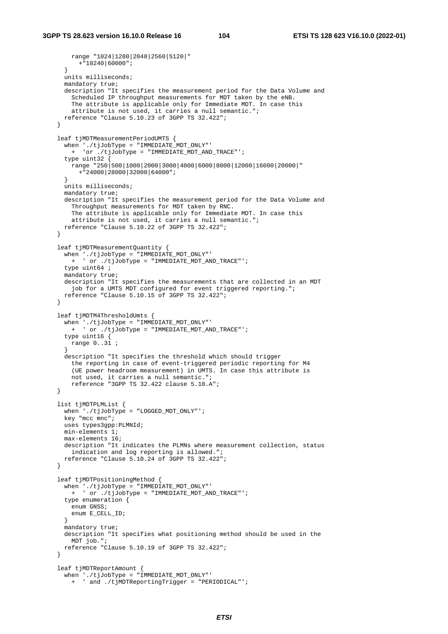```
 range "1024|1280|2048|2560|5120|" 
          +"10240|60000"; 
 } 
      units milliseconds; 
      mandatory true; 
       description "It specifies the measurement period for the Data Volume and 
         Scheduled IP throughput measurements for MDT taken by the eNB. 
       The attribute is applicable only for Immediate MDT. In case this
        attribute is not used, it carries a null semantic."; 
      reference "Clause 5.10.23 of 3GPP TS 32.422"; 
    } 
    leaf tjMDTMeasurementPeriodUMTS { 
       when './tjJobType = "IMMEDIATE_MDT_ONLY"' 
        + 'or ./tjJobType = "IMMEDIATE_MDT_AND_TRACE"'; 
       type uint32 { 
        range "250|500|1000|2000|3000|4000|6000|8000|12000|16000|20000|" 
          +"24000|28000|32000|64000"; 
 } 
      units milliseconds; 
      mandatory true; 
      description "It specifies the measurement period for the Data Volume and 
        Throughput measurements for MDT taken by RNC. 
        The attribute is applicable only for Immediate MDT. In case this 
        attribute is not used, it carries a null semantic."; 
      reference "Clause 5.10.22 of 3GPP TS 32.422"; 
    } 
    leaf tjMDTMeasurementQuantity { 
       when './tjJobType = "IMMEDIATE_MDT_ONLY"' 
        + ' or ./tjJobType = "IMMEDIATE_MDT_AND_TRACE"'; 
       type uint64 ; 
     mandatory true;
      description "It specifies the measurements that are collected in an MDT 
        job for a UMTS MDT configured for event triggered reporting."; 
      reference "Clause 5.10.15 of 3GPP TS 32.422"; 
    } 
    leaf tjMDTM4ThresholdUmts { 
       when './tjJobType = "IMMEDIATE_MDT_ONLY"' 
        + ' or ./tjJobType = "IMMEDIATE_MDT_AND_TRACE"'; 
       type uint16 { 
        range 0..31 ; 
}
      description "It specifies the threshold which should trigger 
        the reporting in case of event-triggered periodic reporting for M4 
         (UE power headroom measurement) in UMTS. In case this attribute is 
        not used, it carries a null semantic."; 
        reference "3GPP TS 32.422 clause 5.10.A"; 
    } 
    list tjMDTPLMList { 
      when './tjJobType = "LOGGED_MDT_ONLY"'; 
      key "mcc mnc"; 
      uses types3gpp:PLMNId; 
      min-elements 1; 
      max-elements 16; 
      description "It indicates the PLMNs where measurement collection, status 
        indication and log reporting is allowed."; 
      reference "Clause 5.10.24 of 3GPP TS 32.422"; 
    } 
    leaf tjMDTPositioningMethod { 
 when './tjJobType = "IMMEDIATE_MDT_ONLY"' 
 + ' or ./tjJobType = "IMMEDIATE_MDT_AND_TRACE"'; 
       type enumeration { 
       enum GNSS;
        enum E_CELL_ID; 
       } 
      mandatory true; 
      description "It specifies what positioning method should be used in the 
        MDT job."; 
      reference "Clause 5.10.19 of 3GPP TS 32.422"; 
    } 
    leaf tjMDTReportAmount { 
     when \cdot./tjJobType = "IMMEDIATE MDT ONLY"'
        + ' and ./tjMDTReportingTrigger = "PERIODICAL"';
```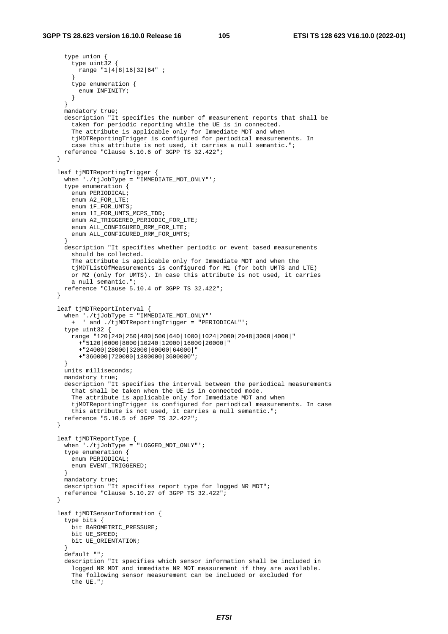```
 type union { 
         type uint32 { 
        range "1|4|8|16|32|64" ;
 } 
         type enumeration { 
           enum INFINITY; 
      }
 } 
      mandatory true; 
      description "It specifies the number of measurement reports that shall be 
        taken for periodic reporting while the UE is in connected. 
         The attribute is applicable only for Immediate MDT and when 
         tjMDTReportingTrigger is configured for periodical measurements. In 
         case this attribute is not used, it carries a null semantic."; 
      reference "Clause 5.10.6 of 3GPP TS 32.422"; 
    } 
    leaf tjMDTReportingTrigger { 
       when './tjJobType = "IMMEDIATE_MDT_ONLY"'; 
       type enumeration { 
       enum PERIODICAL;
         enum A2_FOR_LTE; 
         enum 1F_FOR_UMTS; 
        enum 1I_FOR_UMTS_MCPS_TDD; 
         enum A2_TRIGGERED_PERIODIC_FOR_LTE; 
         enum ALL_CONFIGURED_RRM_FOR_LTE; 
         enum ALL_CONFIGURED_RRM_FOR_UMTS; 
 } 
      description "It specifies whether periodic or event based measurements 
         should be collected. 
         The attribute is applicable only for Immediate MDT and when the 
         tjMDTListOfMeasurements is configured for M1 (for both UMTS and LTE) 
         or M2 (only for UMTS). In case this attribute is not used, it carries 
        a null semantic."; 
      reference "Clause 5.10.4 of 3GPP TS 32.422"; 
 } 
    leaf tjMDTReportInterval { 
       when './tjJobType = "IMMEDIATE_MDT_ONLY"' 
        + ' and ./tjMDTReportingTrigger = "PERIODICAL"'; 
       type uint32 { 
        range "120|240|250|480|500|640|1000|1024|2000|2048|3000|4000|" 
          +"5120|6000|8000|10240|12000|16000|20000|" 
           +"24000|28000|32000|60000|64000|" 
           +"360000|720000|1800000|3600000"; 
       } 
      units milliseconds; 
      mandatory true; 
       description "It specifies the interval between the periodical measurements 
         that shall be taken when the UE is in connected mode. 
         The attribute is applicable only for Immediate MDT and when 
         tjMDTReportingTrigger is configured for periodical measurements. In case 
         this attribute is not used, it carries a null semantic."; 
       reference "5.10.5 of 3GPP TS 32.422"; 
    } 
    leaf tjMDTReportType { 
      when './tjJobType = "LOGGED_MDT_ONLY"'; 
       type enumeration { 
       enum PERIODICAL;
        enum EVENT_TRIGGERED; 
       } 
      mandatory true; 
      description "It specifies report type for logged NR MDT"; 
      reference "Clause 5.10.27 of 3GPP TS 32.422"; 
    } 
    leaf tjMDTSensorInformation { 
       type bits { 
        bit BAROMETRIC_PRESSURE; 
        bit UE_SPEED; 
        bit UE_ORIENTATION; 
 } 
       default ""; 
       description "It specifies which sensor information shall be included in 
         logged NR MDT and immediate NR MDT measurement if they are available. 
         The following sensor measurement can be included or excluded for 
         the UE.";
```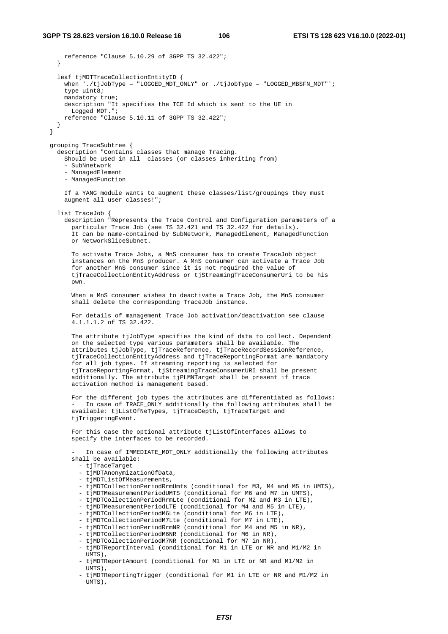```
 reference "Clause 5.10.29 of 3GPP TS 32.422"; 
 } 
    leaf tjMDTTraceCollectionEntityID { 
      when './tjJobType = "LOGGED_MDT_ONLY" or ./tjJobType = "LOGGED_MBSFN_MDT"'; 
      type uint8; 
     mandatory true;
      description "It specifies the TCE Id which is sent to the UE in 
        Logged MDT."; 
      reference "Clause 5.10.11 of 3GPP TS 32.422"; 
    } 
  grouping TraceSubtree { 
    description "Contains classes that manage Tracing. 
      Should be used in all classes (or classes inheriting from) 
       - SubNnetwork 
      - ManagedElement 
       - ManagedFunction 
      If a YANG module wants to augment these classes/list/groupings they must 
      augment all user classes!"; 
    list TraceJob { 
      description "Represents the Trace Control and Configuration parameters of a 
        particular Trace Job (see TS 32.421 and TS 32.422 for details). 
         It can be name-contained by SubNetwork, ManagedElement, ManagedFunction 
        or NetworkSliceSubnet. 
        To activate Trace Jobs, a MnS consumer has to create TraceJob object 
         instances on the MnS producer. A MnS consumer can activate a Trace Job 
         for another MnS consumer since it is not required the value of 
         tjTraceCollectionEntityAddress or tjStreamingTraceConsumerUri to be his 
        own. 
        When a MnS consumer wishes to deactivate a Trace Job, the MnS consumer 
        shall delete the corresponding TraceJob instance. 
        For details of management Trace Job activation/deactivation see clause 
         4.1.1.1.2 of TS 32.422. 
        The attribute tjJobType specifies the kind of data to collect. Dependent 
         on the selected type various parameters shall be available. The 
         attributes tjJobType, tjTraceReference, tjTraceRecordSessionReference, 
         tjTraceCollectionEntityAddress and tjTraceReportingFormat are mandatory 
         for all job types. If streaming reporting is selected for 
         tjTraceReportingFormat, tjStreamingTraceConsumerURI shall be present 
         additionally. The attribute tjPLMNTarget shall be present if trace 
        activation method is management based. 
        For the different job types the attributes are differentiated as follows: 
            In case of TRACE_ONLY additionally the following attributes shall be
         available: tjListOfNeTypes, tjTraceDepth, tjTraceTarget and 
        tjTriggeringEvent.
       For this case the optional attribute tiListOfInterfaces allows to
         specify the interfaces to be recorded. 
            In case of IMMEDIATE_MDT_ONLY additionally the following attributes
         shall be available: 
           - tjTraceTarget 
           - tjMDTAnonymizationOfData, 
           - tjMDTListOfMeasurements, 
           - tjMDTCollectionPeriodRrmUmts (conditional for M3, M4 and M5 in UMTS), 
           - tjMDTMeasurementPeriodUMTS (conditional for M6 and M7 in UMTS), 
           - tjMDTCollectionPeriodRrmLte (conditional for M2 and M3 in LTE), 
           - tjMDTMeasurementPeriodLTE (conditional for M4 and M5 in LTE), 
           - tjMDTCollectionPeriodM6Lte (conditional for M6 in LTE), 
           - tjMDTCollectionPeriodM7Lte (conditional for M7 in LTE), 
           - tjMDTCollectionPeriodRrmNR (conditional for M4 and M5 in NR), 
           - tjMDTCollectionPeriodM6NR (conditional for M6 in NR), 
           - tjMDTCollectionPeriodM7NR (conditional for M7 in NR), 
           - tjMDTReportInterval (conditional for M1 in LTE or NR and M1/M2 in 
             UMTS), 
           - tjMDTReportAmount (conditional for M1 in LTE or NR and M1/M2 in 
             UMTS),
```
 - tjMDTReportingTrigger (conditional for M1 in LTE or NR and M1/M2 in UMTS),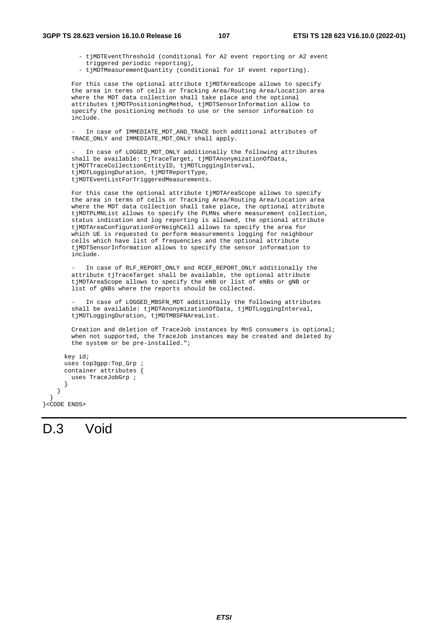- tjMDTEventThreshold (conditional for A2 event reporting or A2 event triggered periodic reporting),
- tjMDTMeasurementQuantity (conditional for 1F event reporting).

 For this case the optional attribute tjMDTAreaScope allows to specify the area in terms of cells or Tracking Area/Routing Area/Location area where the MDT data collection shall take place and the optional attributes tjMDTPositioningMethod, tjMDTSensorInformation allow to specify the positioning methods to use or the sensor information to include.

In case of IMMEDIATE\_MDT\_AND\_TRACE both additional attributes of TRACE\_ONLY and IMMEDIATE\_MDT\_ONLY shall apply.

In case of LOGGED\_MDT\_ONLY additionally the following attributes shall be available: tjTraceTarget, tjMDTAnonymizationOfData, tjMDTTraceCollectionEntityID, tjMDTLoggingInterval, tjMDTLoggingDuration, tjMDTReportType, tjMDTEventListForTriggeredMeasurements.

For this case the optional attribute tjMDTAreaScope allows to specify the area in terms of cells or Tracking Area/Routing Area/Location area where the MDT data collection shall take place, the optional attribute tjMDTPLMNList allows to specify the PLMNs where measurement collection, status indication and log reporting is allowed, the optional attribute tjMDTAreaConfigurationForNeighCell allows to specify the area for which UE is requested to perform measurements logging for neighbour cells which have list of frequencies and the optional attribute tjMDTSensorInformation allows to specify the sensor information to include.

In case of RLF\_REPORT\_ONLY and RCEF\_REPORT\_ONLY additionally the attribute tjTraceTarget shall be available, the optional attribute tjMDTAreaScope allows to specify the eNB or list of eNBs or gNB or list of gNBs where the reports should be collected.

In case of LOGGED MBSFN MDT additionally the following attributes shall be available: tjMDTAnonymizationOfData, tjMDTLoggingInterval, tjMDTLoggingDuration, tjMDTMBSFNAreaList.

 Creation and deletion of TraceJob instances by MnS consumers is optional; when not supported, the TraceJob instances may be created and deleted by the system or be pre-installed.";

```
 key id; 
       uses top3gpp:Top_Grp ; 
       container attributes { 
         uses TraceJobGrp ; 
 } 
    }
```
}<CODE ENDS>

}

# D.3 Void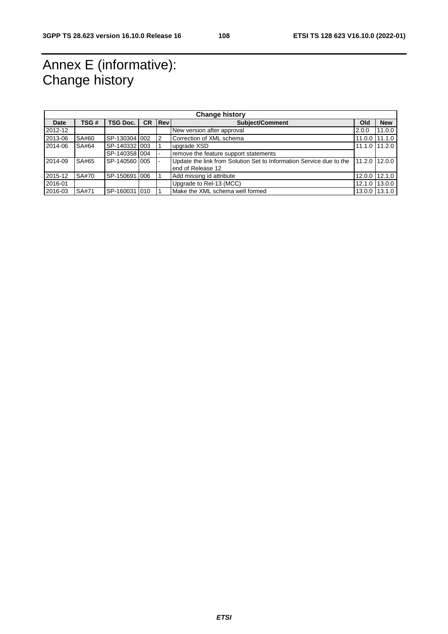## Annex E (informative): Change history

| <b>Change history</b> |              |                 |                                                    |    |                                                                                                    |  |                 |
|-----------------------|--------------|-----------------|----------------------------------------------------|----|----------------------------------------------------------------------------------------------------|--|-----------------|
| Date                  | TSG #        | <b>TSG Doc.</b> | <b>IRev</b><br><b>CR</b><br><b>Subject/Comment</b> |    |                                                                                                    |  | <b>New</b>      |
| 2012-12               |              |                 |                                                    |    | New version after approval<br>2.0.0                                                                |  | 11.0.0          |
| 2013-06               | SA#60        | SP-130304 002   |                                                    | 12 | Correction of XML schema<br>11.0.0                                                                 |  | 11.1.0          |
| 2014-06               | SA#64        | SP-140332 003   |                                                    |    | upgrade XSD                                                                                        |  | $11.1.0$ 11.2.0 |
|                       |              | SP-140358 004   |                                                    |    | remove the feature support statements                                                              |  |                 |
| 2014-09               | SA#65        | SP-140560 005   |                                                    |    | Update the link from Solution Set to Information Service due to the<br>11.2.0<br>end of Release 12 |  | 12.0.0          |
| 2015-12               | <b>SA#70</b> | SP-150691 006   |                                                    |    | Add missing id attribute                                                                           |  | 12.0.0 12.1.0   |
| 2016-01               |              |                 |                                                    |    | 12.1.0 13.0.0<br>Upgrade to Rel-13 (MCC)                                                           |  |                 |
| 2016-03               | SA#71        | SP-160031 010   |                                                    |    | Make the XML schema well formed<br>13.1.0<br>13.0.0                                                |  |                 |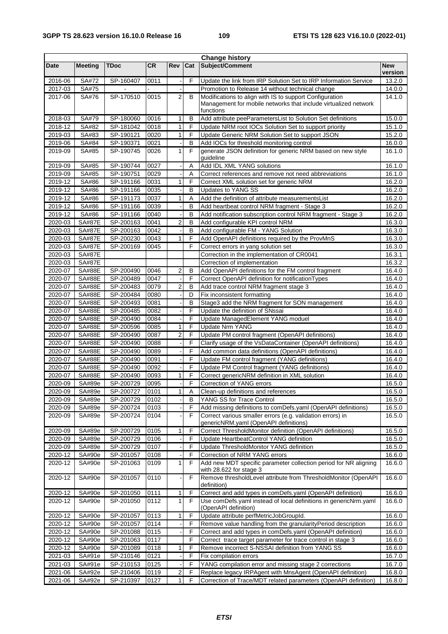|                    |                                |                        |              |                         |                   | <b>Change history</b>                                                                                                                   |                       |
|--------------------|--------------------------------|------------------------|--------------|-------------------------|-------------------|-----------------------------------------------------------------------------------------------------------------------------------------|-----------------------|
| Date               | <b>Meeting</b>                 | <b>TDoc</b>            | <b>CR</b>    | Rev                     | Cat               | Subject/Comment                                                                                                                         | <b>New</b><br>version |
| 2016-06            | SA#72                          | SP-160407              | 0011         |                         | F                 | Update the link from IRP Solution Set to IRP Information Service                                                                        | 13.2.0                |
| 2017-03            | SA#75                          |                        |              |                         |                   | Promotion to Release 14 without technical change                                                                                        | 14.0.0                |
| 2017-06            | SA#76                          | SP-170510              | 0015         | 2                       | B                 | Modifications to align with IS to support Configuration<br>Management for mobile networks that include virtualized network<br>functions | 14.1.0                |
| 2018-03            | SA#79                          | SP-180060              | 0016         | 1                       | B                 | Add attribute peeParametersList to Solution Set definitions                                                                             | 15.0.0                |
| 2018-12            | SA#82                          | SP-181042              | 0018         | 1                       | F                 | Update NRM root IOCs Solution Set to support priority                                                                                   | 15.1.0                |
| 2019-03            | SA#83                          | SP-190121              | 0020         | $\mathbf{1}$            | F                 | Update Generic NRM Solution Set to support JSON                                                                                         | 15.2.0                |
| 2019-06            | SA#84                          | SP-190371              | 0021         |                         | B                 | Add IOCs for threshold monitoring control                                                                                               | 16.0.0                |
| 2019-09            | SA#85                          | SP-190745              | 0026         | 1                       | F                 | generate JSON definition for generic NRM based on new style<br>guideline                                                                | 16.1.0                |
| 2019-09            | SA#85                          | SP-190744              | 0027         |                         | A                 | Add IDL XML YANG solutions                                                                                                              | 16.1.0                |
| 2019-09            | SA#85                          | SP-190751              | 0029         |                         | Α                 | Correct references and remove not need abbreviations                                                                                    | 16.1.0                |
| 2019-12            | SA#86                          | SP-191166              | 0031         | 1                       | F                 | Correct XML solution set for generic NRM                                                                                                | 16.2.0                |
| 2019-12            | SA#86                          | SP-191166              | 0035         |                         | B                 | Updates to YANG SS                                                                                                                      | 16.2.0                |
| 2019-12            | SA#86                          | SP-191173              | 0037         | 1                       | Α                 | Add the definition of attribute measurementsList                                                                                        | 16.2.0                |
| 2019-12<br>2019-12 | SA#86                          | SP-191166              | 0039         |                         | B                 | Add heartbeat control NRM fragment - Stage 3                                                                                            | 16.2.0                |
|                    | SA#86                          | SP-191166<br>SP-200163 | 0040         |                         | B                 | Add notification subscription control NRM fragment - Stage 3                                                                            | 16.2.0                |
| 2020-03            | <b>SA#87E</b>                  |                        | 0041         | $\overline{\mathbf{c}}$ | B                 | Add configurable KPI control NRM                                                                                                        | 16.3.0                |
| 2020-03            | <b>SA#87E</b><br><b>SA#87E</b> | SP-200163              | 0042<br>0043 | $\mathbf{1}$            | B<br>$\mathsf{F}$ | Add configurable FM - YANG Solution                                                                                                     | 16.3.0                |
| 2020-03            |                                | SP-200230              |              |                         |                   | Add OpenAPI definitions required by the ProvMnS                                                                                         | 16.3.0                |
| 2020-03            | <b>SA#87E</b>                  | SP-200169              | 0045         |                         | F                 | Correct errors in yang solution set<br>Correction in the implementation of CR0041                                                       | 16.3.0<br>16.3.1      |
| 2020-03            | <b>SA#87E</b>                  |                        |              |                         |                   |                                                                                                                                         |                       |
| 2020-03            | <b>SA#87E</b>                  |                        |              |                         |                   | Correction of implementation                                                                                                            | 16.3.2                |
| 2020-07            | <b>SA#88E</b>                  | SP-200490              | 0046         | 2                       | B                 | Add OpenAPI definitions for the FM control fragment                                                                                     | 16.4.0                |
| 2020-07            | <b>SA#88E</b>                  | SP-200489              | 0047         |                         | F                 | Correct OpenAPI definition for notificationTypes                                                                                        | 16.4.0                |
| 2020-07            | <b>SA#88E</b>                  | SP-200483              | 0079         | $\overline{\mathbf{c}}$ | в                 | Add trace control NRM fragment stage 3                                                                                                  | 16.4.0                |
| 2020-07            | <b>SA#88E</b>                  | SP-200484              | 0080         |                         | D                 | Fix inconsistent formatting                                                                                                             | 16.4.0                |
| 2020-07            | <b>SA#88E</b>                  | SP-200493              | 0081         |                         | B                 | Stage3 add the NRM fragment for SON management                                                                                          | 16.4.0                |
| 2020-07            | <b>SA#88E</b>                  | SP-200485              | 0082         |                         | F                 | Update the definition of SNssai                                                                                                         | 16.4.0                |
| 2020-07            | <b>SA#88E</b>                  | SP-200490              | 0084         |                         | F                 | Update ManagedElement YANG moduel                                                                                                       | 16.4.0                |
| 2020-07            | <b>SA#88E</b>                  | SP-200596              | 0085         | 1                       | F                 | <b>Update Nrm YANG</b>                                                                                                                  | 16.4.0                |
| 2020-07            | <b>SA#88E</b>                  | SP-200490              | 0087         | 2                       | F<br>F            | Update PM control fragment (OpenAPI definitions)                                                                                        | 16.4.0                |
| 2020-07<br>2020-07 | <b>SA#88E</b>                  | SP-200490              | 0088         |                         | F                 | Clarify usage of the VsDataContainer (OpenAPI definitions)<br>Add common data definitions (OpenAPI definitions)                         | 16.4.0                |
| 2020-07            | <b>SA#88E</b><br><b>SA#88E</b> | SP-200490<br>SP-200490 | 0089<br>0091 |                         | F                 | Update FM control fragment (YANG definitions)                                                                                           | 16.4.0<br>16.4.0      |
| 2020-07            | <b>SA#88E</b>                  | SP-200490              |              |                         | F                 | Update PM Control fragment (YANG definitions)                                                                                           | 16.4.0                |
| 2020-07            | <b>SA#88E</b>                  | SP-200490              | 0092<br>0093 | 1                       | F                 | Correct genericNRM definition in XML solution                                                                                           | 16.4.0                |
| 2020-09            | SA#89e                         | SP-200729              | 0095         |                         | F                 | Correction of YANG errors                                                                                                               | 16.5.0                |
| 2020-09            | SA#89e                         | SP-200727              | 0101         | 1                       | A                 | Clean-up definitions and references                                                                                                     | 16.5.0                |
| 2020-09            | SA#89e                         | SP-200729              | 0102         |                         | в                 | YANG SS for Trace Control                                                                                                               | 16.5.0                |
| 2020-09            | SA#89e                         | SP-200724              | 0103         |                         | F                 | Add missing definitions to comDefs.yaml (OpenAPI definitions)                                                                           | 16.5.0                |
| 2020-09            | SA#89e                         | SP-200724              | 0104         |                         | F                 | Correct various smaller errors (e.g. validation errors) in<br>genericNRM.yaml (OpenAPI definitions)                                     | 16.5.0                |
| 2020-09            | SA#89e                         | SP-200729              | 0105         | 1                       | F                 | Correct ThresholdMonitor definition (OpenAPI definitions)                                                                               | 16.5.0                |
| 2020-09            | SA#89e                         | SP-200729              | 0106         |                         | F                 | Update HeartbeatControl YANG definition                                                                                                 | 16.5.0                |
| 2020-09            | SA#89e                         | SP-200729              | 0107         |                         | F                 | Update ThresholdMonitor YANG definition                                                                                                 | 16.5.0                |
| 2020-12            | SA#90e                         | SP-201057              | 0108         |                         | F                 | Correction of NRM YANG errors                                                                                                           | 16.6.0                |
| 2020-12            | SA#90e                         | SP-201063              | 0109         | 1                       | F                 | Add new MDT specific parameter collection period for NR aligning<br>with 28.622 for stage 3                                             | 16.6.0                |
| 2020-12            | SA#90e                         | SP-201057              | 0110         |                         | F                 | Remove thresholdLevel attribute from ThresholdMonitor (OpenAPI<br>definition)                                                           | 16.6.0                |
| 2020-12            | SA#90e                         | SP-201050              | 0111         | 1                       | F                 | Correct and add types in comDefs.yaml (OpenAPI definition)                                                                              | 16.6.0                |
| 2020-12            | SA#90e                         | SP-201050              | 0112         | 1                       | F                 | Use comDefs.yaml instead of local definitions in genericNrm.yaml<br>(OpenAPI definition)                                                | 16.6.0                |
| 2020-12            | SA#90e                         | SP-201057              | 0113         | 1                       | F                 | Update attribute perfMetricJobGroupId.                                                                                                  | 16.6.0                |
| 2020-12            | SA#90e                         | SP-201057              | 0114         |                         | F                 | Remove value handling from the granularityPeriod description                                                                            | 16.6.0                |
| 2020-12            | SA#90e                         | SP-201088              | 0115         |                         | F                 | Correct and add types in comDefs.yaml (OpenAPI definition)                                                                              | 16.6.0                |
| 2020-12            | SA#90e                         | SP-201063              | 0117         |                         | F                 | Correct trace target parameter for trace control in stage 3                                                                             | 16.6.0                |
| 2020-12            | SA#90e                         | SP-201089              | 0118         | 1                       | F                 | Remove incorrect S-NSSAI definition from YANG SS                                                                                        | 16.6.0                |
| 2021-03            | SA#91e                         | SP-210146              | 0121         |                         | F                 | Fix compilation errors                                                                                                                  | 16.7.0                |
| 2021-03            | SA#91e                         | SP-210153              | 0125         |                         | F                 | YANG compilation error and missing stage 2 corrections                                                                                  | 16.7.0                |
| $2021 - 06$        | SA#92e                         | SP-210406              | 0119         | $\mathbf{2}$            | F                 | Replace legacy IRPAgent with MnsAgent (OpenAPI definition)                                                                              | 16.8.0                |
| 2021-06            | SA#92e                         | SP-210397              | 0127         | 1 <sup>1</sup>          | F                 | Correction of Trace/MDT related parameters (OpenAPI definition)                                                                         | 16.8.0                |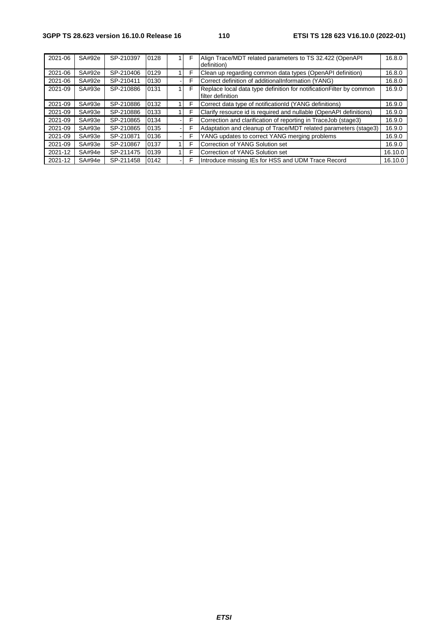| 2021-06 | SA#92e | SP-210397 | 0128 | F | Align Trace/MDT related parameters to TS 32.422 (OpenAPI)<br>definition)                  | 16.8.0  |
|---------|--------|-----------|------|---|-------------------------------------------------------------------------------------------|---------|
| 2021-06 | SA#92e | SP-210406 | 0129 | F | Clean up regarding common data types (OpenAPI definition)                                 | 16.8.0  |
| 2021-06 | SA#92e | SP-210411 | 0130 | F | Correct definition of additionalInformation (YANG)                                        | 16.8.0  |
| 2021-09 | SA#93e | SP-210886 | 0131 | F | Replace local data type definition for notification Filter by common<br>filter definition | 16.9.0  |
| 2021-09 | SA#93e | SP-210886 | 0132 | F | Correct data type of notificationId (YANG definitions)                                    | 16.9.0  |
| 2021-09 | SA#93e | SP-210886 | 0133 | F | Clarify resource id is required and nullable (OpenAPI definitions)                        | 16.9.0  |
| 2021-09 | SA#93e | SP-210865 | 0134 | F | Correction and clarification of reporting in TraceJob (stage3)                            | 16.9.0  |
| 2021-09 | SA#93e | SP-210865 | 0135 | ⊏ | Adaptation and cleanup of Trace/MDT related parameters (stage3)                           | 16.9.0  |
| 2021-09 | SA#93e | SP-210871 | 0136 | F | YANG updates to correct YANG merging problems                                             | 16.9.0  |
| 2021-09 | SA#93e | SP-210867 | 0137 | F | Correction of YANG Solution set                                                           | 16.9.0  |
| 2021-12 | SA#94e | SP-211475 | 0139 | F | Correction of YANG Solution set                                                           | 16.10.0 |
| 2021-12 | SA#94e | SP-211458 | 0142 | F | Introduce missing IEs for HSS and UDM Trace Record                                        | 16.10.0 |